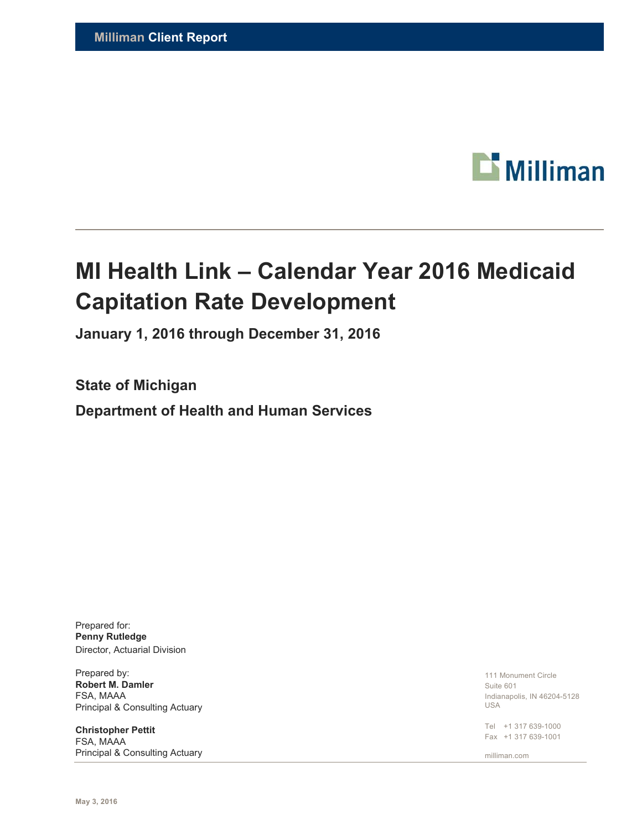

# **MI Health Link – Calendar Year 2016 Medicaid Capitation Rate Development**

**January 1, 2016 through December 31, 2016** 

**State of Michigan** 

**Department of Health and Human Services** 

Prepared for: **Penny Rutledge**  Director, Actuarial Division

Prepared by: **Robert M. Damler**  FSA, MAAA Principal & Consulting Actuary

**Christopher Pettit**  FSA, MAAA Principal & Consulting Actuary

111 Monument Circle Suite 601 Indianapolis, IN 46204-5128 USA

Tel +1 317 639-1000 Fax +1 317 639-1001

milliman.com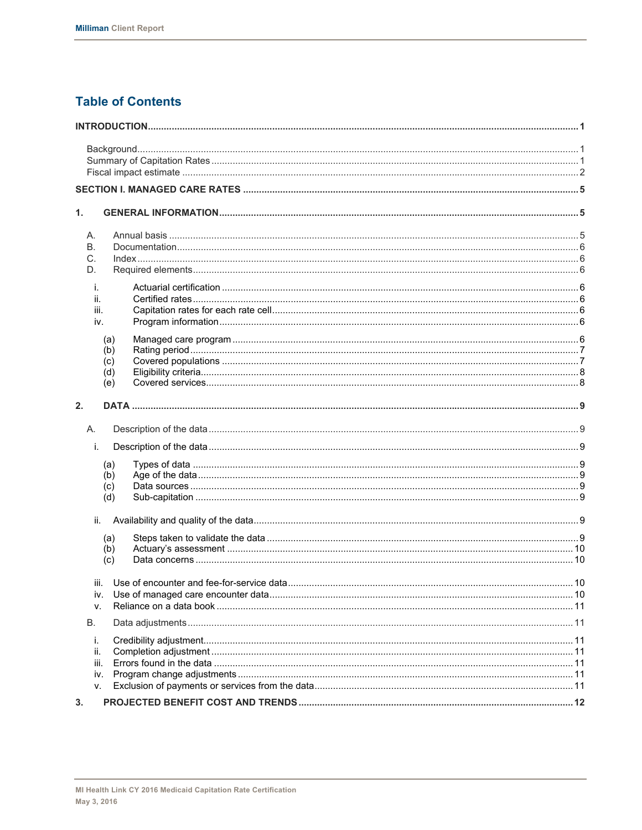# **Table of Contents**

| 1.       |     |  |
|----------|-----|--|
| А.       |     |  |
| В.       |     |  |
| C.<br>D. |     |  |
|          |     |  |
| j.       |     |  |
| ii.      |     |  |
| iii.     |     |  |
| iv.      |     |  |
|          | (a) |  |
|          | (b) |  |
|          | (c) |  |
|          | (d) |  |
|          | (e) |  |
| 2.       |     |  |
|          |     |  |
| Α.       |     |  |
| i.       |     |  |
|          | (a) |  |
|          | (b) |  |
|          | (c) |  |
|          | (d) |  |
| ii.      |     |  |
|          | (a) |  |
|          | (b) |  |
|          | (c) |  |
|          |     |  |
|          |     |  |
| İV.      |     |  |
| V.       |     |  |
| В.       |     |  |
| i.       |     |  |
| ii.      |     |  |
| iii.     |     |  |
| İV.      |     |  |
| v.       |     |  |
| 3.       |     |  |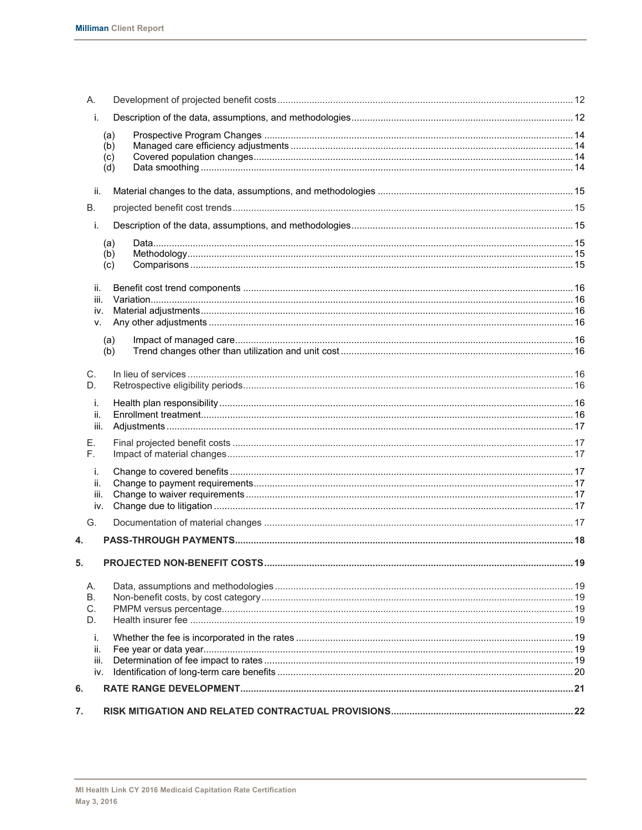|    | A.          |     |  |
|----|-------------|-----|--|
|    | i.          |     |  |
|    |             | (a) |  |
|    |             | (b) |  |
|    |             | (c) |  |
|    |             | (d) |  |
|    | ii.         |     |  |
|    | В.          |     |  |
|    | i.          |     |  |
|    |             | (a) |  |
|    |             | (b) |  |
|    |             | (c) |  |
|    | ii.         |     |  |
|    | iii.        |     |  |
|    | iv.<br>v.   |     |  |
|    |             |     |  |
|    |             | (a) |  |
|    |             | (b) |  |
|    | C.          |     |  |
|    | D.          |     |  |
|    | i.          |     |  |
|    | ii.         |     |  |
|    | iii.        |     |  |
|    | Е.          |     |  |
|    | F.          |     |  |
|    | i.          |     |  |
|    | ii.         |     |  |
|    | iii.        |     |  |
|    | iv.         |     |  |
|    | G.          |     |  |
| 4. |             |     |  |
| 5. |             |     |  |
|    | А.          |     |  |
|    | В.          |     |  |
|    | C.          |     |  |
|    | D.          |     |  |
|    | i.          |     |  |
|    | ii.         |     |  |
|    | iii.<br>iv. |     |  |
|    |             |     |  |
| 6. |             |     |  |
| 7. |             |     |  |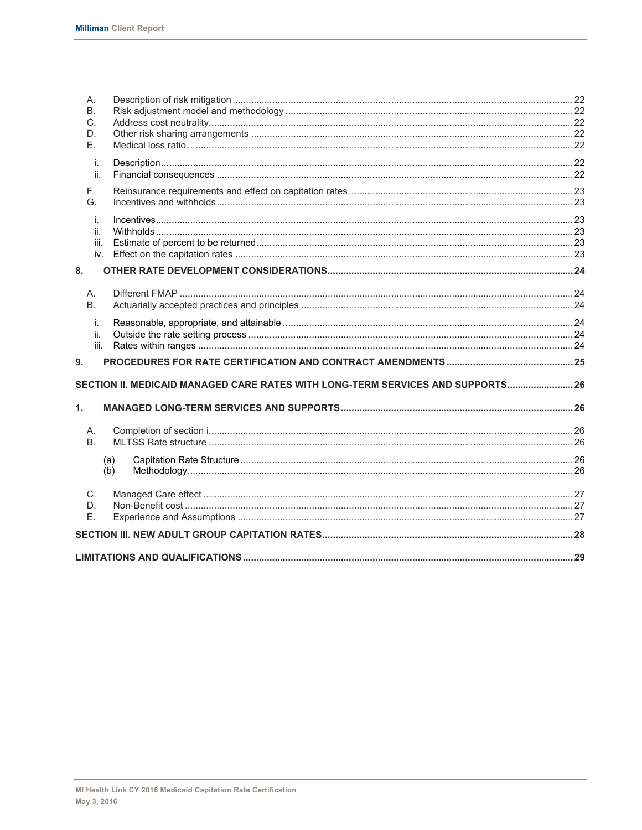| А.<br><b>B.</b><br>C.<br>D.<br>Ε. |                                                                                 |  |
|-----------------------------------|---------------------------------------------------------------------------------|--|
| i.<br>ii.                         |                                                                                 |  |
| F.<br>G.                          |                                                                                 |  |
| i.<br>ii.<br>iii.<br>iv.          |                                                                                 |  |
| 8.                                |                                                                                 |  |
| А.<br><b>B.</b>                   |                                                                                 |  |
| i.<br>ii.<br>iii.                 |                                                                                 |  |
| 9.                                |                                                                                 |  |
|                                   | SECTION II. MEDICAID MANAGED CARE RATES WITH LONG-TERM SERVICES AND SUPPORTS 26 |  |
| $\mathbf{1}$ .                    |                                                                                 |  |
| А.<br>B.                          |                                                                                 |  |
|                                   | (a)<br>(b)                                                                      |  |
| C.<br>D.<br>Ε.                    |                                                                                 |  |
|                                   |                                                                                 |  |
|                                   |                                                                                 |  |
|                                   |                                                                                 |  |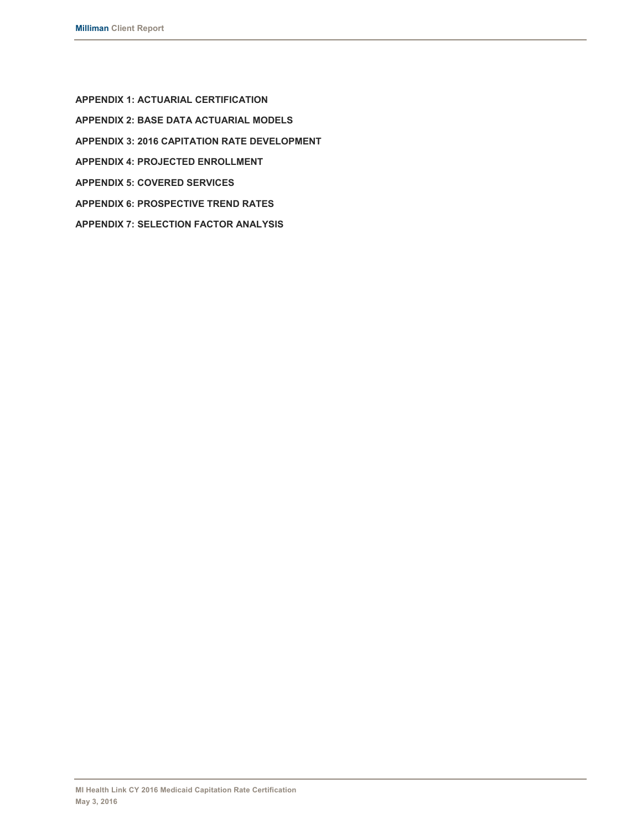**APPENDIX 1: ACTUARIAL CERTIFICATION APPENDIX 2: BASE DATA ACTUARIAL MODELS APPENDIX 3: 2016 CAPITATION RATE DEVELOPMENT APPENDIX 4: PROJECTED ENROLLMENT APPENDIX 5: COVERED SERVICES APPENDIX 6: PROSPECTIVE TREND RATES APPENDIX 7: SELECTION FACTOR ANALYSIS**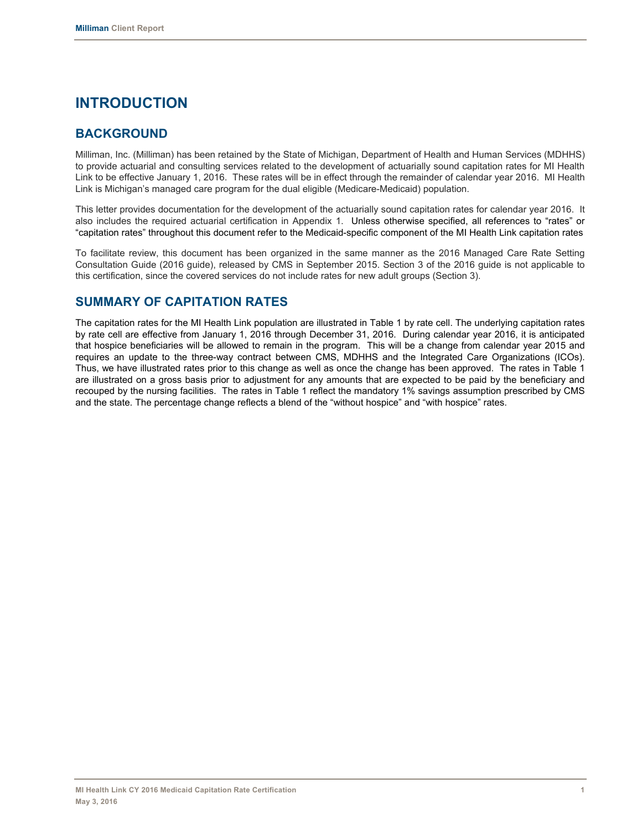# **INTRODUCTION**

# **BACKGROUND**

Milliman, Inc. (Milliman) has been retained by the State of Michigan, Department of Health and Human Services (MDHHS) to provide actuarial and consulting services related to the development of actuarially sound capitation rates for MI Health Link to be effective January 1, 2016. These rates will be in effect through the remainder of calendar year 2016. MI Health Link is Michigan's managed care program for the dual eligible (Medicare-Medicaid) population.

This letter provides documentation for the development of the actuarially sound capitation rates for calendar year 2016. It also includes the required actuarial certification in Appendix 1. Unless otherwise specified, all references to "rates" or "capitation rates" throughout this document refer to the Medicaid-specific component of the MI Health Link capitation rates

To facilitate review, this document has been organized in the same manner as the 2016 Managed Care Rate Setting Consultation Guide (2016 guide), released by CMS in September 2015. Section 3 of the 2016 guide is not applicable to this certification, since the covered services do not include rates for new adult groups (Section 3).

# **SUMMARY OF CAPITATION RATES**

The capitation rates for the MI Health Link population are illustrated in Table 1 by rate cell. The underlying capitation rates by rate cell are effective from January 1, 2016 through December 31, 2016. During calendar year 2016, it is anticipated that hospice beneficiaries will be allowed to remain in the program. This will be a change from calendar year 2015 and requires an update to the three-way contract between CMS, MDHHS and the Integrated Care Organizations (ICOs). Thus, we have illustrated rates prior to this change as well as once the change has been approved. The rates in Table 1 are illustrated on a gross basis prior to adjustment for any amounts that are expected to be paid by the beneficiary and recouped by the nursing facilities. The rates in Table 1 reflect the mandatory 1% savings assumption prescribed by CMS and the state. The percentage change reflects a blend of the "without hospice" and "with hospice" rates.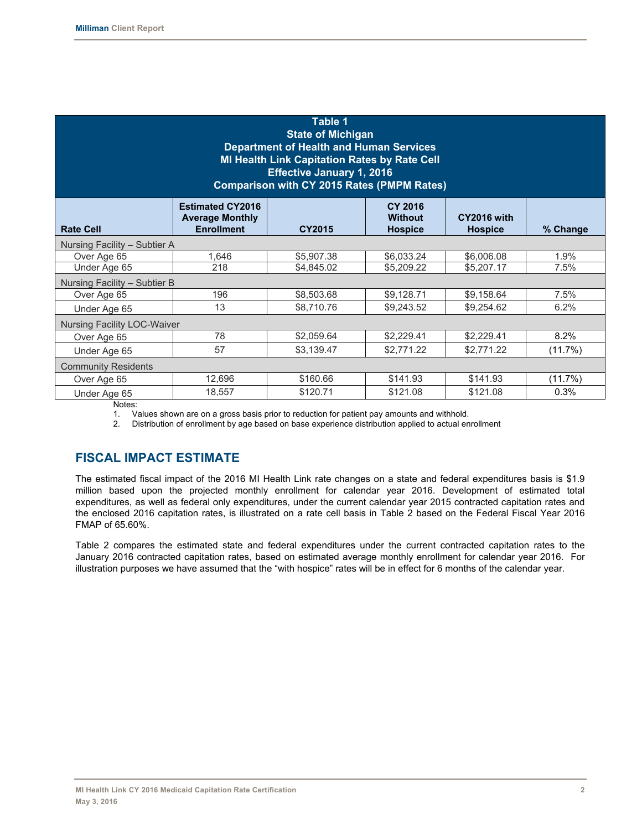| Table 1<br><b>State of Michigan</b><br><b>Department of Health and Human Services</b><br><b>MI Health Link Capitation Rates by Rate Cell</b><br><b>Effective January 1, 2016</b><br><b>Comparison with CY 2015 Rates (PMPM Rates)</b> |                                                                        |               |                                                    |                               |          |  |  |  |  |  |  |  |
|---------------------------------------------------------------------------------------------------------------------------------------------------------------------------------------------------------------------------------------|------------------------------------------------------------------------|---------------|----------------------------------------------------|-------------------------------|----------|--|--|--|--|--|--|--|
| <b>Rate Cell</b>                                                                                                                                                                                                                      | <b>Estimated CY2016</b><br><b>Average Monthly</b><br><b>Enrollment</b> | <b>CY2015</b> | <b>CY 2016</b><br><b>Without</b><br><b>Hospice</b> | CY2016 with<br><b>Hospice</b> | % Change |  |  |  |  |  |  |  |
| Nursing Facility - Subtier A                                                                                                                                                                                                          |                                                                        |               |                                                    |                               |          |  |  |  |  |  |  |  |
| Over Age 65                                                                                                                                                                                                                           | 1,646                                                                  | \$5,907.38    | \$6,033.24                                         | \$6,006.08                    | 1.9%     |  |  |  |  |  |  |  |
| Under Age 65                                                                                                                                                                                                                          | 218                                                                    | \$4,845.02    | \$5,209.22                                         | \$5,207.17                    | 7.5%     |  |  |  |  |  |  |  |
| Nursing Facility - Subtier B                                                                                                                                                                                                          |                                                                        |               |                                                    |                               |          |  |  |  |  |  |  |  |
| Over Age 65                                                                                                                                                                                                                           | 196                                                                    | \$8,503.68    | \$9,128.71                                         | \$9,158.64                    | 7.5%     |  |  |  |  |  |  |  |
| Under Age 65                                                                                                                                                                                                                          | 13                                                                     | \$8,710.76    | \$9,243.52                                         | \$9,254.62                    | 6.2%     |  |  |  |  |  |  |  |
| <b>Nursing Facility LOC-Waiver</b>                                                                                                                                                                                                    |                                                                        |               |                                                    |                               |          |  |  |  |  |  |  |  |
| Over Age 65                                                                                                                                                                                                                           | 78                                                                     | \$2,059.64    | \$2,229.41                                         | \$2,229.41                    | 8.2%     |  |  |  |  |  |  |  |
| Under Age 65                                                                                                                                                                                                                          | 57                                                                     | \$3,139.47    | \$2,771.22                                         | \$2,771.22                    | (11.7%)  |  |  |  |  |  |  |  |
| <b>Community Residents</b>                                                                                                                                                                                                            |                                                                        |               |                                                    |                               |          |  |  |  |  |  |  |  |
| Over Age 65                                                                                                                                                                                                                           | 12,696                                                                 | \$160.66      | \$141.93                                           | \$141.93                      | (11.7%)  |  |  |  |  |  |  |  |
| Under Age 65                                                                                                                                                                                                                          | 18,557                                                                 | \$120.71      | \$121.08                                           | \$121.08                      | 0.3%     |  |  |  |  |  |  |  |

Notes:

1. Values shown are on a gross basis prior to reduction for patient pay amounts and withhold.

2. Distribution of enrollment by age based on base experience distribution applied to actual enrollment

# **FISCAL IMPACT ESTIMATE**

The estimated fiscal impact of the 2016 MI Health Link rate changes on a state and federal expenditures basis is \$1.9 million based upon the projected monthly enrollment for calendar year 2016. Development of estimated total expenditures, as well as federal only expenditures, under the current calendar year 2015 contracted capitation rates and the enclosed 2016 capitation rates, is illustrated on a rate cell basis in Table 2 based on the Federal Fiscal Year 2016 FMAP of 65.60%.

Table 2 compares the estimated state and federal expenditures under the current contracted capitation rates to the January 2016 contracted capitation rates, based on estimated average monthly enrollment for calendar year 2016. For illustration purposes we have assumed that the "with hospice" rates will be in effect for 6 months of the calendar year.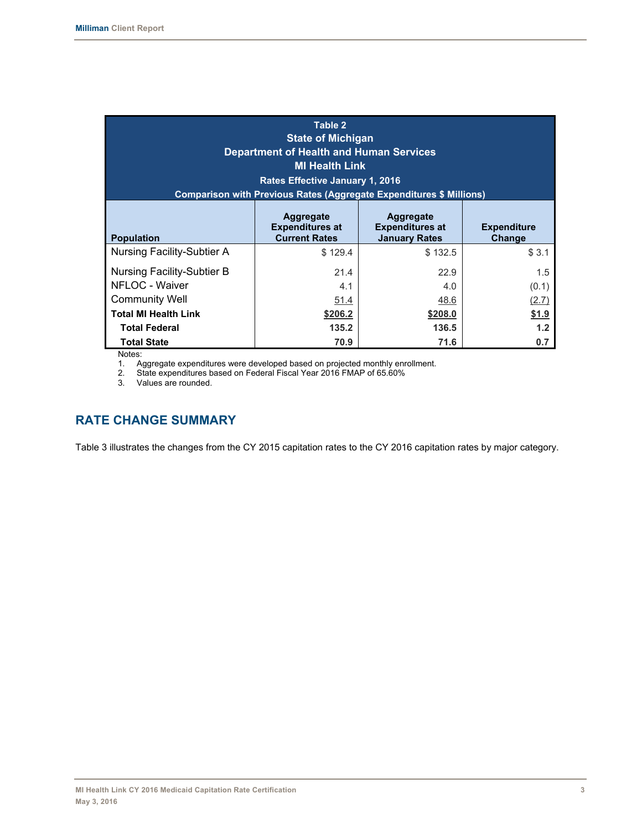| Table 2<br><b>State of Michigan</b><br><b>Department of Health and Human Services</b><br><b>MI Health Link</b><br><b>Rates Effective January 1, 2016</b><br><b>Comparison with Previous Rates (Aggregate Expenditures \$ Millions)</b> |                     |                     |                       |  |  |  |  |  |  |  |  |  |
|----------------------------------------------------------------------------------------------------------------------------------------------------------------------------------------------------------------------------------------|---------------------|---------------------|-----------------------|--|--|--|--|--|--|--|--|--|
| Aggregate<br>Aggregate<br><b>Expenditures at</b><br><b>Expenditures at</b><br><b>Expenditure</b><br><b>Current Rates</b><br><b>Population</b><br><b>January Rates</b><br>Change                                                        |                     |                     |                       |  |  |  |  |  |  |  |  |  |
| Nursing Facility-Subtier A                                                                                                                                                                                                             | \$129.4             | \$132.5             | \$3.1                 |  |  |  |  |  |  |  |  |  |
| Nursing Facility-Subtier B<br>NFLOC - Waiver<br><b>Community Well</b>                                                                                                                                                                  | 21.4<br>4.1<br>51.4 | 22.9<br>4.0<br>48.6 | 1.5<br>(0.1)<br>(2.7) |  |  |  |  |  |  |  |  |  |
| <b>Total MI Health Link</b>                                                                                                                                                                                                            | \$206.2             | \$208.0             | \$1.9                 |  |  |  |  |  |  |  |  |  |
| <b>Total Federal</b><br><b>Total State</b><br>Notes:                                                                                                                                                                                   | 135.2<br>70.9       | 136.5<br>71.6       | 1.2<br>0.7            |  |  |  |  |  |  |  |  |  |

Notes:

1. Aggregate expenditures were developed based on projected monthly enrollment.

2. State expenditures based on Federal Fiscal Year 2016 FMAP of 65.60%

3. Values are rounded.

# **RATE CHANGE SUMMARY**

Table 3 illustrates the changes from the CY 2015 capitation rates to the CY 2016 capitation rates by major category.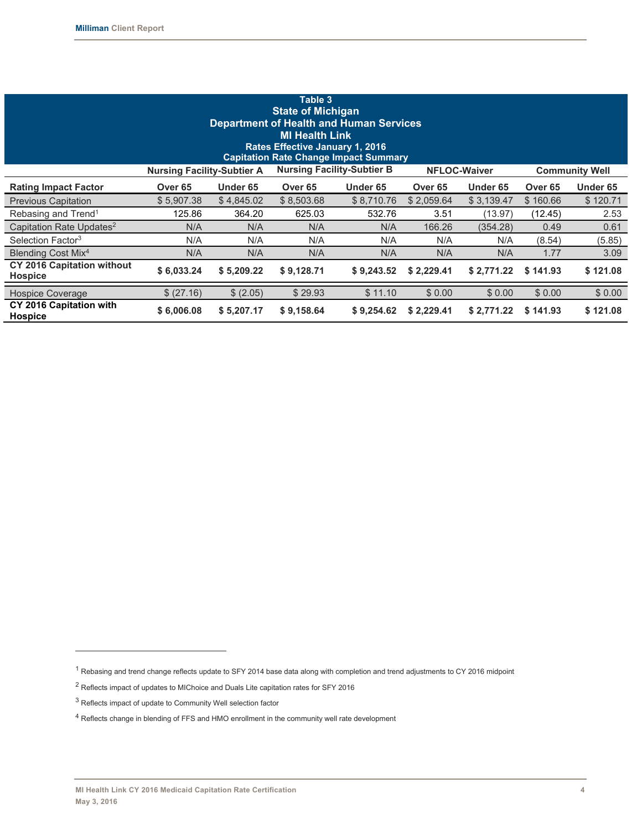| Table 3<br><b>State of Michigan</b><br><b>Department of Health and Human Services</b><br><b>MI Health Link</b><br><b>Rates Effective January 1, 2016</b><br><b>Capitation Rate Change Impact Summary</b> |                    |            |                    |            |                    |            |                    |          |  |  |  |  |  |
|----------------------------------------------------------------------------------------------------------------------------------------------------------------------------------------------------------|--------------------|------------|--------------------|------------|--------------------|------------|--------------------|----------|--|--|--|--|--|
| <b>Nursing Facility-Subtier B</b><br><b>NFLOC-Waiver</b><br><b>Nursing Facility-Subtier A</b><br><b>Community Well</b>                                                                                   |                    |            |                    |            |                    |            |                    |          |  |  |  |  |  |
| <b>Rating Impact Factor</b>                                                                                                                                                                              | Over <sub>65</sub> | Under 65   | Over <sub>65</sub> | Under 65   | Over <sub>65</sub> | Under 65   | Over <sub>65</sub> | Under 65 |  |  |  |  |  |
| <b>Previous Capitation</b>                                                                                                                                                                               | \$5,907.38         | \$4,845.02 | \$8,503.68         | \$8,710.76 | \$2,059.64         | \$3,139.47 | \$160.66           | \$120.71 |  |  |  |  |  |
| Rebasing and Trend <sup>1</sup>                                                                                                                                                                          | 125.86             | 364.20     | 625.03             | 532.76     | 3.51               | (13.97)    | (12.45)            | 2.53     |  |  |  |  |  |
| Capitation Rate Updates <sup>2</sup>                                                                                                                                                                     | N/A                | N/A        | N/A                | N/A        | 166.26             | (354.28)   | 0.49               | 0.61     |  |  |  |  |  |
| Selection Factor <sup>3</sup>                                                                                                                                                                            | N/A                | N/A        | N/A                | N/A        | N/A                | N/A        | (8.54)             | (5.85)   |  |  |  |  |  |
| Blending Cost Mix <sup>4</sup>                                                                                                                                                                           | N/A                | N/A        | N/A                | N/A        | N/A                | N/A        | 1.77               | 3.09     |  |  |  |  |  |
| <b>CY 2016 Capitation without</b><br><b>Hospice</b>                                                                                                                                                      | \$6,033.24         | \$5,209.22 | \$9,128.71         | \$9,243.52 | \$2,229.41         | \$2,771.22 | \$141.93           | \$121.08 |  |  |  |  |  |
| Hospice Coverage                                                                                                                                                                                         | \$ (27.16)         | \$ (2.05)  | \$29.93            | \$11.10    | \$0.00             | \$0.00     | \$0.00             | \$0.00   |  |  |  |  |  |
| CY 2016 Capitation with<br><b>Hospice</b>                                                                                                                                                                | \$6,006.08         | \$5,207.17 | \$9,158.64         | \$9,254.62 | \$2,229.41         | \$2,771.22 | \$141.93           | \$121.08 |  |  |  |  |  |

 $\overline{a}$ 

<sup>1</sup> Rebasing and trend change reflects update to SFY 2014 base data along with completion and trend adjustments to CY 2016 midpoint

<sup>2</sup> Reflects impact of updates to MIChoice and Duals Lite capitation rates for SFY 2016

 $^3$  Reflects impact of update to Community Well selection factor

<sup>4</sup> Reflects change in blending of FFS and HMO enrollment in the community well rate development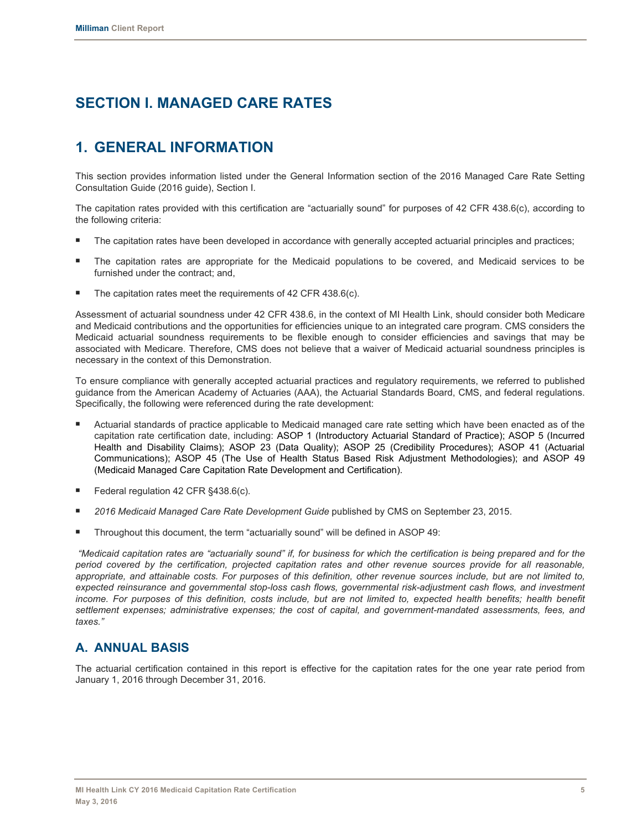# **SECTION I. MANAGED CARE RATES**

# **1. GENERAL INFORMATION**

This section provides information listed under the General Information section of the 2016 Managed Care Rate Setting Consultation Guide (2016 guide), Section I.

The capitation rates provided with this certification are "actuarially sound" for purposes of 42 CFR 438.6(c), according to the following criteria:

- The capitation rates have been developed in accordance with generally accepted actuarial principles and practices;
- The capitation rates are appropriate for the Medicaid populations to be covered, and Medicaid services to be furnished under the contract; and,
- The capitation rates meet the requirements of 42 CFR 438.6(c).

Assessment of actuarial soundness under 42 CFR 438.6, in the context of MI Health Link, should consider both Medicare and Medicaid contributions and the opportunities for efficiencies unique to an integrated care program. CMS considers the Medicaid actuarial soundness requirements to be flexible enough to consider efficiencies and savings that may be associated with Medicare. Therefore, CMS does not believe that a waiver of Medicaid actuarial soundness principles is necessary in the context of this Demonstration.

To ensure compliance with generally accepted actuarial practices and regulatory requirements, we referred to published guidance from the American Academy of Actuaries (AAA), the Actuarial Standards Board, CMS, and federal regulations. Specifically, the following were referenced during the rate development:

- Actuarial standards of practice applicable to Medicaid managed care rate setting which have been enacted as of the capitation rate certification date, including: ASOP 1 (Introductory Actuarial Standard of Practice); ASOP 5 (Incurred Health and Disability Claims); ASOP 23 (Data Quality); ASOP 25 (Credibility Procedures); ASOP 41 (Actuarial Communications); ASOP 45 (The Use of Health Status Based Risk Adjustment Methodologies); and ASOP 49 (Medicaid Managed Care Capitation Rate Development and Certification).
- Federal regulation 42 CFR §438.6(c).
- *2016 Medicaid Managed Care Rate Development Guide* published by CMS on September 23, 2015.
- Throughout this document, the term "actuarially sound" will be defined in ASOP 49:

 *"Medicaid capitation rates are "actuarially sound" if, for business for which the certification is being prepared and for the period covered by the certification, projected capitation rates and other revenue sources provide for all reasonable, appropriate, and attainable costs. For purposes of this definition, other revenue sources include, but are not limited to, expected reinsurance and governmental stop-loss cash flows, governmental risk-adjustment cash flows, and investment*  income. For purposes of this definition, costs include, but are not limited to, expected health benefits; health benefit *settlement expenses; administrative expenses; the cost of capital, and government-mandated assessments, fees, and taxes."*

## **A. ANNUAL BASIS**

The actuarial certification contained in this report is effective for the capitation rates for the one year rate period from January 1, 2016 through December 31, 2016.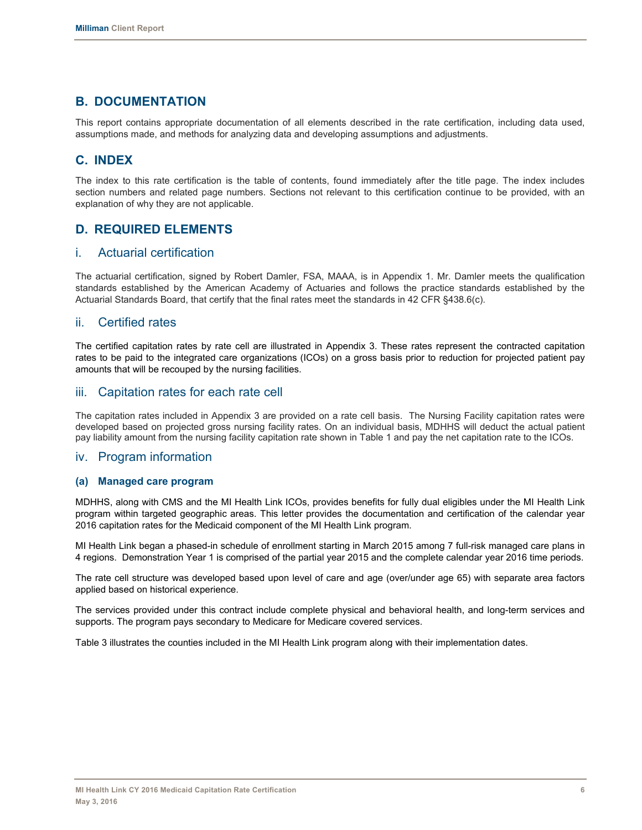# **B. DOCUMENTATION**

This report contains appropriate documentation of all elements described in the rate certification, including data used, assumptions made, and methods for analyzing data and developing assumptions and adjustments.

# **C. INDEX**

The index to this rate certification is the table of contents, found immediately after the title page. The index includes section numbers and related page numbers. Sections not relevant to this certification continue to be provided, with an explanation of why they are not applicable.

# **D. REQUIRED ELEMENTS**

## i. Actuarial certification

The actuarial certification, signed by Robert Damler, FSA, MAAA, is in Appendix 1. Mr. Damler meets the qualification standards established by the American Academy of Actuaries and follows the practice standards established by the Actuarial Standards Board, that certify that the final rates meet the standards in 42 CFR §438.6(c).

## ii. Certified rates

The certified capitation rates by rate cell are illustrated in Appendix 3. These rates represent the contracted capitation rates to be paid to the integrated care organizations (ICOs) on a gross basis prior to reduction for projected patient pay amounts that will be recouped by the nursing facilities.

## iii. Capitation rates for each rate cell

The capitation rates included in Appendix 3 are provided on a rate cell basis. The Nursing Facility capitation rates were developed based on projected gross nursing facility rates. On an individual basis, MDHHS will deduct the actual patient pay liability amount from the nursing facility capitation rate shown in Table 1 and pay the net capitation rate to the ICOs.

### iv. Program information

#### **(a) Managed care program**

MDHHS, along with CMS and the MI Health Link ICOs, provides benefits for fully dual eligibles under the MI Health Link program within targeted geographic areas. This letter provides the documentation and certification of the calendar year 2016 capitation rates for the Medicaid component of the MI Health Link program.

MI Health Link began a phased-in schedule of enrollment starting in March 2015 among 7 full-risk managed care plans in 4 regions. Demonstration Year 1 is comprised of the partial year 2015 and the complete calendar year 2016 time periods.

The rate cell structure was developed based upon level of care and age (over/under age 65) with separate area factors applied based on historical experience.

The services provided under this contract include complete physical and behavioral health, and long-term services and supports. The program pays secondary to Medicare for Medicare covered services.

Table 3 illustrates the counties included in the MI Health Link program along with their implementation dates.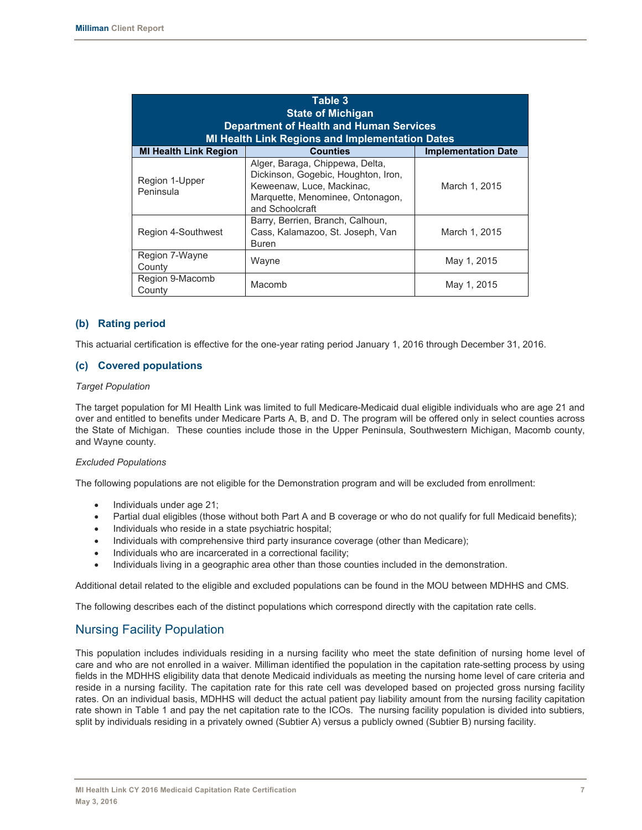| Table 3<br><b>State of Michigan</b><br><b>Department of Health and Human Services</b><br><b>MI Health Link Regions and Implementation Dates</b> |                                                                                                                                                            |               |  |  |  |  |  |  |  |  |  |  |
|-------------------------------------------------------------------------------------------------------------------------------------------------|------------------------------------------------------------------------------------------------------------------------------------------------------------|---------------|--|--|--|--|--|--|--|--|--|--|
| <b>Counties</b><br><b>MI Health Link Region</b><br><b>Implementation Date</b>                                                                   |                                                                                                                                                            |               |  |  |  |  |  |  |  |  |  |  |
| Region 1-Upper<br>Peninsula                                                                                                                     | Alger, Baraga, Chippewa, Delta,<br>Dickinson, Gogebic, Houghton, Iron,<br>Keweenaw, Luce, Mackinac,<br>Marquette, Menominee, Ontonagon,<br>and Schoolcraft | March 1, 2015 |  |  |  |  |  |  |  |  |  |  |
| Region 4-Southwest                                                                                                                              | Barry, Berrien, Branch, Calhoun,<br>Cass, Kalamazoo, St. Joseph, Van<br><b>Buren</b>                                                                       | March 1, 2015 |  |  |  |  |  |  |  |  |  |  |
| Region 7-Wayne<br>County                                                                                                                        | Wayne                                                                                                                                                      | May 1, 2015   |  |  |  |  |  |  |  |  |  |  |
| Region 9-Macomb<br>County                                                                                                                       | Macomb                                                                                                                                                     | May 1, 2015   |  |  |  |  |  |  |  |  |  |  |

#### **(b) Rating period**

This actuarial certification is effective for the one-year rating period January 1, 2016 through December 31, 2016.

#### **(c) Covered populations**

#### *Target Population*

The target population for MI Health Link was limited to full Medicare-Medicaid dual eligible individuals who are age 21 and over and entitled to benefits under Medicare Parts A, B, and D. The program will be offered only in select counties across the State of Michigan. These counties include those in the Upper Peninsula, Southwestern Michigan, Macomb county, and Wayne county.

#### *Excluded Populations*

The following populations are not eligible for the Demonstration program and will be excluded from enrollment:

- Individuals under age 21;
- Partial dual eligibles (those without both Part A and B coverage or who do not qualify for full Medicaid benefits);
- Individuals who reside in a state psychiatric hospital;
- Individuals with comprehensive third party insurance coverage (other than Medicare);
- Individuals who are incarcerated in a correctional facility;
- Individuals living in a geographic area other than those counties included in the demonstration.

Additional detail related to the eligible and excluded populations can be found in the MOU between MDHHS and CMS.

The following describes each of the distinct populations which correspond directly with the capitation rate cells.

#### Nursing Facility Population

This population includes individuals residing in a nursing facility who meet the state definition of nursing home level of care and who are not enrolled in a waiver. Milliman identified the population in the capitation rate-setting process by using fields in the MDHHS eligibility data that denote Medicaid individuals as meeting the nursing home level of care criteria and reside in a nursing facility. The capitation rate for this rate cell was developed based on projected gross nursing facility rates. On an individual basis, MDHHS will deduct the actual patient pay liability amount from the nursing facility capitation rate shown in Table 1 and pay the net capitation rate to the ICOs. The nursing facility population is divided into subtiers, split by individuals residing in a privately owned (Subtier A) versus a publicly owned (Subtier B) nursing facility.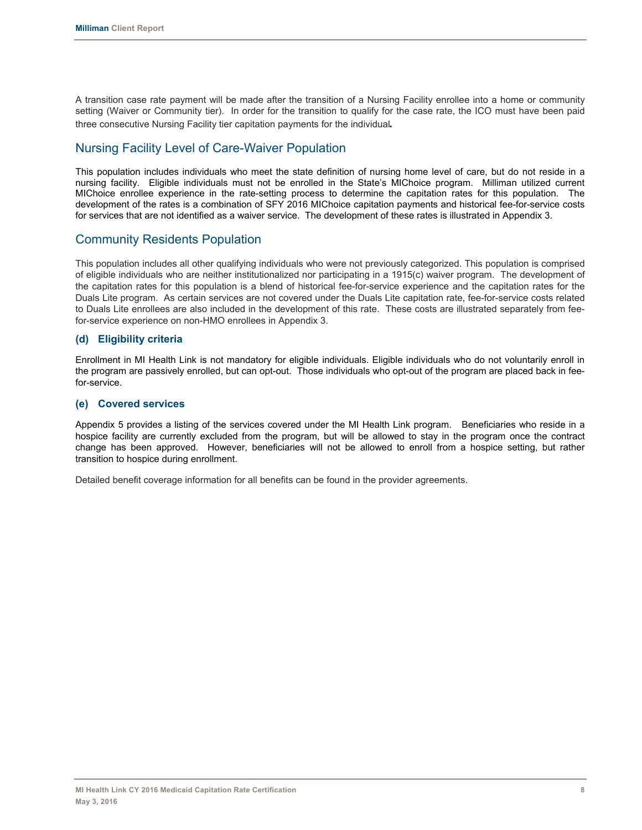A transition case rate payment will be made after the transition of a Nursing Facility enrollee into a home or community setting (Waiver or Community tier). In order for the transition to qualify for the case rate, the ICO must have been paid three consecutive Nursing Facility tier capitation payments for the individual*.*

## Nursing Facility Level of Care-Waiver Population

This population includes individuals who meet the state definition of nursing home level of care, but do not reside in a nursing facility. Eligible individuals must not be enrolled in the State's MIChoice program. Milliman utilized current MIChoice enrollee experience in the rate-setting process to determine the capitation rates for this population. The development of the rates is a combination of SFY 2016 MIChoice capitation payments and historical fee-for-service costs for services that are not identified as a waiver service. The development of these rates is illustrated in Appendix 3.

## Community Residents Population

This population includes all other qualifying individuals who were not previously categorized. This population is comprised of eligible individuals who are neither institutionalized nor participating in a 1915(c) waiver program. The development of the capitation rates for this population is a blend of historical fee-for-service experience and the capitation rates for the Duals Lite program. As certain services are not covered under the Duals Lite capitation rate, fee-for-service costs related to Duals Lite enrollees are also included in the development of this rate. These costs are illustrated separately from feefor-service experience on non-HMO enrollees in Appendix 3.

#### **(d) Eligibility criteria**

Enrollment in MI Health Link is not mandatory for eligible individuals. Eligible individuals who do not voluntarily enroll in the program are passively enrolled, but can opt-out. Those individuals who opt-out of the program are placed back in feefor-service.

#### **(e) Covered services**

Appendix 5 provides a listing of the services covered under the MI Health Link program. Beneficiaries who reside in a hospice facility are currently excluded from the program, but will be allowed to stay in the program once the contract change has been approved. However, beneficiaries will not be allowed to enroll from a hospice setting, but rather transition to hospice during enrollment.

Detailed benefit coverage information for all benefits can be found in the provider agreements.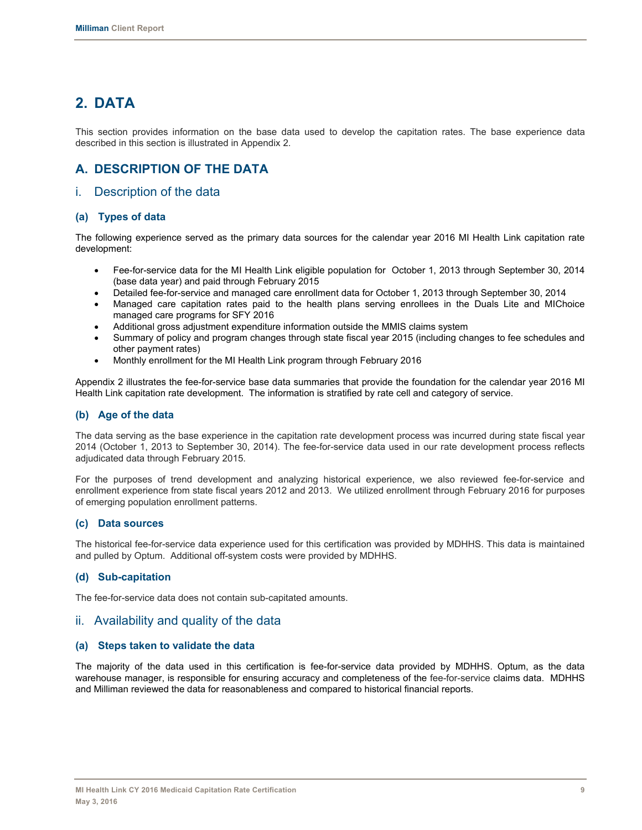# **2. DATA**

This section provides information on the base data used to develop the capitation rates. The base experience data described in this section is illustrated in Appendix 2.

# **A. DESCRIPTION OF THE DATA**

### i. Description of the data

#### **(a) Types of data**

The following experience served as the primary data sources for the calendar year 2016 MI Health Link capitation rate development:

- Fee-for-service data for the MI Health Link eligible population for October 1, 2013 through September 30, 2014 (base data year) and paid through February 2015
- Detailed fee-for-service and managed care enrollment data for October 1, 2013 through September 30, 2014
- Managed care capitation rates paid to the health plans serving enrollees in the Duals Lite and MIChoice managed care programs for SFY 2016
- x Additional gross adjustment expenditure information outside the MMIS claims system
- Summary of policy and program changes through state fiscal year 2015 (including changes to fee schedules and other payment rates)
- Monthly enrollment for the MI Health Link program through February 2016

Appendix 2 illustrates the fee-for-service base data summaries that provide the foundation for the calendar year 2016 MI Health Link capitation rate development. The information is stratified by rate cell and category of service.

#### **(b) Age of the data**

The data serving as the base experience in the capitation rate development process was incurred during state fiscal year 2014 (October 1, 2013 to September 30, 2014). The fee-for-service data used in our rate development process reflects adjudicated data through February 2015.

For the purposes of trend development and analyzing historical experience, we also reviewed fee-for-service and enrollment experience from state fiscal years 2012 and 2013. We utilized enrollment through February 2016 for purposes of emerging population enrollment patterns.

#### **(c) Data sources**

The historical fee-for-service data experience used for this certification was provided by MDHHS. This data is maintained and pulled by Optum. Additional off-system costs were provided by MDHHS.

#### **(d) Sub-capitation**

The fee-for-service data does not contain sub-capitated amounts.

#### ii. Availability and quality of the data

#### **(a) Steps taken to validate the data**

The majority of the data used in this certification is fee-for-service data provided by MDHHS. Optum, as the data warehouse manager, is responsible for ensuring accuracy and completeness of the fee-for-service claims data. MDHHS and Milliman reviewed the data for reasonableness and compared to historical financial reports.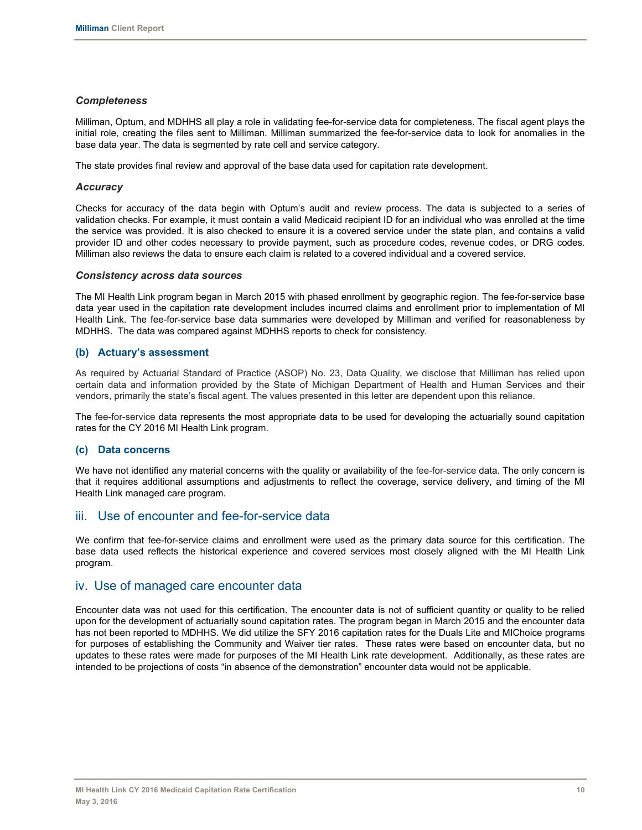#### *Completeness*

Milliman, Optum, and MDHHS all play a role in validating fee-for-service data for completeness. The fiscal agent plays the initial role, creating the files sent to Milliman. Milliman summarized the fee-for-service data to look for anomalies in the base data year. The data is segmented by rate cell and service category.

The state provides final review and approval of the base data used for capitation rate development.

#### *Accuracy*

Checks for accuracy of the data begin with Optum's audit and review process. The data is subjected to a series of validation checks. For example, it must contain a valid Medicaid recipient ID for an individual who was enrolled at the time the service was provided. It is also checked to ensure it is a covered service under the state plan, and contains a valid provider ID and other codes necessary to provide payment, such as procedure codes, revenue codes, or DRG codes. Milliman also reviews the data to ensure each claim is related to a covered individual and a covered service.

#### *Consistency across data sources*

The MI Health Link program began in March 2015 with phased enrollment by geographic region. The fee-for-service base data year used in the capitation rate development includes incurred claims and enrollment prior to implementation of MI Health Link. The fee-for-service base data summaries were developed by Milliman and verified for reasonableness by MDHHS. The data was compared against MDHHS reports to check for consistency.

#### **(b) Actuary's assessment**

As required by Actuarial Standard of Practice (ASOP) No. 23, Data Quality, we disclose that Milliman has relied upon certain data and information provided by the State of Michigan Department of Health and Human Services and their vendors, primarily the state's fiscal agent. The values presented in this letter are dependent upon this reliance.

The fee-for-service data represents the most appropriate data to be used for developing the actuarially sound capitation rates for the CY 2016 MI Health Link program.

#### **(c) Data concerns**

We have not identified any material concerns with the quality or availability of the fee-for-service data. The only concern is that it requires additional assumptions and adjustments to reflect the coverage, service delivery, and timing of the MI Health Link managed care program.

### iii. Use of encounter and fee-for-service data

We confirm that fee-for-service claims and enrollment were used as the primary data source for this certification. The base data used reflects the historical experience and covered services most closely aligned with the MI Health Link program.

#### iv. Use of managed care encounter data

Encounter data was not used for this certification. The encounter data is not of sufficient quantity or quality to be relied upon for the development of actuarially sound capitation rates. The program began in March 2015 and the encounter data has not been reported to MDHHS. We did utilize the SFY 2016 capitation rates for the Duals Lite and MIChoice programs for purposes of establishing the Community and Waiver tier rates. These rates were based on encounter data, but no updates to these rates were made for purposes of the MI Health Link rate development. Additionally, as these rates are intended to be projections of costs "in absence of the demonstration" encounter data would not be applicable.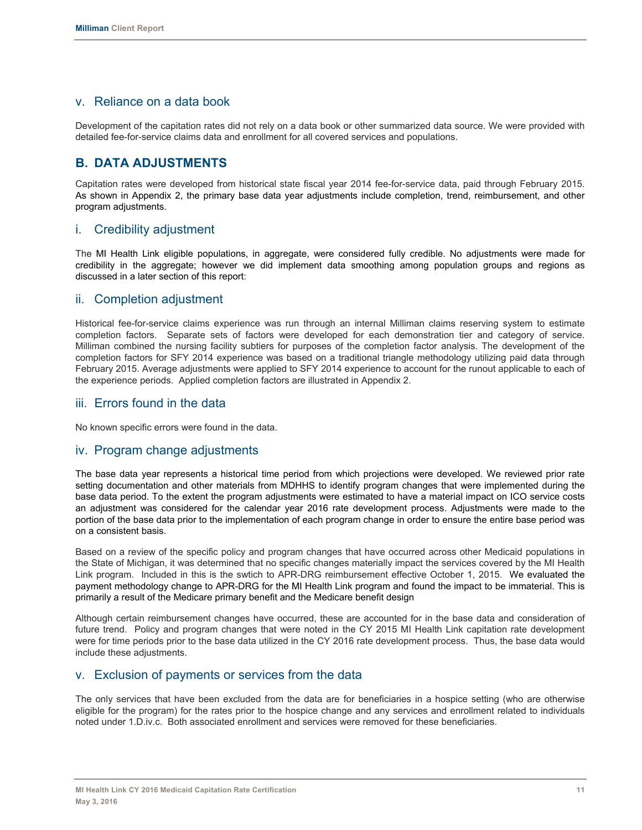## v. Reliance on a data book

Development of the capitation rates did not rely on a data book or other summarized data source. We were provided with detailed fee-for-service claims data and enrollment for all covered services and populations.

# **B. DATA ADJUSTMENTS**

Capitation rates were developed from historical state fiscal year 2014 fee-for-service data, paid through February 2015. As shown in Appendix 2, the primary base data year adjustments include completion, trend, reimbursement, and other program adjustments.

## i. Credibility adjustment

The MI Health Link eligible populations, in aggregate, were considered fully credible. No adjustments were made for credibility in the aggregate; however we did implement data smoothing among population groups and regions as discussed in a later section of this report:

### ii. Completion adjustment

Historical fee-for-service claims experience was run through an internal Milliman claims reserving system to estimate completion factors. Separate sets of factors were developed for each demonstration tier and category of service. Milliman combined the nursing facility subtiers for purposes of the completion factor analysis. The development of the completion factors for SFY 2014 experience was based on a traditional triangle methodology utilizing paid data through February 2015. Average adjustments were applied to SFY 2014 experience to account for the runout applicable to each of the experience periods. Applied completion factors are illustrated in Appendix 2.

## iii. Errors found in the data

No known specific errors were found in the data.

#### iv. Program change adjustments

The base data year represents a historical time period from which projections were developed. We reviewed prior rate setting documentation and other materials from MDHHS to identify program changes that were implemented during the base data period. To the extent the program adjustments were estimated to have a material impact on ICO service costs an adjustment was considered for the calendar year 2016 rate development process. Adjustments were made to the portion of the base data prior to the implementation of each program change in order to ensure the entire base period was on a consistent basis.

Based on a review of the specific policy and program changes that have occurred across other Medicaid populations in the State of Michigan, it was determined that no specific changes materially impact the services covered by the MI Health Link program. Included in this is the swtich to APR-DRG reimbursement effective October 1, 2015. We evaluated the payment methodology change to APR-DRG for the MI Health Link program and found the impact to be immaterial. This is primarily a result of the Medicare primary benefit and the Medicare benefit design

Although certain reimbursement changes have occurred, these are accounted for in the base data and consideration of future trend. Policy and program changes that were noted in the CY 2015 MI Health Link capitation rate development were for time periods prior to the base data utilized in the CY 2016 rate development process. Thus, the base data would include these adjustments.

### v. Exclusion of payments or services from the data

The only services that have been excluded from the data are for beneficiaries in a hospice setting (who are otherwise eligible for the program) for the rates prior to the hospice change and any services and enrollment related to individuals noted under 1.D.iv.c. Both associated enrollment and services were removed for these beneficiaries.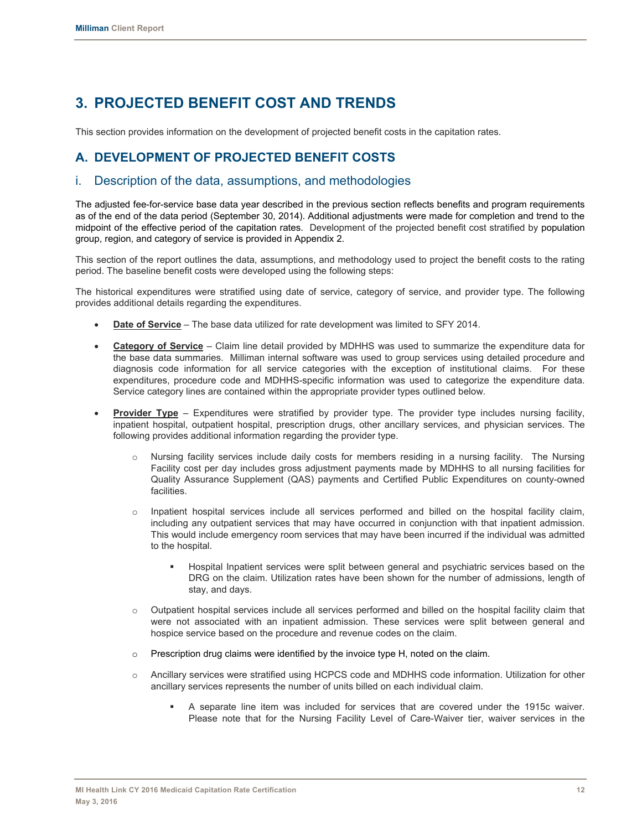# **3. PROJECTED BENEFIT COST AND TRENDS**

This section provides information on the development of projected benefit costs in the capitation rates.

# **A. DEVELOPMENT OF PROJECTED BENEFIT COSTS**

## i. Description of the data, assumptions, and methodologies

The adjusted fee-for-service base data year described in the previous section reflects benefits and program requirements as of the end of the data period (September 30, 2014). Additional adjustments were made for completion and trend to the midpoint of the effective period of the capitation rates. Development of the projected benefit cost stratified by population group, region, and category of service is provided in Appendix 2.

This section of the report outlines the data, assumptions, and methodology used to project the benefit costs to the rating period. The baseline benefit costs were developed using the following steps:

The historical expenditures were stratified using date of service, category of service, and provider type. The following provides additional details regarding the expenditures.

- **Date of Service** The base data utilized for rate development was limited to SFY 2014.
- **Category of Service** Claim line detail provided by MDHHS was used to summarize the expenditure data for the base data summaries. Milliman internal software was used to group services using detailed procedure and diagnosis code information for all service categories with the exception of institutional claims. For these expenditures, procedure code and MDHHS-specific information was used to categorize the expenditure data. Service category lines are contained within the appropriate provider types outlined below.
- **Provider Type** Expenditures were stratified by provider type. The provider type includes nursing facility, inpatient hospital, outpatient hospital, prescription drugs, other ancillary services, and physician services. The following provides additional information regarding the provider type.
	- o Nursing facility services include daily costs for members residing in a nursing facility. The Nursing Facility cost per day includes gross adjustment payments made by MDHHS to all nursing facilities for Quality Assurance Supplement (QAS) payments and Certified Public Expenditures on county-owned facilities.
	- o Inpatient hospital services include all services performed and billed on the hospital facility claim, including any outpatient services that may have occurred in conjunction with that inpatient admission. This would include emergency room services that may have been incurred if the individual was admitted to the hospital.
		- Hospital Inpatient services were split between general and psychiatric services based on the DRG on the claim. Utilization rates have been shown for the number of admissions, length of stay, and days.
	- o Outpatient hospital services include all services performed and billed on the hospital facility claim that were not associated with an inpatient admission. These services were split between general and hospice service based on the procedure and revenue codes on the claim.
	- $\circ$  Prescription drug claims were identified by the invoice type H, noted on the claim.
	- o Ancillary services were stratified using HCPCS code and MDHHS code information. Utilization for other ancillary services represents the number of units billed on each individual claim.
		- A separate line item was included for services that are covered under the 1915c waiver. Please note that for the Nursing Facility Level of Care-Waiver tier, waiver services in the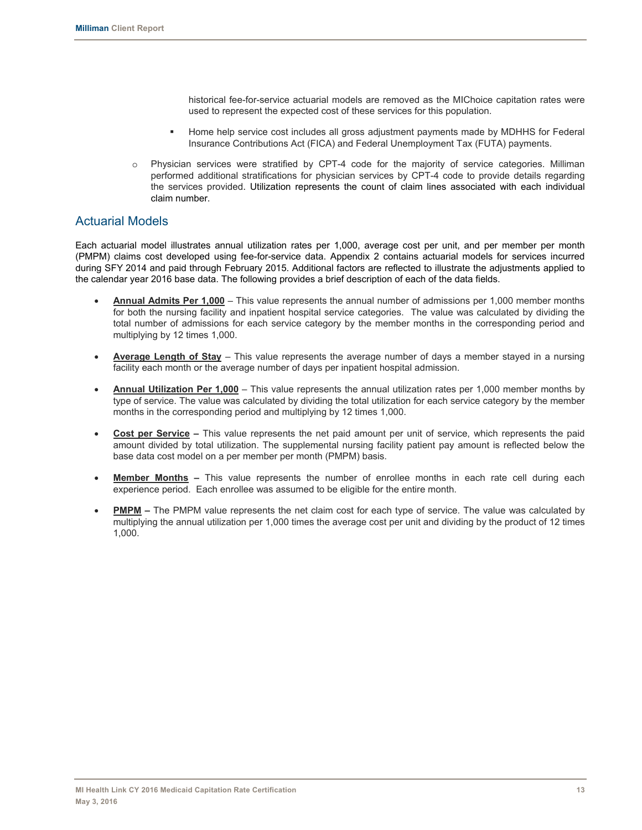historical fee-for-service actuarial models are removed as the MIChoice capitation rates were used to represent the expected cost of these services for this population.

- Home help service cost includes all gross adjustment payments made by MDHHS for Federal Insurance Contributions Act (FICA) and Federal Unemployment Tax (FUTA) payments.
- o Physician services were stratified by CPT-4 code for the majority of service categories. Milliman performed additional stratifications for physician services by CPT-4 code to provide details regarding the services provided. Utilization represents the count of claim lines associated with each individual claim number.

## Actuarial Models

Each actuarial model illustrates annual utilization rates per 1,000, average cost per unit, and per member per month (PMPM) claims cost developed using fee-for-service data. Appendix 2 contains actuarial models for services incurred during SFY 2014 and paid through February 2015. Additional factors are reflected to illustrate the adjustments applied to the calendar year 2016 base data. The following provides a brief description of each of the data fields.

- x **Annual Admits Per 1,000** This value represents the annual number of admissions per 1,000 member months for both the nursing facility and inpatient hospital service categories. The value was calculated by dividing the total number of admissions for each service category by the member months in the corresponding period and multiplying by 12 times 1,000.
- x **Average Length of Stay** This value represents the average number of days a member stayed in a nursing facility each month or the average number of days per inpatient hospital admission.
- **Annual Utilization Per 1,000** This value represents the annual utilization rates per 1,000 member months by type of service. The value was calculated by dividing the total utilization for each service category by the member months in the corresponding period and multiplying by 12 times 1,000.
- **Cost per Service –** This value represents the net paid amount per unit of service, which represents the paid amount divided by total utilization. The supplemental nursing facility patient pay amount is reflected below the base data cost model on a per member per month (PMPM) basis.
- **Member Months –** This value represents the number of enrollee months in each rate cell during each experience period. Each enrollee was assumed to be eligible for the entire month.
- **PMPM –** The PMPM value represents the net claim cost for each type of service. The value was calculated by multiplying the annual utilization per 1,000 times the average cost per unit and dividing by the product of 12 times 1,000.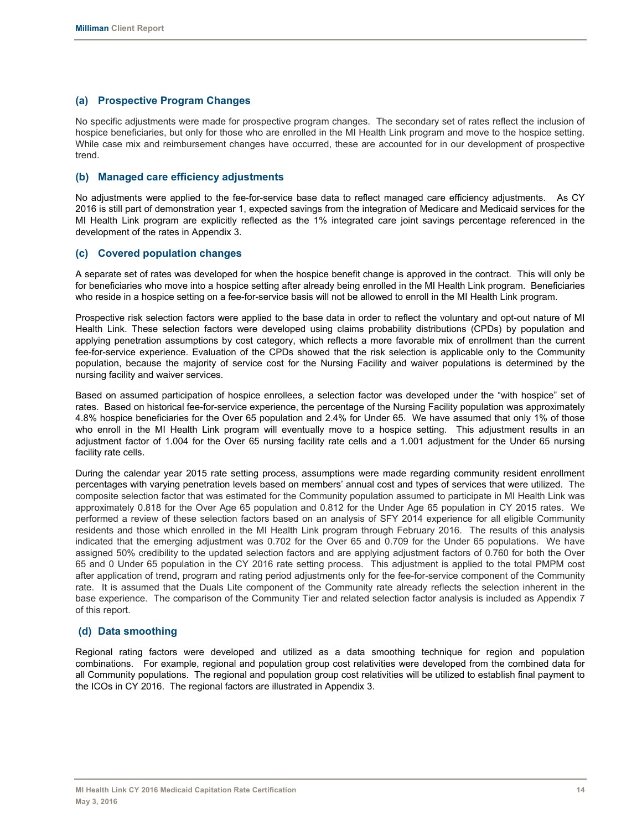#### **(a) Prospective Program Changes**

No specific adjustments were made for prospective program changes. The secondary set of rates reflect the inclusion of hospice beneficiaries, but only for those who are enrolled in the MI Health Link program and move to the hospice setting. While case mix and reimbursement changes have occurred, these are accounted for in our development of prospective trend.

#### **(b) Managed care efficiency adjustments**

No adjustments were applied to the fee-for-service base data to reflect managed care efficiency adjustments. As CY 2016 is still part of demonstration year 1, expected savings from the integration of Medicare and Medicaid services for the MI Health Link program are explicitly reflected as the 1% integrated care joint savings percentage referenced in the development of the rates in Appendix 3.

#### **(c) Covered population changes**

A separate set of rates was developed for when the hospice benefit change is approved in the contract. This will only be for beneficiaries who move into a hospice setting after already being enrolled in the MI Health Link program. Beneficiaries who reside in a hospice setting on a fee-for-service basis will not be allowed to enroll in the MI Health Link program.

Prospective risk selection factors were applied to the base data in order to reflect the voluntary and opt-out nature of MI Health Link. These selection factors were developed using claims probability distributions (CPDs) by population and applying penetration assumptions by cost category, which reflects a more favorable mix of enrollment than the current fee-for-service experience. Evaluation of the CPDs showed that the risk selection is applicable only to the Community population, because the majority of service cost for the Nursing Facility and waiver populations is determined by the nursing facility and waiver services.

Based on assumed participation of hospice enrollees, a selection factor was developed under the "with hospice" set of rates. Based on historical fee-for-service experience, the percentage of the Nursing Facility population was approximately 4.8% hospice beneficiaries for the Over 65 population and 2.4% for Under 65. We have assumed that only 1% of those who enroll in the MI Health Link program will eventually move to a hospice setting. This adjustment results in an adjustment factor of 1.004 for the Over 65 nursing facility rate cells and a 1.001 adjustment for the Under 65 nursing facility rate cells.

During the calendar year 2015 rate setting process, assumptions were made regarding community resident enrollment percentages with varying penetration levels based on members' annual cost and types of services that were utilized. The composite selection factor that was estimated for the Community population assumed to participate in MI Health Link was approximately 0.818 for the Over Age 65 population and 0.812 for the Under Age 65 population in CY 2015 rates. We performed a review of these selection factors based on an analysis of SFY 2014 experience for all eligible Community residents and those which enrolled in the MI Health Link program through February 2016. The results of this analysis indicated that the emerging adjustment was 0.702 for the Over 65 and 0.709 for the Under 65 populations. We have assigned 50% credibility to the updated selection factors and are applying adjustment factors of 0.760 for both the Over 65 and 0 Under 65 population in the CY 2016 rate setting process. This adjustment is applied to the total PMPM cost after application of trend, program and rating period adjustments only for the fee-for-service component of the Community rate. It is assumed that the Duals Lite component of the Community rate already reflects the selection inherent in the base experience. The comparison of the Community Tier and related selection factor analysis is included as Appendix 7 of this report.

#### **(d) Data smoothing**

Regional rating factors were developed and utilized as a data smoothing technique for region and population combinations. For example, regional and population group cost relativities were developed from the combined data for all Community populations. The regional and population group cost relativities will be utilized to establish final payment to the ICOs in CY 2016. The regional factors are illustrated in Appendix 3.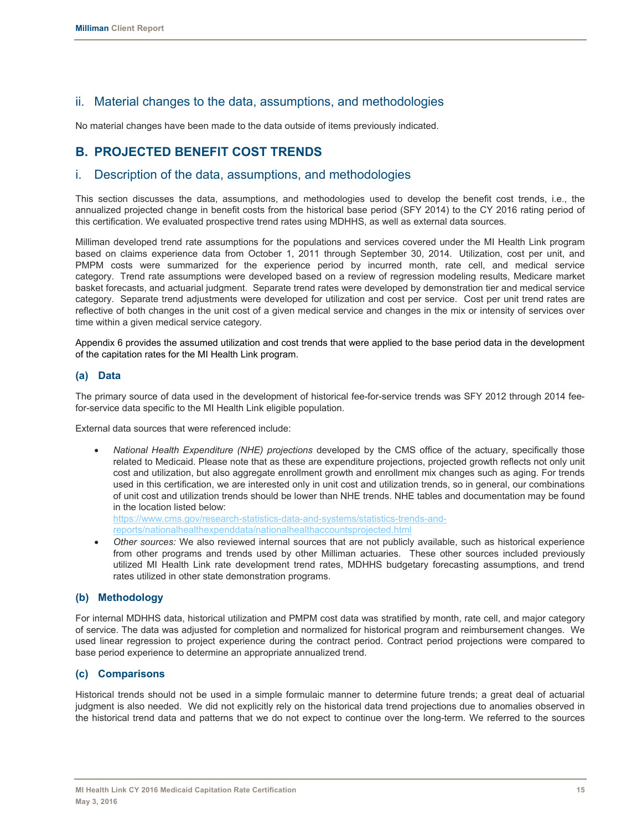# ii. Material changes to the data, assumptions, and methodologies

No material changes have been made to the data outside of items previously indicated.

## **B. PROJECTED BENEFIT COST TRENDS**

### i. Description of the data, assumptions, and methodologies

This section discusses the data, assumptions, and methodologies used to develop the benefit cost trends, i.e., the annualized projected change in benefit costs from the historical base period (SFY 2014) to the CY 2016 rating period of this certification. We evaluated prospective trend rates using MDHHS, as well as external data sources.

Milliman developed trend rate assumptions for the populations and services covered under the MI Health Link program based on claims experience data from October 1, 2011 through September 30, 2014. Utilization, cost per unit, and PMPM costs were summarized for the experience period by incurred month, rate cell, and medical service category. Trend rate assumptions were developed based on a review of regression modeling results, Medicare market basket forecasts, and actuarial judgment. Separate trend rates were developed by demonstration tier and medical service category. Separate trend adjustments were developed for utilization and cost per service. Cost per unit trend rates are reflective of both changes in the unit cost of a given medical service and changes in the mix or intensity of services over time within a given medical service category.

Appendix 6 provides the assumed utilization and cost trends that were applied to the base period data in the development of the capitation rates for the MI Health Link program.

#### **(a) Data**

The primary source of data used in the development of historical fee-for-service trends was SFY 2012 through 2014 feefor-service data specific to the MI Health Link eligible population.

External data sources that were referenced include:

x *National Health Expenditure (NHE) projections* developed by the CMS office of the actuary, specifically those related to Medicaid. Please note that as these are expenditure projections, projected growth reflects not only unit cost and utilization, but also aggregate enrollment growth and enrollment mix changes such as aging. For trends used in this certification, we are interested only in unit cost and utilization trends, so in general, our combinations of unit cost and utilization trends should be lower than NHE trends. NHE tables and documentation may be found in the location listed below: https://www.cms.gov/research-statistics-data-and-systems/statistics-trends-and-

reports/nationalhealthexpenddata/nationalhealthaccountsprojected.html

Other sources: We also reviewed internal sources that are not publicly available, such as historical experience from other programs and trends used by other Milliman actuaries. These other sources included previously utilized MI Health Link rate development trend rates, MDHHS budgetary forecasting assumptions, and trend rates utilized in other state demonstration programs.

#### **(b) Methodology**

For internal MDHHS data, historical utilization and PMPM cost data was stratified by month, rate cell, and major category of service. The data was adjusted for completion and normalized for historical program and reimbursement changes. We used linear regression to project experience during the contract period. Contract period projections were compared to base period experience to determine an appropriate annualized trend.

#### **(c) Comparisons**

Historical trends should not be used in a simple formulaic manner to determine future trends; a great deal of actuarial judgment is also needed. We did not explicitly rely on the historical data trend projections due to anomalies observed in the historical trend data and patterns that we do not expect to continue over the long-term. We referred to the sources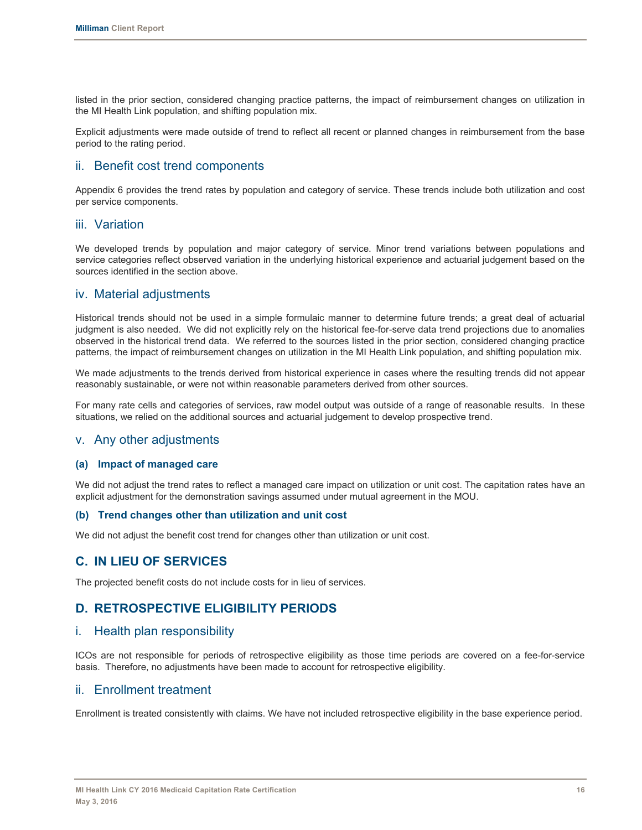listed in the prior section, considered changing practice patterns, the impact of reimbursement changes on utilization in the MI Health Link population, and shifting population mix.

Explicit adjustments were made outside of trend to reflect all recent or planned changes in reimbursement from the base period to the rating period.

### ii. Benefit cost trend components

Appendix 6 provides the trend rates by population and category of service. These trends include both utilization and cost per service components.

#### iii. Variation

We developed trends by population and major category of service. Minor trend variations between populations and service categories reflect observed variation in the underlying historical experience and actuarial judgement based on the sources identified in the section above.

### iv. Material adjustments

Historical trends should not be used in a simple formulaic manner to determine future trends; a great deal of actuarial judgment is also needed. We did not explicitly rely on the historical fee-for-serve data trend projections due to anomalies observed in the historical trend data. We referred to the sources listed in the prior section, considered changing practice patterns, the impact of reimbursement changes on utilization in the MI Health Link population, and shifting population mix.

We made adjustments to the trends derived from historical experience in cases where the resulting trends did not appear reasonably sustainable, or were not within reasonable parameters derived from other sources.

For many rate cells and categories of services, raw model output was outside of a range of reasonable results. In these situations, we relied on the additional sources and actuarial judgement to develop prospective trend.

### v. Any other adjustments

#### **(a) Impact of managed care**

We did not adjust the trend rates to reflect a managed care impact on utilization or unit cost. The capitation rates have an explicit adjustment for the demonstration savings assumed under mutual agreement in the MOU.

#### **(b) Trend changes other than utilization and unit cost**

We did not adjust the benefit cost trend for changes other than utilization or unit cost.

### **C. IN LIEU OF SERVICES**

The projected benefit costs do not include costs for in lieu of services.

## **D. RETROSPECTIVE ELIGIBILITY PERIODS**

### i. Health plan responsibility

ICOs are not responsible for periods of retrospective eligibility as those time periods are covered on a fee-for-service basis. Therefore, no adjustments have been made to account for retrospective eligibility.

### ii. Enrollment treatment

Enrollment is treated consistently with claims. We have not included retrospective eligibility in the base experience period.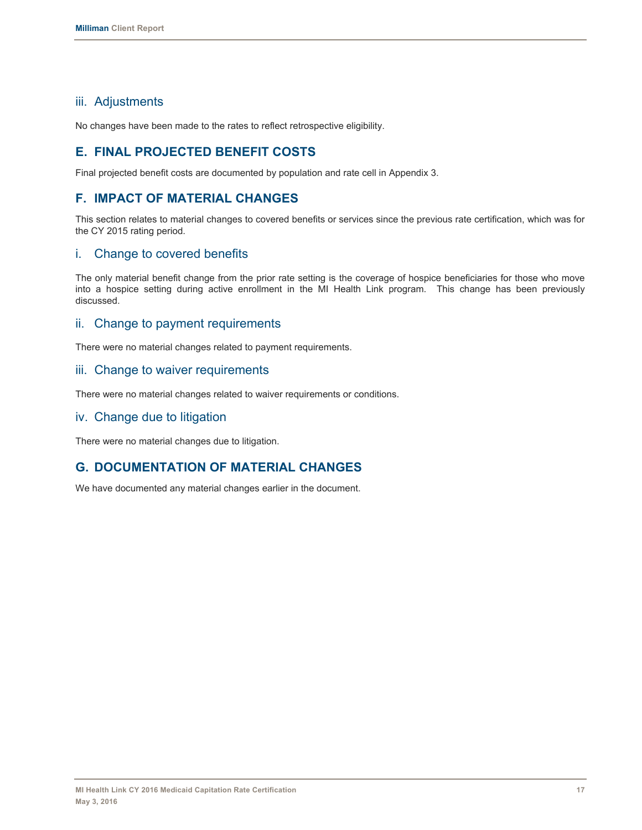## iii. Adjustments

No changes have been made to the rates to reflect retrospective eligibility.

# **E. FINAL PROJECTED BENEFIT COSTS**

Final projected benefit costs are documented by population and rate cell in Appendix 3.

# **F. IMPACT OF MATERIAL CHANGES**

This section relates to material changes to covered benefits or services since the previous rate certification, which was for the CY 2015 rating period.

## i. Change to covered benefits

The only material benefit change from the prior rate setting is the coverage of hospice beneficiaries for those who move into a hospice setting during active enrollment in the MI Health Link program. This change has been previously discussed.

## ii. Change to payment requirements

There were no material changes related to payment requirements.

#### iii. Change to waiver requirements

There were no material changes related to waiver requirements or conditions.

### iv. Change due to litigation

There were no material changes due to litigation.

# **G. DOCUMENTATION OF MATERIAL CHANGES**

We have documented any material changes earlier in the document.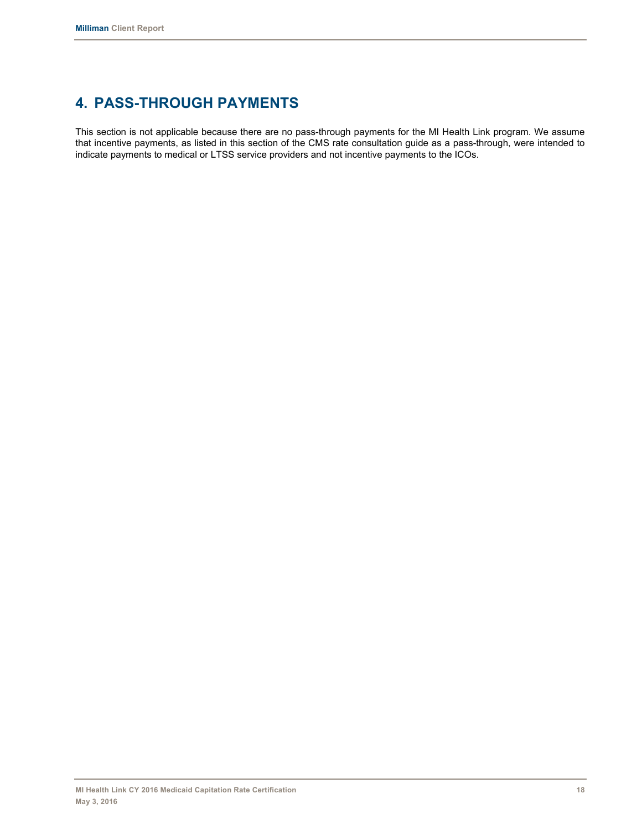# **4. PASS-THROUGH PAYMENTS**

This section is not applicable because there are no pass-through payments for the MI Health Link program. We assume that incentive payments, as listed in this section of the CMS rate consultation guide as a pass-through, were intended to indicate payments to medical or LTSS service providers and not incentive payments to the ICOs.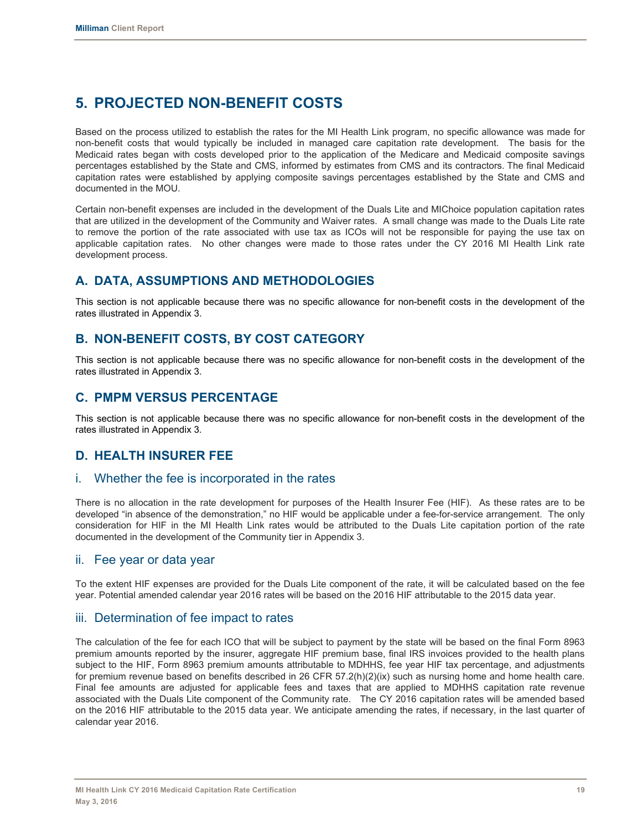# **5. PROJECTED NON-BENEFIT COSTS**

Based on the process utilized to establish the rates for the MI Health Link program, no specific allowance was made for non-benefit costs that would typically be included in managed care capitation rate development. The basis for the Medicaid rates began with costs developed prior to the application of the Medicare and Medicaid composite savings percentages established by the State and CMS, informed by estimates from CMS and its contractors. The final Medicaid capitation rates were established by applying composite savings percentages established by the State and CMS and documented in the MOU.

Certain non-benefit expenses are included in the development of the Duals Lite and MIChoice population capitation rates that are utilized in the development of the Community and Waiver rates. A small change was made to the Duals Lite rate to remove the portion of the rate associated with use tax as ICOs will not be responsible for paying the use tax on applicable capitation rates. No other changes were made to those rates under the CY 2016 MI Health Link rate development process.

# **A. DATA, ASSUMPTIONS AND METHODOLOGIES**

This section is not applicable because there was no specific allowance for non-benefit costs in the development of the rates illustrated in Appendix 3.

# **B. NON-BENEFIT COSTS, BY COST CATEGORY**

This section is not applicable because there was no specific allowance for non-benefit costs in the development of the rates illustrated in Appendix 3.

## **C. PMPM VERSUS PERCENTAGE**

This section is not applicable because there was no specific allowance for non-benefit costs in the development of the rates illustrated in Appendix 3.

# **D. HEALTH INSURER FEE**

### i. Whether the fee is incorporated in the rates

There is no allocation in the rate development for purposes of the Health Insurer Fee (HIF). As these rates are to be developed "in absence of the demonstration," no HIF would be applicable under a fee-for-service arrangement. The only consideration for HIF in the MI Health Link rates would be attributed to the Duals Lite capitation portion of the rate documented in the development of the Community tier in Appendix 3.

#### ii. Fee year or data year

To the extent HIF expenses are provided for the Duals Lite component of the rate, it will be calculated based on the fee year. Potential amended calendar year 2016 rates will be based on the 2016 HIF attributable to the 2015 data year.

### iii. Determination of fee impact to rates

The calculation of the fee for each ICO that will be subject to payment by the state will be based on the final Form 8963 premium amounts reported by the insurer, aggregate HIF premium base, final IRS invoices provided to the health plans subject to the HIF, Form 8963 premium amounts attributable to MDHHS, fee year HIF tax percentage, and adjustments for premium revenue based on benefits described in 26 CFR 57.2(h)(2)(ix) such as nursing home and home health care. Final fee amounts are adjusted for applicable fees and taxes that are applied to MDHHS capitation rate revenue associated with the Duals Lite component of the Community rate. The CY 2016 capitation rates will be amended based on the 2016 HIF attributable to the 2015 data year. We anticipate amending the rates, if necessary, in the last quarter of calendar year 2016.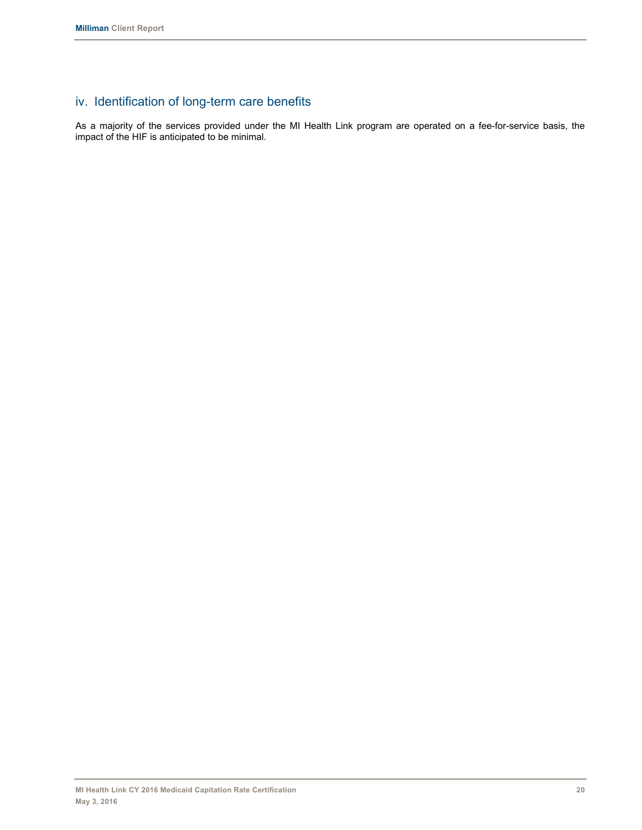# iv. Identification of long-term care benefits

As a majority of the services provided under the MI Health Link program are operated on a fee-for-service basis, the impact of the HIF is anticipated to be minimal.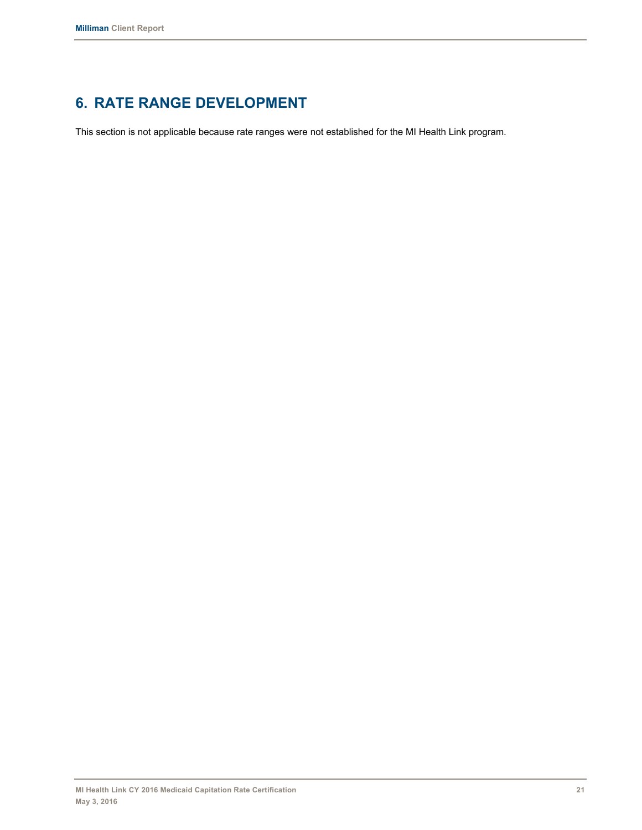# **6. RATE RANGE DEVELOPMENT**

This section is not applicable because rate ranges were not established for the MI Health Link program.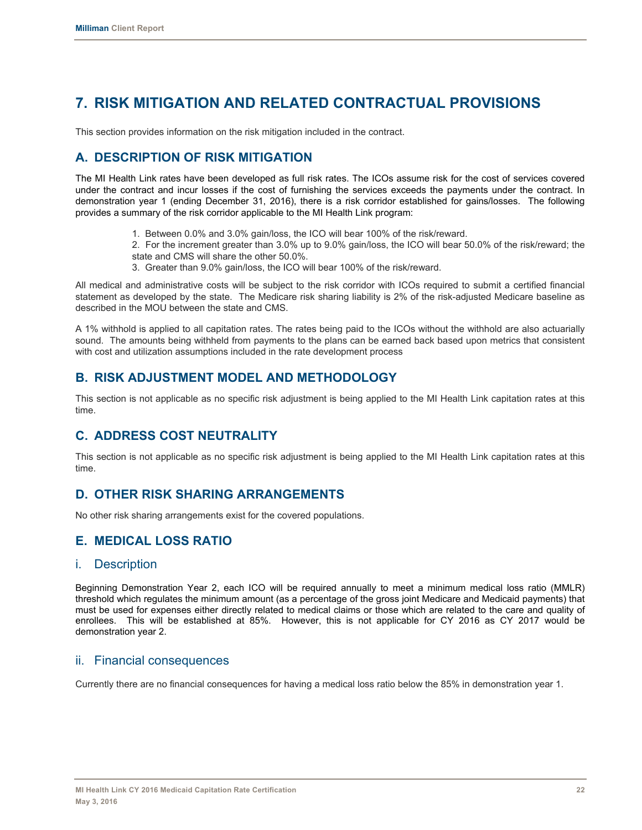# **7. RISK MITIGATION AND RELATED CONTRACTUAL PROVISIONS**

This section provides information on the risk mitigation included in the contract.

# **A. DESCRIPTION OF RISK MITIGATION**

The MI Health Link rates have been developed as full risk rates. The ICOs assume risk for the cost of services covered under the contract and incur losses if the cost of furnishing the services exceeds the payments under the contract. In demonstration year 1 (ending December 31, 2016), there is a risk corridor established for gains/losses. The following provides a summary of the risk corridor applicable to the MI Health Link program:

1. Between 0.0% and 3.0% gain/loss, the ICO will bear 100% of the risk/reward.

2. For the increment greater than 3.0% up to 9.0% gain/loss, the ICO will bear 50.0% of the risk/reward; the state and CMS will share the other 50.0%.

3. Greater than 9.0% gain/loss, the ICO will bear 100% of the risk/reward.

All medical and administrative costs will be subject to the risk corridor with ICOs required to submit a certified financial statement as developed by the state. The Medicare risk sharing liability is 2% of the risk-adjusted Medicare baseline as described in the MOU between the state and CMS.

A 1% withhold is applied to all capitation rates. The rates being paid to the ICOs without the withhold are also actuarially sound. The amounts being withheld from payments to the plans can be earned back based upon metrics that consistent with cost and utilization assumptions included in the rate development process

## **B. RISK ADJUSTMENT MODEL AND METHODOLOGY**

This section is not applicable as no specific risk adjustment is being applied to the MI Health Link capitation rates at this time.

## **C. ADDRESS COST NEUTRALITY**

This section is not applicable as no specific risk adjustment is being applied to the MI Health Link capitation rates at this time.

## **D. OTHER RISK SHARING ARRANGEMENTS**

No other risk sharing arrangements exist for the covered populations.

# **E. MEDICAL LOSS RATIO**

### i. Description

Beginning Demonstration Year 2, each ICO will be required annually to meet a minimum medical loss ratio (MMLR) threshold which regulates the minimum amount (as a percentage of the gross joint Medicare and Medicaid payments) that must be used for expenses either directly related to medical claims or those which are related to the care and quality of enrollees. This will be established at 85%. However, this is not applicable for CY 2016 as CY 2017 would be demonstration year 2.

### ii. Financial consequences

Currently there are no financial consequences for having a medical loss ratio below the 85% in demonstration year 1.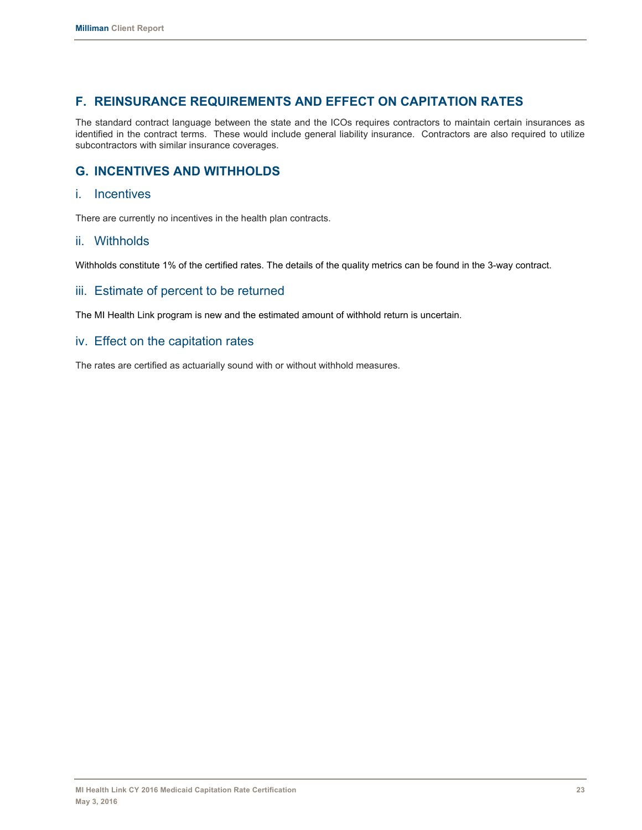# **F. REINSURANCE REQUIREMENTS AND EFFECT ON CAPITATION RATES**

The standard contract language between the state and the ICOs requires contractors to maintain certain insurances as identified in the contract terms. These would include general liability insurance. Contractors are also required to utilize subcontractors with similar insurance coverages.

# **G. INCENTIVES AND WITHHOLDS**

#### i. Incentives

There are currently no incentives in the health plan contracts.

### ii. Withholds

Withholds constitute 1% of the certified rates. The details of the quality metrics can be found in the 3-way contract.

### iii. Estimate of percent to be returned

The MI Health Link program is new and the estimated amount of withhold return is uncertain.

### iv. Effect on the capitation rates

The rates are certified as actuarially sound with or without withhold measures.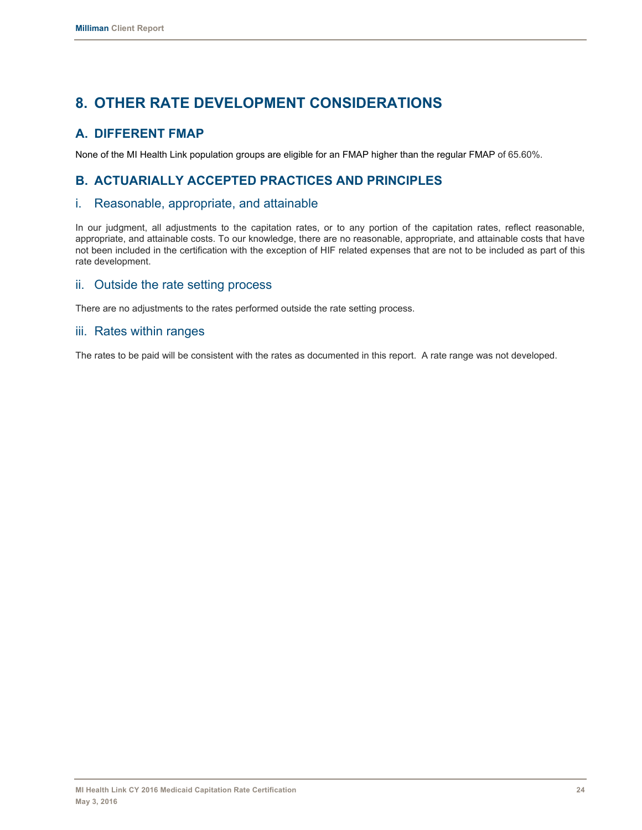# **8. OTHER RATE DEVELOPMENT CONSIDERATIONS**

# **A. DIFFERENT FMAP**

None of the MI Health Link population groups are eligible for an FMAP higher than the regular FMAP of 65.60%.

# **B. ACTUARIALLY ACCEPTED PRACTICES AND PRINCIPLES**

## i. Reasonable, appropriate, and attainable

In our judgment, all adjustments to the capitation rates, or to any portion of the capitation rates, reflect reasonable, appropriate, and attainable costs. To our knowledge, there are no reasonable, appropriate, and attainable costs that have not been included in the certification with the exception of HIF related expenses that are not to be included as part of this rate development.

## ii. Outside the rate setting process

There are no adjustments to the rates performed outside the rate setting process.

## iii. Rates within ranges

The rates to be paid will be consistent with the rates as documented in this report. A rate range was not developed.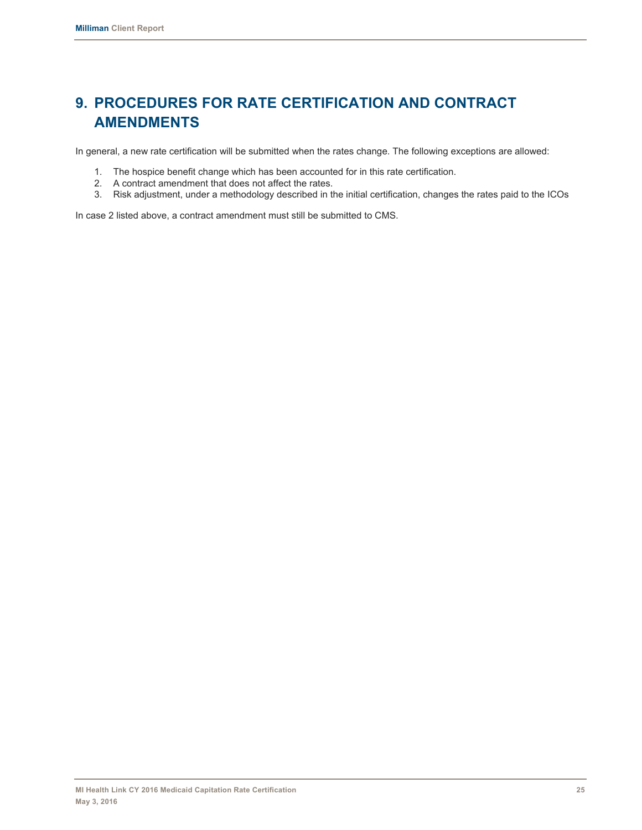# **9. PROCEDURES FOR RATE CERTIFICATION AND CONTRACT AMENDMENTS**

In general, a new rate certification will be submitted when the rates change. The following exceptions are allowed:

- 1. The hospice benefit change which has been accounted for in this rate certification.
- 2. A contract amendment that does not affect the rates.
- 3. Risk adjustment, under a methodology described in the initial certification, changes the rates paid to the ICOs

In case 2 listed above, a contract amendment must still be submitted to CMS.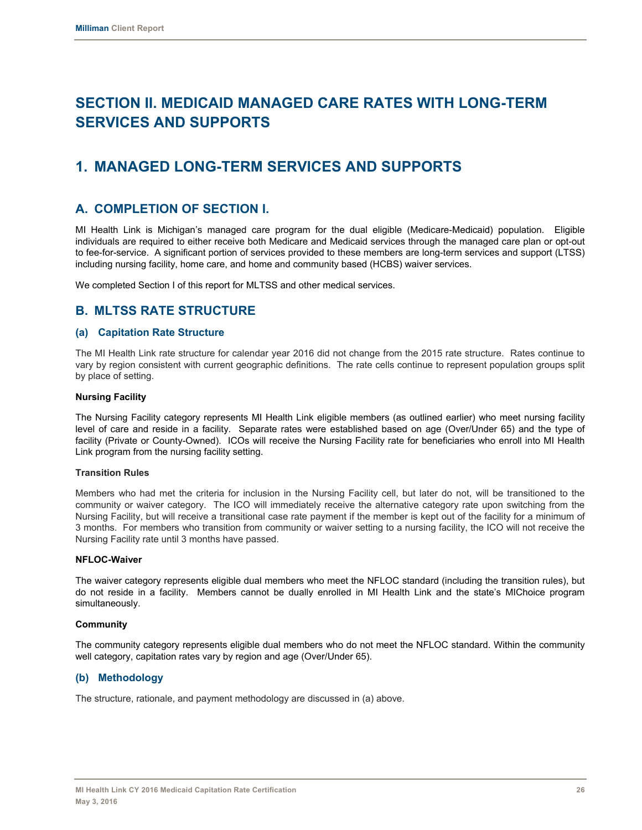# **SECTION II. MEDICAID MANAGED CARE RATES WITH LONG-TERM SERVICES AND SUPPORTS**

# **1. MANAGED LONG-TERM SERVICES AND SUPPORTS**

## **A. COMPLETION OF SECTION I.**

MI Health Link is Michigan's managed care program for the dual eligible (Medicare-Medicaid) population. Eligible individuals are required to either receive both Medicare and Medicaid services through the managed care plan or opt-out to fee-for-service. A significant portion of services provided to these members are long-term services and support (LTSS) including nursing facility, home care, and home and community based (HCBS) waiver services.

We completed Section I of this report for MLTSS and other medical services.

## **B. MLTSS RATE STRUCTURE**

#### **(a) Capitation Rate Structure**

The MI Health Link rate structure for calendar year 2016 did not change from the 2015 rate structure. Rates continue to vary by region consistent with current geographic definitions. The rate cells continue to represent population groups split by place of setting.

#### **Nursing Facility**

The Nursing Facility category represents MI Health Link eligible members (as outlined earlier) who meet nursing facility level of care and reside in a facility. Separate rates were established based on age (Over/Under 65) and the type of facility (Private or County-Owned). ICOs will receive the Nursing Facility rate for beneficiaries who enroll into MI Health Link program from the nursing facility setting.

#### **Transition Rules**

Members who had met the criteria for inclusion in the Nursing Facility cell, but later do not, will be transitioned to the community or waiver category. The ICO will immediately receive the alternative category rate upon switching from the Nursing Facility, but will receive a transitional case rate payment if the member is kept out of the facility for a minimum of 3 months. For members who transition from community or waiver setting to a nursing facility, the ICO will not receive the Nursing Facility rate until 3 months have passed.

#### **NFLOC-Waiver**

The waiver category represents eligible dual members who meet the NFLOC standard (including the transition rules), but do not reside in a facility. Members cannot be dually enrolled in MI Health Link and the state's MIChoice program simultaneously.

#### **Community**

The community category represents eligible dual members who do not meet the NFLOC standard. Within the community well category, capitation rates vary by region and age (Over/Under 65).

#### **(b) Methodology**

The structure, rationale, and payment methodology are discussed in (a) above.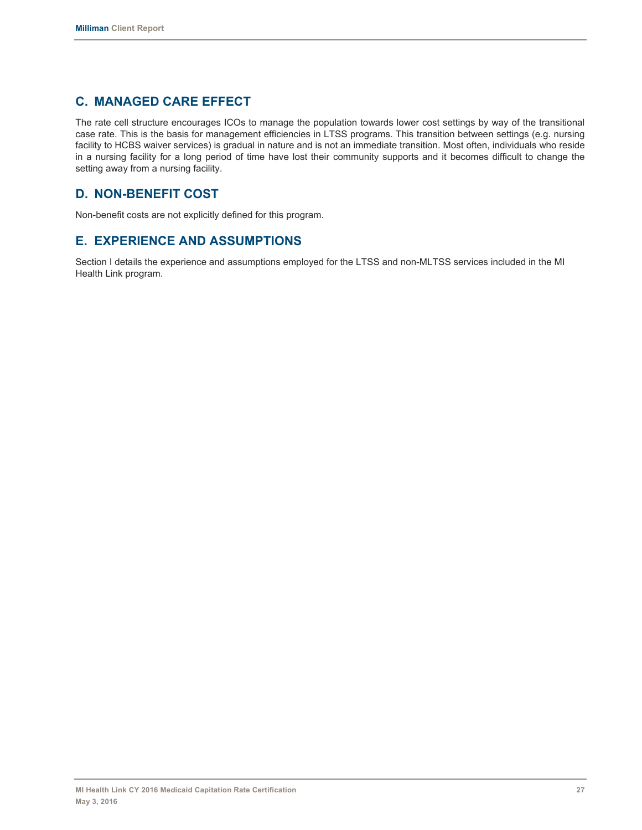# **C. MANAGED CARE EFFECT**

The rate cell structure encourages ICOs to manage the population towards lower cost settings by way of the transitional case rate. This is the basis for management efficiencies in LTSS programs. This transition between settings (e.g. nursing facility to HCBS waiver services) is gradual in nature and is not an immediate transition. Most often, individuals who reside in a nursing facility for a long period of time have lost their community supports and it becomes difficult to change the setting away from a nursing facility.

# **D. NON-BENEFIT COST**

Non-benefit costs are not explicitly defined for this program.

# **E. EXPERIENCE AND ASSUMPTIONS**

Section I details the experience and assumptions employed for the LTSS and non-MLTSS services included in the MI Health Link program.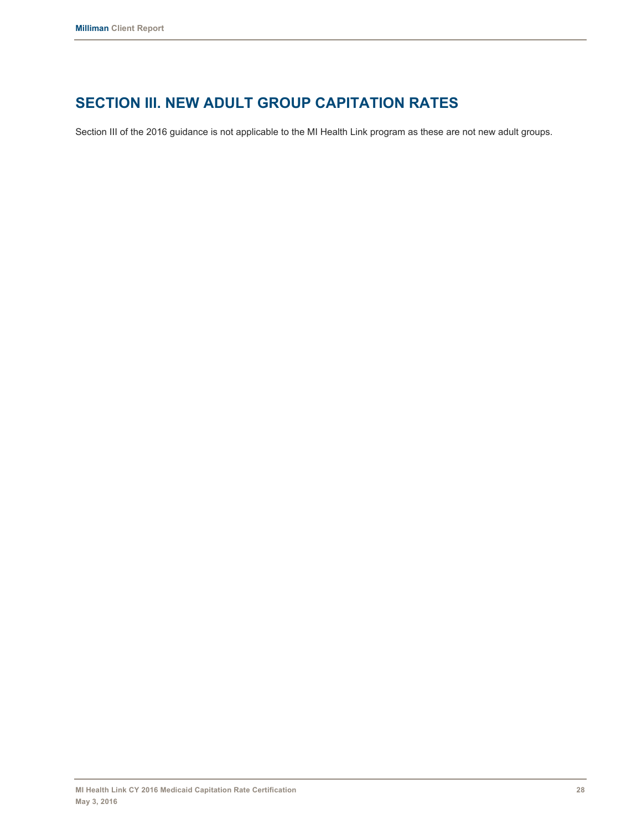# **SECTION III. NEW ADULT GROUP CAPITATION RATES**

Section III of the 2016 guidance is not applicable to the MI Health Link program as these are not new adult groups.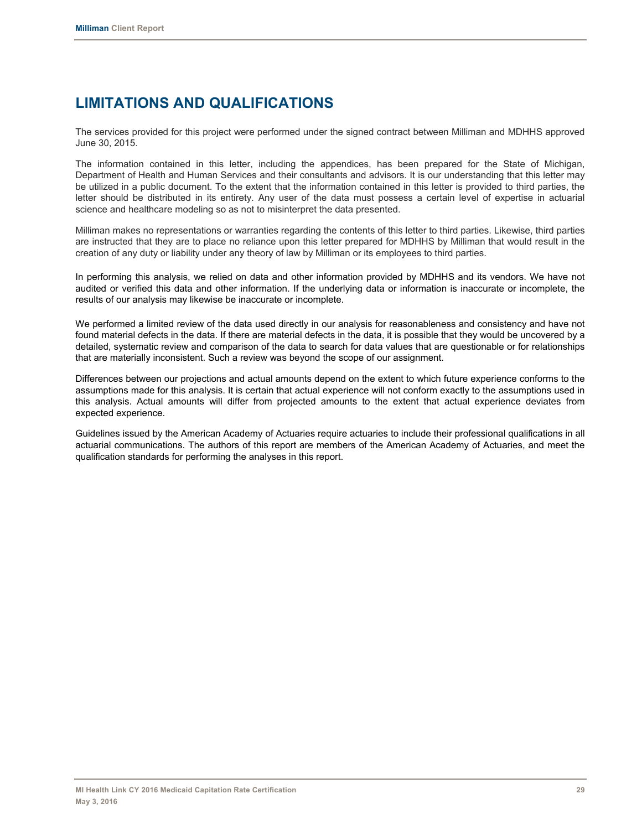# **LIMITATIONS AND QUALIFICATIONS**

The services provided for this project were performed under the signed contract between Milliman and MDHHS approved June 30, 2015.

The information contained in this letter, including the appendices, has been prepared for the State of Michigan, Department of Health and Human Services and their consultants and advisors. It is our understanding that this letter may be utilized in a public document. To the extent that the information contained in this letter is provided to third parties, the letter should be distributed in its entirety. Any user of the data must possess a certain level of expertise in actuarial science and healthcare modeling so as not to misinterpret the data presented.

Milliman makes no representations or warranties regarding the contents of this letter to third parties. Likewise, third parties are instructed that they are to place no reliance upon this letter prepared for MDHHS by Milliman that would result in the creation of any duty or liability under any theory of law by Milliman or its employees to third parties.

In performing this analysis, we relied on data and other information provided by MDHHS and its vendors. We have not audited or verified this data and other information. If the underlying data or information is inaccurate or incomplete, the results of our analysis may likewise be inaccurate or incomplete.

We performed a limited review of the data used directly in our analysis for reasonableness and consistency and have not found material defects in the data. If there are material defects in the data, it is possible that they would be uncovered by a detailed, systematic review and comparison of the data to search for data values that are questionable or for relationships that are materially inconsistent. Such a review was beyond the scope of our assignment.

Differences between our projections and actual amounts depend on the extent to which future experience conforms to the assumptions made for this analysis. It is certain that actual experience will not conform exactly to the assumptions used in this analysis. Actual amounts will differ from projected amounts to the extent that actual experience deviates from expected experience.

Guidelines issued by the American Academy of Actuaries require actuaries to include their professional qualifications in all actuarial communications. The authors of this report are members of the American Academy of Actuaries, and meet the qualification standards for performing the analyses in this report.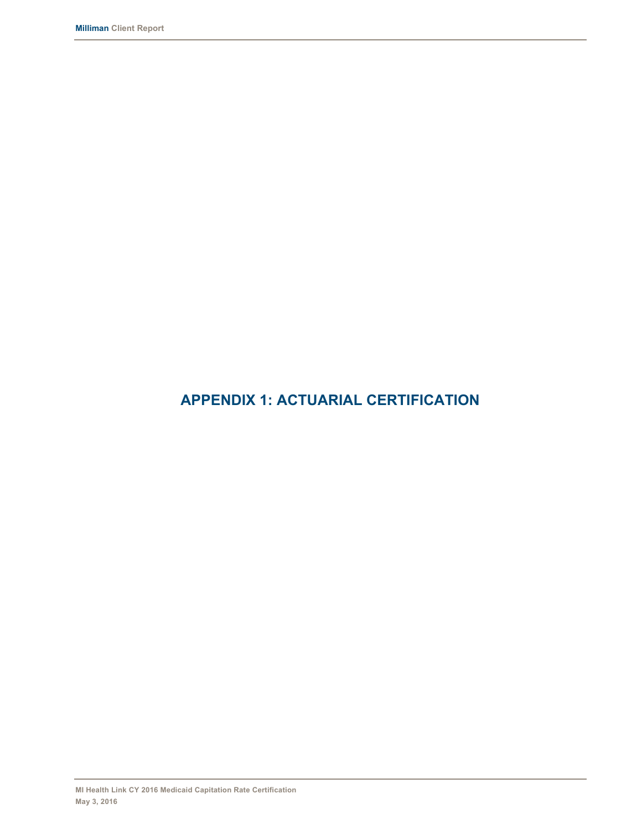# **APPENDIX 1: ACTUARIAL CERTIFICATION**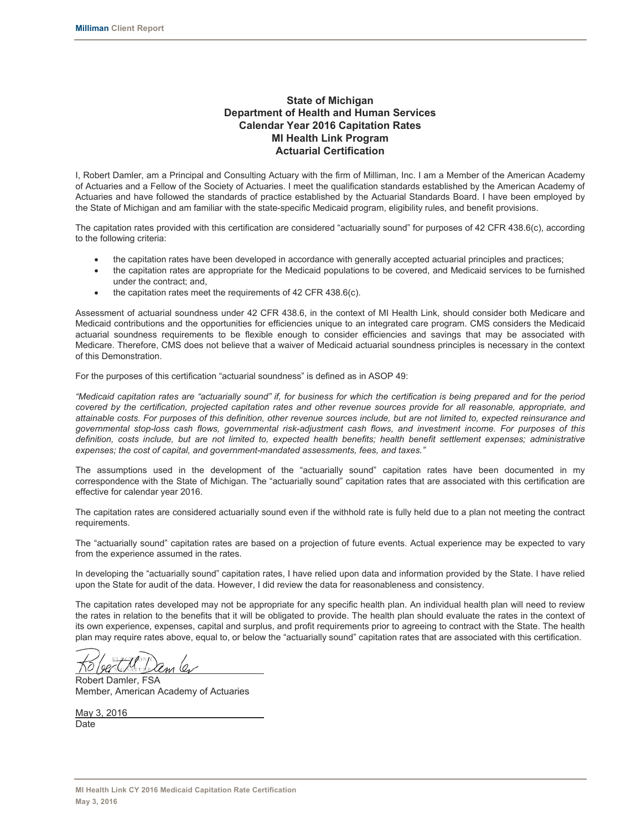#### **State of Michigan Department of Health and Human Services Calendar Year 2016 Capitation Rates MI Health Link Program Actuarial Certification**

I, Robert Damler, am a Principal and Consulting Actuary with the firm of Milliman, Inc. I am a Member of the American Academy of Actuaries and a Fellow of the Society of Actuaries. I meet the qualification standards established by the American Academy of Actuaries and have followed the standards of practice established by the Actuarial Standards Board. I have been employed by the State of Michigan and am familiar with the state-specific Medicaid program, eligibility rules, and benefit provisions.

The capitation rates provided with this certification are considered "actuarially sound" for purposes of 42 CFR 438.6(c), according to the following criteria:

- the capitation rates have been developed in accordance with generally accepted actuarial principles and practices;
- the capitation rates are appropriate for the Medicaid populations to be covered, and Medicaid services to be furnished under the contract; and,
- $\bullet$  the capitation rates meet the requirements of 42 CFR 438.6(c).

Assessment of actuarial soundness under 42 CFR 438.6, in the context of MI Health Link, should consider both Medicare and Medicaid contributions and the opportunities for efficiencies unique to an integrated care program. CMS considers the Medicaid actuarial soundness requirements to be flexible enough to consider efficiencies and savings that may be associated with Medicare. Therefore, CMS does not believe that a waiver of Medicaid actuarial soundness principles is necessary in the context of this Demonstration.

For the purposes of this certification "actuarial soundness" is defined as in ASOP 49:

*"Medicaid capitation rates are "actuarially sound" if, for business for which the certification is being prepared and for the period covered by the certification, projected capitation rates and other revenue sources provide for all reasonable, appropriate, and attainable costs. For purposes of this definition, other revenue sources include, but are not limited to, expected reinsurance and governmental stop-loss cash flows, governmental risk-adjustment cash flows, and investment income. For purposes of this definition, costs include, but are not limited to, expected health benefits; health benefit settlement expenses; administrative expenses; the cost of capital, and government-mandated assessments, fees, and taxes."*

The assumptions used in the development of the "actuarially sound" capitation rates have been documented in my correspondence with the State of Michigan. The "actuarially sound" capitation rates that are associated with this certification are effective for calendar year 2016.

The capitation rates are considered actuarially sound even if the withhold rate is fully held due to a plan not meeting the contract requirements.

The "actuarially sound" capitation rates are based on a projection of future events. Actual experience may be expected to vary from the experience assumed in the rates.

In developing the "actuarially sound" capitation rates, I have relied upon data and information provided by the State. I have relied upon the State for audit of the data. However, I did review the data for reasonableness and consistency.

The capitation rates developed may not be appropriate for any specific health plan. An individual health plan will need to review the rates in relation to the benefits that it will be obligated to provide. The health plan should evaluate the rates in the context of its own experience, expenses, capital and surplus, and profit requirements prior to agreeing to contract with the State. The health plan may require rates above, equal to, or below the "actuarially sound" capitation rates that are associated with this certification.

 $\overline{a}$ 

Robert Damler, FSA Member, American Academy of Actuaries

May 3, 2016 **Date**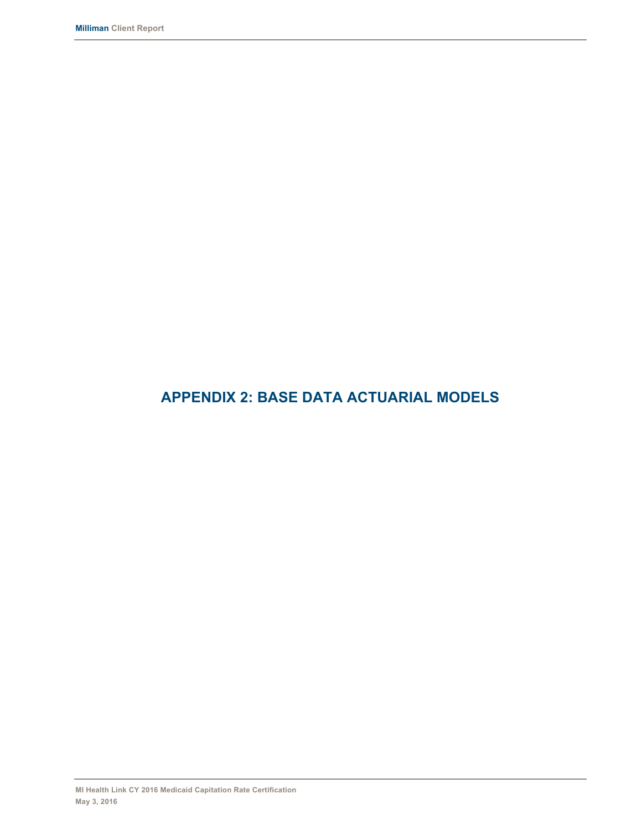# **APPENDIX 2: BASE DATA ACTUARIAL MODELS**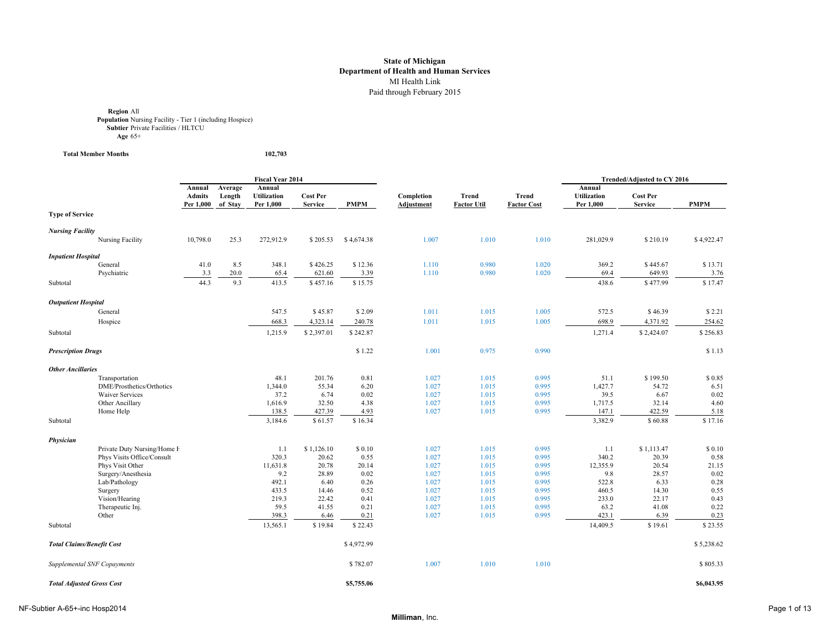**Region All<br><b>Population** Nursing Facility - Tier 1 (including Hospice)<br>**Subtier** Private Facilities / HLTCU **Age** 65+

**Total Member Months 102,703**

|                                  |                                                     | <b>Fiscal Year 2014</b>              |                              |                                           |                                   |              |                                 | Trended/Adjusted to CY 2016 |                                    |                                           |                                   |              |
|----------------------------------|-----------------------------------------------------|--------------------------------------|------------------------------|-------------------------------------------|-----------------------------------|--------------|---------------------------------|-----------------------------|------------------------------------|-------------------------------------------|-----------------------------------|--------------|
|                                  |                                                     | Annual<br><b>Admits</b><br>Per 1,000 | Average<br>Length<br>of Stay | Annual<br><b>Utilization</b><br>Per 1,000 | <b>Cost Per</b><br><b>Service</b> | PMPM         | Completion<br><b>Adjustment</b> | Trend<br><b>Factor Util</b> | <b>Trend</b><br><b>Factor Cost</b> | Annual<br><b>Utilization</b><br>Per 1,000 | <b>Cost Per</b><br><b>Service</b> | <b>PMPM</b>  |
| <b>Type of Service</b>           |                                                     |                                      |                              |                                           |                                   |              |                                 |                             |                                    |                                           |                                   |              |
| <b>Nursing Facility</b>          |                                                     |                                      |                              |                                           |                                   |              |                                 |                             |                                    |                                           |                                   |              |
|                                  | Nursing Facility                                    | 10,798.0                             | 25.3                         | 272,912.9                                 | \$205.53                          | \$4,674.38   | 1.007                           | 1.010                       | 1.010                              | 281,029.9                                 | \$210.19                          | \$4,922.47   |
| <b>Inpatient Hospital</b>        |                                                     |                                      |                              |                                           |                                   |              |                                 |                             |                                    |                                           |                                   |              |
|                                  | General                                             | 41.0                                 | 8.5                          | 348.1                                     | \$426.25                          | \$12.36      | 1.110                           | 0.980                       | 1.020                              | 369.2                                     | \$445.67                          | \$13.71      |
|                                  | Psychiatric                                         | 3.3                                  | 20.0                         | 65.4                                      | 621.60                            | 3.39         | 1.110                           | 0.980                       | 1.020                              | 69.4                                      | 649.93                            | 3.76         |
| Subtotal                         |                                                     | 44.3                                 | 9.3                          | 413.5                                     | \$457.16                          | \$15.75      |                                 |                             |                                    | 438.6                                     | \$477.99                          | \$17.47      |
| <b>Outpatient Hospital</b>       |                                                     |                                      |                              |                                           |                                   |              |                                 |                             |                                    |                                           |                                   |              |
|                                  | General                                             |                                      |                              | 547.5                                     | \$45.87                           | \$2.09       | 1.011                           | 1.015                       | 1.005                              | 572.5                                     | \$46.39                           | \$2.21       |
|                                  | Hospice                                             |                                      |                              | 668.3                                     | 4,323.14                          | 240.78       | 1.011                           | 1.015                       | 1.005                              | 698.9                                     | 4,371.92                          | 254.62       |
| Subtotal                         |                                                     |                                      |                              | 1,215.9                                   | \$2,397.01                        | \$242.87     |                                 |                             |                                    | 1,271.4                                   | \$2,424.07                        | \$256.83     |
| <b>Prescription Drugs</b>        |                                                     |                                      |                              |                                           |                                   | \$1.22       | 1.001                           | 0.975                       | 0.990                              |                                           |                                   | \$1.13       |
|                                  |                                                     |                                      |                              |                                           |                                   |              |                                 |                             |                                    |                                           |                                   |              |
| <b>Other Ancillaries</b>         |                                                     |                                      |                              |                                           |                                   |              |                                 |                             |                                    |                                           |                                   |              |
|                                  | Transportation                                      |                                      |                              | 48.1                                      | 201.76                            | 0.81         | 1.027                           | 1.015                       | 0.995                              | 51.1                                      | \$199.50                          | \$0.85       |
|                                  | DME/Prosthetics/Orthotics<br><b>Waiver Services</b> |                                      |                              | 1,344.0<br>37.2                           | 55.34                             | 6.20<br>0.02 | 1.027<br>1.027                  | 1.015                       | 0.995<br>0.995                     | 1,427.7<br>39.5                           | 54.72<br>6.67                     | 6.51<br>0.02 |
|                                  | Other Ancillary                                     |                                      |                              | 1,616.9                                   | 6.74<br>32.50                     | 4.38         | 1.027                           | 1.015<br>1.015              | 0.995                              | 1,717.5                                   | 32.14                             | 4.60         |
|                                  | Home Help                                           |                                      |                              | 138.5                                     | 427.39                            | 4.93         | 1.027                           | 1.015                       | 0.995                              | 147.1                                     | 422.59                            | 5.18         |
| Subtotal                         |                                                     |                                      |                              | 3,184.6                                   | \$61.57                           | \$16.34      |                                 |                             |                                    | 3,382.9                                   | \$60.88                           | \$17.16      |
|                                  |                                                     |                                      |                              |                                           |                                   |              |                                 |                             |                                    |                                           |                                   |              |
| Physician                        | Private Duty Nursing/Home H                         |                                      |                              | 1.1                                       | \$1,126.10                        | \$0.10       | 1.027                           | 1.015                       | 0.995                              | 1.1                                       | \$1,113.47                        | \$0.10       |
|                                  | Phys Visits Office/Consult                          |                                      |                              | 320.3                                     | 20.62                             | 0.55         | 1.027                           | 1.015                       | 0.995                              | 340.2                                     | 20.39                             | 0.58         |
|                                  | Phys Visit Other                                    |                                      |                              | 11,631.8                                  | 20.78                             | 20.14        | 1.027                           | 1.015                       | 0.995                              | 12,355.9                                  | 20.54                             | 21.15        |
|                                  | Surgery/Anesthesia                                  |                                      |                              | 9.2                                       | 28.89                             | 0.02         | 1.027                           | 1.015                       | 0.995                              | 9.8                                       | 28.57                             | 0.02         |
|                                  | Lab/Pathology                                       |                                      |                              | 492.1                                     | 6.40                              | 0.26         | 1.027                           | 1.015                       | 0.995                              | 522.8                                     | 6.33                              | 0.28         |
|                                  | Surgery                                             |                                      |                              | 433.5                                     | 14.46                             | 0.52         | 1.027                           | 1.015                       | 0.995                              | 460.5                                     | 14.30                             | 0.55         |
|                                  | Vision/Hearing                                      |                                      |                              | 219.3                                     | 22.42                             | 0.41         | 1.027                           | 1.015                       | 0.995                              | 233.0                                     | 22.17                             | 0.43         |
|                                  | Therapeutic Inj.                                    |                                      |                              | 59.5                                      | 41.55                             | 0.21         | 1.027                           | 1.015                       | 0.995                              | 63.2                                      | 41.08                             | 0.22         |
|                                  | Other                                               |                                      |                              | 398.3                                     | 6.46                              | 0.21         | 1.027                           | 1.015                       | 0.995                              | 423.1                                     | 6.39                              | 0.23         |
| Subtotal                         |                                                     |                                      |                              | 13,565.1                                  | \$19.84                           | \$22.43      |                                 |                             |                                    | 14,409.5                                  | \$19.61                           | \$23.55      |
| <b>Total Claims/Benefit Cost</b> |                                                     |                                      |                              |                                           |                                   | \$4,972.99   |                                 |                             |                                    |                                           |                                   | \$5,238.62   |
|                                  | Supplemental SNF Copayments                         |                                      |                              |                                           |                                   | \$782.07     | 1.007                           | 1.010                       | 1.010                              |                                           |                                   | \$805.33     |
| <b>Total Adjusted Gross Cost</b> |                                                     |                                      |                              |                                           |                                   | \$5,755.06   |                                 |                             |                                    |                                           |                                   | \$6,043.95   |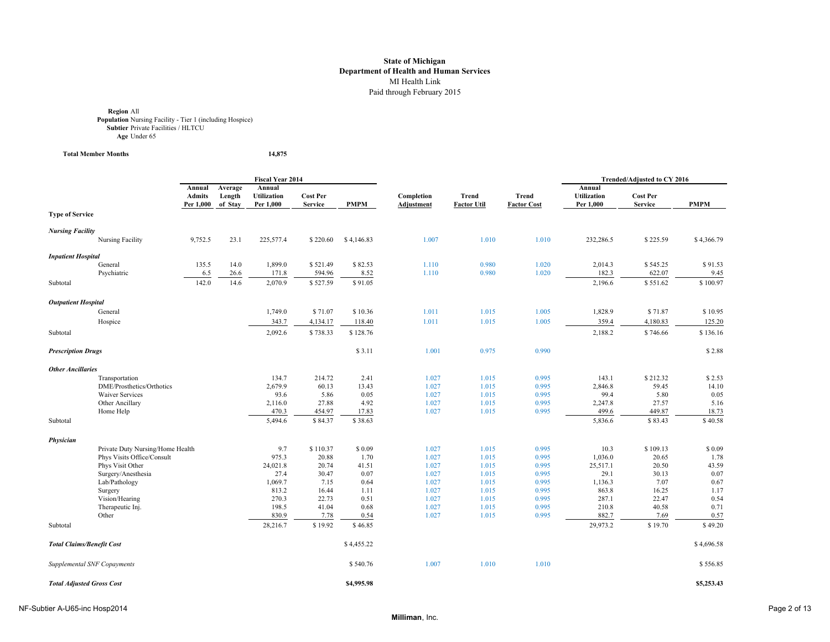**Region All<br><b>Population** Nursing Facility - Tier 1 (including Hospice)<br>**Subtier** Private Facilities / HLTCU **Age** Under 65

**Total Member Months 14,875**

|                                  |                                                |                               |                              | <b>Fiscal Year 2014</b>                   |                                   |               |                                 |                                    |                                    | Trended/Adjusted to CY 2016               |                                   |               |  |
|----------------------------------|------------------------------------------------|-------------------------------|------------------------------|-------------------------------------------|-----------------------------------|---------------|---------------------------------|------------------------------------|------------------------------------|-------------------------------------------|-----------------------------------|---------------|--|
|                                  |                                                | Annual<br>Admits<br>Per 1,000 | Average<br>Length<br>of Stav | Annual<br><b>Utilization</b><br>Per 1,000 | <b>Cost Per</b><br><b>Service</b> | PMPM          | Completion<br><b>Adjustment</b> | <b>Trend</b><br><b>Factor Util</b> | <b>Trend</b><br><b>Factor Cost</b> | Annual<br><b>Utilization</b><br>Per 1,000 | <b>Cost Per</b><br><b>Service</b> | <b>PMPM</b>   |  |
| <b>Type of Service</b>           |                                                |                               |                              |                                           |                                   |               |                                 |                                    |                                    |                                           |                                   |               |  |
| <b>Nursing Facility</b>          |                                                |                               |                              |                                           |                                   |               |                                 |                                    |                                    |                                           |                                   |               |  |
|                                  | Nursing Facility                               | 9,752.5                       | 23.1                         | 225,577.4                                 | \$220.60                          | \$4,146.83    | 1.007                           | 1.010                              | 1.010                              | 232,286.5                                 | \$225.59                          | \$4,366.79    |  |
| <b>Inpatient Hospital</b>        |                                                |                               |                              |                                           |                                   |               |                                 |                                    |                                    |                                           |                                   |               |  |
|                                  | General                                        | 135.5                         | 14.0                         | 1,899.0                                   | \$521.49                          | \$82.53       | 1.110                           | 0.980                              | 1.020                              | 2,014.3                                   | \$545.25                          | \$91.53       |  |
|                                  | Psychiatric                                    | 6.5                           | 26.6                         | 171.8                                     | 594.96                            | 8.52          | 1.110                           | 0.980                              | 1.020                              | 182.3                                     | 622.07                            | 9.45          |  |
| Subtotal                         |                                                | 142.0                         | 14.6                         | 2,070.9                                   | \$527.59                          | \$91.05       |                                 |                                    |                                    | 2,196.6                                   | \$551.62                          | \$100.97      |  |
| <b>Outpatient Hospital</b>       |                                                |                               |                              |                                           |                                   |               |                                 |                                    |                                    |                                           |                                   |               |  |
|                                  | General                                        |                               |                              | 1,749.0                                   | \$71.07                           | \$10.36       | 1.011                           | 1.015                              | 1.005                              | 1,828.9                                   | \$71.87                           | \$10.95       |  |
|                                  | Hospice                                        |                               |                              | 343.7                                     | 4,134.17                          | 118.40        | 1.011                           | 1.015                              | 1.005                              | 359.4                                     | 4,180.83                          | 125.20        |  |
| Subtotal                         |                                                |                               |                              | 2,092.6                                   | \$738.33                          | \$128.76      |                                 |                                    |                                    | 2,188.2                                   | \$746.66                          | \$136.16      |  |
| <b>Prescription Drugs</b>        |                                                |                               |                              |                                           |                                   | \$3.11        | 1.001                           | 0.975                              | 0.990                              |                                           |                                   | \$2.88        |  |
| <b>Other Ancillaries</b>         |                                                |                               |                              |                                           |                                   |               |                                 |                                    |                                    |                                           |                                   |               |  |
|                                  | Transportation                                 |                               |                              | 134.7                                     | 214.72                            | 2.41          | 1.027                           | 1.015                              | 0.995                              | 143.1                                     | \$212.32                          | \$2.53        |  |
|                                  | DME/Prosthetics/Orthotics                      |                               |                              | 2,679.9                                   | 60.13                             | 13.43         | 1.027                           | 1.015                              | 0.995                              | 2,846.8                                   | 59.45                             | 14.10         |  |
|                                  | <b>Waiver Services</b>                         |                               |                              | 93.6                                      | 5.86                              | 0.05          | 1.027                           | 1.015                              | 0.995                              | 99.4                                      | 5.80                              | 0.05          |  |
|                                  | Other Ancillary                                |                               |                              | 2,116.0                                   | 27.88                             | 4.92          | 1.027                           | 1.015                              | 0.995                              | 2,247.8                                   | 27.57                             | 5.16          |  |
|                                  | Home Help                                      |                               |                              | 470.3                                     | 454.97                            | 17.83         | 1.027                           | 1.015                              | 0.995                              | 499.6                                     | 449.87                            | 18.73         |  |
| Subtotal                         |                                                |                               |                              | 5,494.6                                   | \$84.37                           | \$38.63       |                                 |                                    |                                    | 5,836.6                                   | \$83.43                           | \$40.58       |  |
| Physician                        |                                                |                               |                              |                                           |                                   |               |                                 |                                    |                                    |                                           |                                   |               |  |
|                                  | Private Duty Nursing/Home Health               |                               |                              | 9.7                                       | \$110.37                          | \$0.09        | 1.027                           | 1.015                              | 0.995                              | 10.3                                      | \$109.13                          | \$0.09        |  |
|                                  | Phys Visits Office/Consult<br>Phys Visit Other |                               |                              | 975.3<br>24,021.8                         | 20.88<br>20.74                    | 1.70<br>41.51 | 1.027<br>1.027                  | 1.015                              | 0.995<br>0.995                     | 1,036.0<br>25,517.1                       | 20.65<br>20.50                    | 1.78<br>43.59 |  |
|                                  | Surgery/Anesthesia                             |                               |                              | 27.4                                      | 30.47                             | 0.07          | 1.027                           | 1.015<br>1.015                     | 0.995                              | 29.1                                      | 30.13                             | 0.07          |  |
|                                  | Lab/Pathology                                  |                               |                              | 1,069.7                                   | 7.15                              | 0.64          | 1.027                           | 1.015                              | 0.995                              | 1,136.3                                   | 7.07                              | 0.67          |  |
|                                  | Surgery                                        |                               |                              | 813.2                                     | 16.44                             | 1.11          | 1.027                           | 1.015                              | 0.995                              | 863.8                                     | 16.25                             | 1.17          |  |
|                                  | Vision/Hearing                                 |                               |                              | 270.3                                     | 22.73                             | 0.51          | 1.027                           | 1.015                              | 0.995                              | 287.1                                     | 22.47                             | 0.54          |  |
|                                  | Therapeutic Inj.                               |                               |                              | 198.5                                     | 41.04                             | 0.68          | 1.027                           | 1.015                              | 0.995                              | 210.8                                     | 40.58                             | 0.71          |  |
|                                  | Other                                          |                               |                              | 830.9                                     | 7.78                              | 0.54          | 1.027                           | 1.015                              | 0.995                              | 882.7                                     | 7.69                              | 0.57          |  |
| Subtotal                         |                                                |                               |                              | 28,216.7                                  | \$19.92                           | \$46.85       |                                 |                                    |                                    | 29,973.2                                  | \$19.70                           | \$49.20       |  |
| <b>Total Claims/Benefit Cost</b> |                                                |                               |                              |                                           |                                   | \$4,455.22    |                                 |                                    |                                    |                                           |                                   | \$4,696.58    |  |
|                                  | Supplemental SNF Copayments                    |                               |                              |                                           |                                   | \$540.76      | 1.007                           | 1.010                              | 1.010                              |                                           |                                   | \$556.85      |  |
| <b>Total Adjusted Gross Cost</b> |                                                |                               |                              |                                           |                                   | \$4,995.98    |                                 |                                    |                                    |                                           |                                   | \$5,253.43    |  |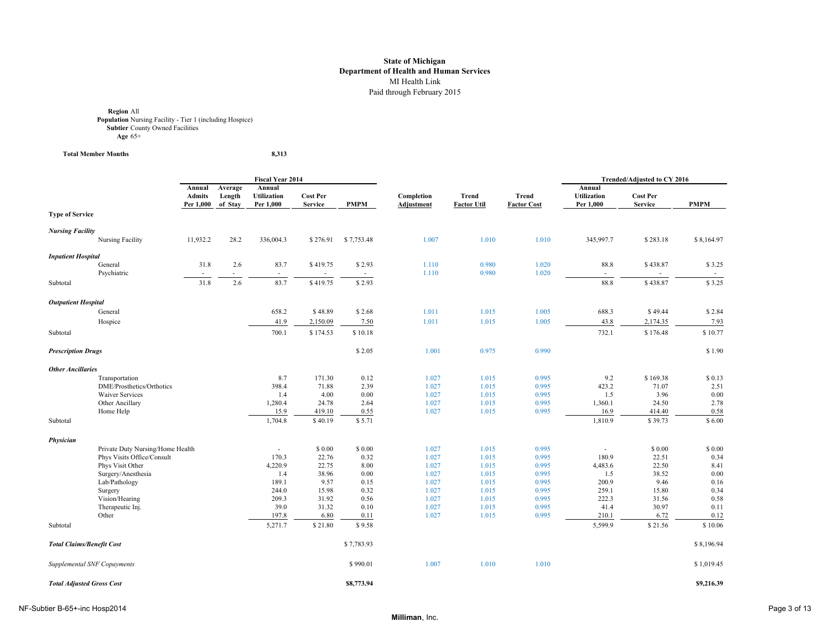**Region** All **Population** Nursing Facility - Tier 1 (including Hospice) **Subtier** County Owned Facilities **Age** 65+

**Total Member Months 8,313**

|                                  |                                     |                                      | <b>Fiscal Year 2014</b>      |                                           |                                   |                  |                                 |                                    | Trended/Adjusted to CY 2016        |                                           |                                   |                  |
|----------------------------------|-------------------------------------|--------------------------------------|------------------------------|-------------------------------------------|-----------------------------------|------------------|---------------------------------|------------------------------------|------------------------------------|-------------------------------------------|-----------------------------------|------------------|
|                                  |                                     | Annual<br><b>Admits</b><br>Per 1,000 | Average<br>Length<br>of Stay | Annual<br><b>Utilization</b><br>Per 1,000 | <b>Cost Per</b><br><b>Service</b> | <b>PMPM</b>      | Completion<br><b>Adjustment</b> | <b>Trend</b><br><b>Factor Util</b> | <b>Trend</b><br><b>Factor Cost</b> | Annual<br><b>Utilization</b><br>Per 1,000 | <b>Cost Per</b><br><b>Service</b> | <b>PMPM</b>      |
| <b>Type of Service</b>           |                                     |                                      |                              |                                           |                                   |                  |                                 |                                    |                                    |                                           |                                   |                  |
| <b>Nursing Facility</b>          |                                     |                                      |                              |                                           |                                   |                  |                                 |                                    |                                    |                                           |                                   |                  |
|                                  | Nursing Facility                    | 11,932.2                             | 28.2                         | 336,004.3                                 | \$276.91                          | \$7,753.48       | 1.007                           | 1.010                              | 1.010                              | 345,997.7                                 | \$283.18                          | \$8,164.97       |
| <b>Inpatient Hospital</b>        |                                     |                                      |                              |                                           |                                   |                  |                                 |                                    |                                    |                                           |                                   |                  |
|                                  | General<br>Psychiatric              | 31.8                                 | 2.6                          | 83.7                                      | \$419.75                          | \$2.93<br>$\sim$ | 1.110<br>1.110                  | 0.980<br>0.980                     | 1.020<br>1.020                     | 88.8<br>$\sim$                            | \$438.87                          | \$3.25<br>$\sim$ |
| Subtotal                         |                                     | 31.8                                 | 2.6                          | 83.7                                      | \$419.75                          | \$2.93           |                                 |                                    |                                    | 88.8                                      | \$438.87                          | \$3.25           |
| <b>Outpatient Hospital</b>       |                                     |                                      |                              |                                           |                                   |                  |                                 |                                    |                                    |                                           |                                   |                  |
|                                  | General                             |                                      |                              | 658.2                                     | \$48.89                           | \$2.68           | 1.011                           | 1.015                              | 1.005                              | 688.3                                     | \$49.44                           | \$2.84           |
|                                  | Hospice                             |                                      |                              | 41.9                                      | 2,150.09                          | 7.50             | 1.011                           | 1.015                              | 1.005                              | 43.8                                      | 2,174.35                          | 7.93             |
| Subtotal                         |                                     |                                      |                              | 700.1                                     | \$174.53                          | \$10.18          |                                 |                                    |                                    | 732.1                                     | \$176.48                          | \$10.77          |
| <b>Prescription Drugs</b>        |                                     |                                      |                              |                                           |                                   | \$2.05           | 1.001                           | 0.975                              | 0.990                              |                                           |                                   | \$1.90           |
| <b>Other Ancillaries</b>         |                                     |                                      |                              |                                           |                                   |                  |                                 |                                    |                                    |                                           |                                   |                  |
|                                  | Transportation                      |                                      |                              | 8.7                                       | 171.30                            | 0.12             | 1.027                           | 1.015                              | 0.995                              | 9.2                                       | \$169.38                          | \$0.13           |
|                                  | DME/Prosthetics/Orthotics           |                                      |                              | 398.4                                     | 71.88                             | 2.39             | 1.027                           | 1.015                              | 0.995                              | 423.2                                     | 71.07                             | 2.51             |
|                                  | <b>Waiver Services</b>              |                                      |                              | 1.4                                       | 4.00                              | 0.00             | 1.027                           | 1.015                              | 0.995                              | 1.5                                       | 3.96                              | 0.00             |
|                                  | Other Ancillary                     |                                      |                              | 1,280.4                                   | 24.78                             | 2.64             | 1.027                           | 1.015                              | 0.995                              | 1,360.1                                   | 24.50                             | 2.78             |
|                                  | Home Help                           |                                      |                              | 15.9                                      | 419.10                            | 0.55             | 1.027                           | 1.015                              | 0.995                              | 16.9                                      | 414.40                            | 0.58             |
| Subtotal                         |                                     |                                      |                              | 1,704.8                                   | \$40.19                           | \$5.71           |                                 |                                    |                                    | 1,810.9                                   | \$39.73                           | \$6.00           |
| Physician                        |                                     |                                      |                              |                                           |                                   |                  |                                 |                                    |                                    |                                           |                                   |                  |
|                                  | Private Duty Nursing/Home Health    |                                      |                              |                                           | \$0.00                            | \$ 0.00          | 1.027                           | 1.015                              | 0.995                              | ×.                                        | \$0.00                            | \$0.00           |
|                                  | Phys Visits Office/Consult          |                                      |                              | 170.3                                     | 22.76                             | 0.32             | 1.027                           | 1.015                              | 0.995                              | 180.9                                     | 22.51<br>22.50                    | 0.34             |
|                                  | Phys Visit Other                    |                                      |                              | 4,220.9                                   | 22.75                             | 8.00<br>0.00     | 1.027<br>1.027                  | 1.015<br>1.015                     | 0.995<br>0.995                     | 4,483.6                                   | 38.52                             | 8.41<br>0.00     |
|                                  | Surgery/Anesthesia<br>Lab/Pathology |                                      |                              | 1.4<br>189.1                              | 38.96<br>9.57                     | 0.15             | 1.027                           | 1.015                              | 0.995                              | 1.5<br>200.9                              | 9.46                              | 0.16             |
|                                  | Surgery                             |                                      |                              | 244.0                                     | 15.98                             | 0.32             | 1.027                           | 1.015                              | 0.995                              | 259.1                                     | 15.80                             | 0.34             |
|                                  | Vision/Hearing                      |                                      |                              | 209.3                                     | 31.92                             | 0.56             | 1.027                           | 1.015                              | 0.995                              | 222.3                                     | 31.56                             | 0.58             |
|                                  | Therapeutic Inj.                    |                                      |                              | 39.0                                      | 31.32                             | 0.10             | 1.027                           | 1.015                              | 0.995                              | 41.4                                      | 30.97                             | 0.11             |
|                                  | Other                               |                                      |                              | 197.8                                     | 6.80                              | 0.11             | 1.027                           | 1.015                              | 0.995                              | 210.1                                     | 6.72                              | 0.12             |
| Subtotal                         |                                     |                                      |                              | 5,271.7                                   | \$21.80                           | \$9.58           |                                 |                                    |                                    | 5,599.9                                   | \$21.56                           | \$10.06          |
| <b>Total Claims/Benefit Cost</b> |                                     |                                      |                              |                                           |                                   | \$7,783.93       |                                 |                                    |                                    |                                           |                                   | \$8,196.94       |
|                                  | Supplemental SNF Copayments         |                                      |                              |                                           |                                   | \$990.01         | 1.007                           | 1.010                              | 1.010                              |                                           |                                   | \$1,019.45       |
| <b>Total Adjusted Gross Cost</b> |                                     |                                      |                              |                                           |                                   | \$8,773.94       |                                 |                                    |                                    |                                           |                                   | \$9,216.39       |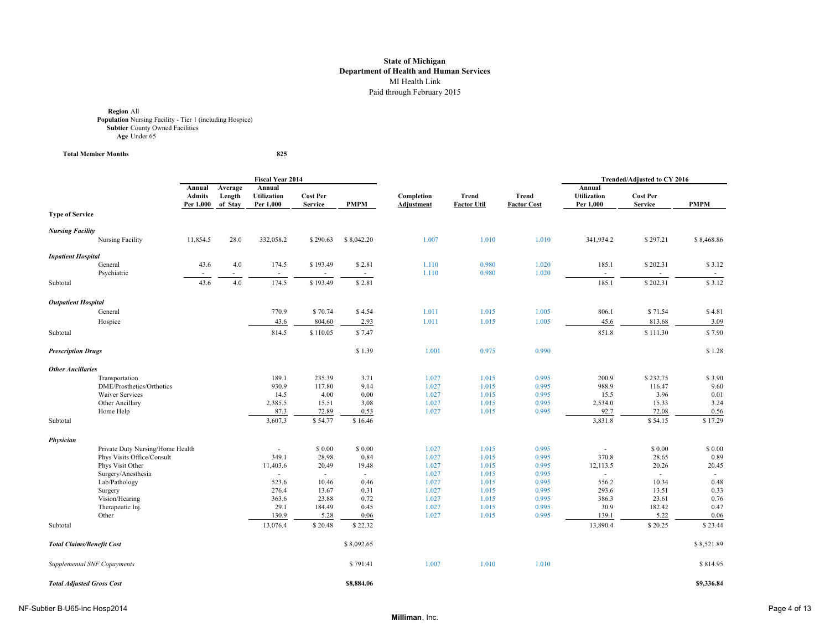**Region** All **Population** Nursing Facility - Tier 1 (including Hospice) **Subtier** County Owned Facilities **Age** Under 65

 $Total Member Monthly$ 

825

|                                  |                                  |                                      | <b>Fiscal Year 2014</b>      |                                           |                                   |              |                                 | <b>Trended/Adjusted to CY 2016</b> |                                    |                                           |                                   |              |
|----------------------------------|----------------------------------|--------------------------------------|------------------------------|-------------------------------------------|-----------------------------------|--------------|---------------------------------|------------------------------------|------------------------------------|-------------------------------------------|-----------------------------------|--------------|
|                                  |                                  | Annual<br><b>Admits</b><br>Per 1,000 | Average<br>Length<br>of Stay | Annual<br><b>Utilization</b><br>Per 1,000 | <b>Cost Per</b><br><b>Service</b> | <b>PMPM</b>  | Completion<br><b>Adjustment</b> | <b>Trend</b><br><b>Factor Util</b> | <b>Trend</b><br><b>Factor Cost</b> | Annual<br><b>Utilization</b><br>Per 1,000 | <b>Cost Per</b><br><b>Service</b> | <b>PMPM</b>  |
| <b>Type of Service</b>           |                                  |                                      |                              |                                           |                                   |              |                                 |                                    |                                    |                                           |                                   |              |
| <b>Nursing Facility</b>          |                                  |                                      |                              |                                           |                                   |              |                                 |                                    |                                    |                                           |                                   |              |
|                                  | Nursing Facility                 | 11,854.5                             | 28.0                         | 332,058.2                                 | \$290.63                          | \$8,042.20   | 1.007                           | 1.010                              | 1.010                              | 341,934.2                                 | \$297.21                          | \$8,468.86   |
| <b>Inpatient Hospital</b>        |                                  |                                      |                              |                                           |                                   |              |                                 |                                    |                                    |                                           |                                   |              |
|                                  | General                          | 43.6                                 | 4.0                          | 174.5                                     | \$193.49                          | \$2.81       | 1.110                           | 0.980                              | 1.020                              | 185.1                                     | \$202.31                          | \$3.12       |
|                                  | Psychiatric                      |                                      |                              | $\sim$                                    |                                   | $\sim$       | 1.110                           | 0.980                              | 1.020                              | $\sim$                                    | ÷.                                | $\sim$       |
| Subtotal                         |                                  | 43.6                                 | 4.0                          | 174.5                                     | \$193.49                          | \$2.81       |                                 |                                    |                                    | 185.1                                     | \$202.31                          | \$3.12       |
| <b>Outpatient Hospital</b>       |                                  |                                      |                              |                                           |                                   |              |                                 |                                    |                                    |                                           |                                   |              |
|                                  | General                          |                                      |                              | 770.9                                     | \$70.74                           | \$4.54       | 1.011                           | 1.015                              | 1.005                              | 806.1                                     | \$71.54                           | \$4.81       |
|                                  | Hospice                          |                                      |                              | 43.6                                      | 804.60                            | 2.93         | 1.011                           | 1.015                              | 1.005                              | 45.6                                      | 813.68                            | 3.09         |
| Subtotal                         |                                  |                                      |                              | 814.5                                     | \$110.05                          | \$7.47       |                                 |                                    |                                    | 851.8                                     | \$111.30                          | \$7.90       |
| <b>Prescription Drugs</b>        |                                  |                                      |                              |                                           |                                   | \$1.39       | 1.001                           | 0.975                              | 0.990                              |                                           |                                   | \$1.28       |
| <b>Other Ancillaries</b>         |                                  |                                      |                              |                                           |                                   |              |                                 |                                    |                                    |                                           |                                   |              |
|                                  | Transportation                   |                                      |                              | 189.1                                     | 235.39                            | 3.71         | 1.027                           | 1.015                              | 0.995                              | 200.9                                     | \$232.75                          | \$3.90       |
|                                  | DME/Prosthetics/Orthotics        |                                      |                              | 930.9                                     | 117.80                            | 9.14         | 1.027                           | 1.015                              | 0.995                              | 988.9                                     | 116.47                            | 9.60         |
|                                  | <b>Waiver Services</b>           |                                      |                              | 14.5                                      | 4.00                              | 0.00         | 1.027                           | 1.015                              | 0.995                              | 15.5                                      | 3.96                              | 0.01         |
|                                  | Other Ancillary                  |                                      |                              | 2,385.5                                   | 15.51                             | 3.08         | 1.027                           | 1.015                              | 0.995                              | 2,534.0                                   | 15.33                             | 3.24         |
|                                  | Home Help                        |                                      |                              | 87.3                                      | 72.89                             | 0.53         | 1.027                           | 1.015                              | 0.995                              | 92.7                                      | 72.08                             | 0.56         |
| Subtotal                         |                                  |                                      |                              | 3,607.3                                   | \$54.77                           | \$16.46      |                                 |                                    |                                    | 3,831.8                                   | \$54.15                           | \$17.29      |
| Physician                        |                                  |                                      |                              |                                           |                                   |              |                                 |                                    |                                    |                                           |                                   |              |
|                                  | Private Duty Nursing/Home Health |                                      |                              |                                           | \$ 0.00                           | \$ 0.00      | 1.027                           | 1.015                              | 0.995                              | $\sim$                                    | \$0.00                            | \$0.00       |
|                                  | Phys Visits Office/Consult       |                                      |                              | 349.1                                     | 28.98                             | 0.84         | 1.027                           | 1.015                              | 0.995                              | 370.8                                     | 28.65                             | 0.89         |
|                                  | Phys Visit Other                 |                                      |                              | 11,403.6                                  | 20.49                             | 19.48        | 1.027                           | 1.015                              | 0.995                              | 12,113.5                                  | 20.26                             | 20.45        |
|                                  | Surgery/Anesthesia               |                                      |                              | $\mathcal{L}_{\mathcal{A}}$               | $\sim$                            | $\sim$       | 1.027                           | 1.015                              | 0.995                              | $\sim$                                    | $\sim$                            |              |
|                                  | Lab/Pathology<br>Surgery         |                                      |                              | 523.6<br>276.4                            | 10.46<br>13.67                    | 0.46<br>0.31 | 1.027<br>1.027                  | 1.015<br>1.015                     | 0.995<br>0.995                     | 556.2<br>293.6                            | 10.34<br>13.51                    | 0.48<br>0.33 |
|                                  | Vision/Hearing                   |                                      |                              | 363.6                                     | 23.88                             | 0.72         | 1.027                           | 1.015                              | 0.995                              | 386.3                                     | 23.61                             | 0.76         |
|                                  | Therapeutic Inj.                 |                                      |                              | 29.1                                      | 184.49                            | 0.45         | 1.027                           | 1.015                              | 0.995                              | 30.9                                      | 182.42                            | 0.47         |
|                                  | Other                            |                                      |                              | 130.9                                     | 5.28                              | 0.06         | 1.027                           | 1.015                              | 0.995                              | 139.1                                     | 5.22                              | 0.06         |
| Subtotal                         |                                  |                                      |                              | 13,076.4                                  | \$20.48                           | \$22.32      |                                 |                                    |                                    | 13,890.4                                  | \$20.25                           | \$23.44      |
| <b>Total Claims/Benefit Cost</b> |                                  |                                      |                              |                                           |                                   | \$8,092.65   |                                 |                                    |                                    |                                           |                                   | \$8,521.89   |
|                                  | Supplemental SNF Copayments      |                                      |                              |                                           |                                   | \$791.41     | 1.007                           | 1.010                              | 1.010                              |                                           |                                   | \$814.95     |
| <b>Total Adjusted Gross Cost</b> |                                  |                                      |                              |                                           |                                   | \$8,884.06   |                                 |                                    |                                    |                                           |                                   | \$9,336.84   |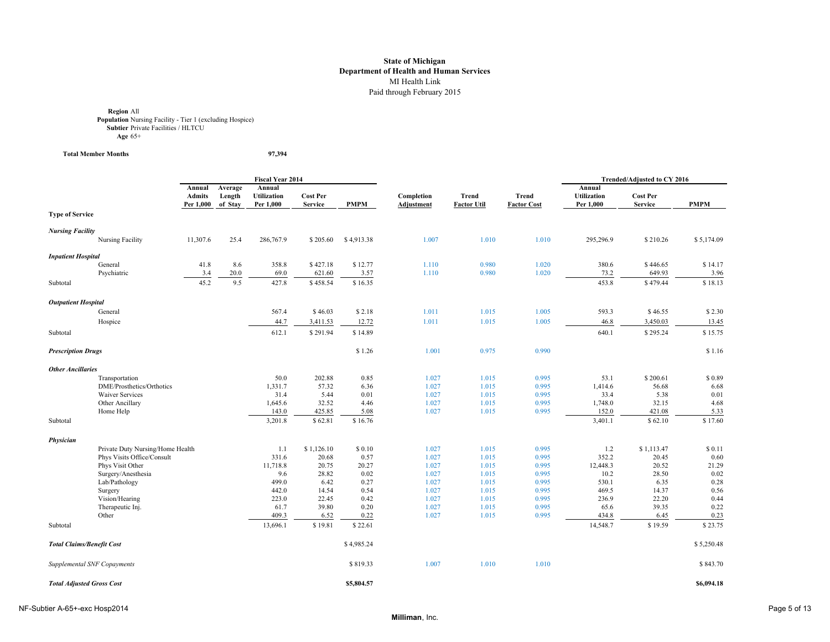**Region All<br><b>Population** Nursing Facility - Tier 1 (excluding Hospice)<br>**Subtier** Private Facilities / HLTCU **Age** 65+

**Total Member Months 97,394**

|                                  |                                    |                                      | <b>Fiscal Year 2014</b>      |                                           |                                   |              |                                 |                                    | Trended/Adjusted to CY 2016 |                                           |                                   |              |
|----------------------------------|------------------------------------|--------------------------------------|------------------------------|-------------------------------------------|-----------------------------------|--------------|---------------------------------|------------------------------------|-----------------------------|-------------------------------------------|-----------------------------------|--------------|
|                                  |                                    | Annual<br><b>Admits</b><br>Per 1,000 | Average<br>Length<br>of Stay | Annual<br><b>Utilization</b><br>Per 1,000 | <b>Cost Per</b><br><b>Service</b> | <b>PMPM</b>  | Completion<br><b>Adjustment</b> | <b>Trend</b><br><b>Factor Util</b> | Trend<br><b>Factor Cost</b> | Annual<br><b>Utilization</b><br>Per 1,000 | <b>Cost Per</b><br><b>Service</b> | <b>PMPM</b>  |
| <b>Type of Service</b>           |                                    |                                      |                              |                                           |                                   |              |                                 |                                    |                             |                                           |                                   |              |
| <b>Nursing Facility</b>          |                                    |                                      |                              |                                           |                                   |              |                                 |                                    |                             |                                           |                                   |              |
|                                  | Nursing Facility                   | 11,307.6                             | 25.4                         | 286,767.9                                 | \$205.60                          | \$4,913.38   | 1.007                           | 1.010                              | 1.010                       | 295,296.9                                 | \$210.26                          | \$5,174.09   |
| <b>Inpatient Hospital</b>        |                                    |                                      |                              |                                           |                                   |              |                                 |                                    |                             |                                           |                                   |              |
|                                  | General                            | 41.8                                 | 8.6                          | 358.8                                     | \$427.18                          | \$12.77      | 1.110                           | 0.980                              | 1.020                       | 380.6                                     | \$446.65                          | \$14.17      |
|                                  | Psychiatric                        | 3.4                                  | 20.0                         | 69.0                                      | 621.60                            | 3.57         | 1.110                           | 0.980                              | 1.020                       | 73.2                                      | 649.93                            | 3.96         |
| Subtotal                         |                                    | 45.2                                 | 9.5                          | 427.8                                     | \$458.54                          | \$16.35      |                                 |                                    |                             | 453.8                                     | \$479.44                          | \$18.13      |
| <b>Outpatient Hospital</b>       |                                    |                                      |                              |                                           |                                   |              |                                 |                                    |                             |                                           |                                   |              |
|                                  | General                            |                                      |                              | 567.4                                     | \$46.03                           | \$2.18       | 1.011                           | 1.015                              | 1.005                       | 593.3                                     | \$46.55                           | \$2.30       |
|                                  | Hospice                            |                                      |                              | 44.7                                      | 3,411.53                          | 12.72        | 1.011                           | 1.015                              | 1.005                       | 46.8                                      | 3,450.03                          | 13.45        |
| Subtotal                         |                                    |                                      |                              | 612.1                                     | \$291.94                          | \$14.89      |                                 |                                    |                             | 640.1                                     | \$295.24                          | \$15.75      |
| <b>Prescription Drugs</b>        |                                    |                                      |                              |                                           |                                   | \$1.26       | 1.001                           | 0.975                              | 0.990                       |                                           |                                   | \$1.16       |
| <b>Other Ancillaries</b>         |                                    |                                      |                              |                                           |                                   |              |                                 |                                    |                             |                                           |                                   |              |
|                                  | Transportation                     |                                      |                              | 50.0                                      | 202.88                            | 0.85         | 1.027                           | 1.015                              | 0.995                       | 53.1                                      | \$200.61                          | \$0.89       |
|                                  | DME/Prosthetics/Orthotics          |                                      |                              | 1,331.7                                   | 57.32                             | 6.36         | 1.027                           | 1.015                              | 0.995                       | 1,414.6                                   | 56.68                             | 6.68         |
|                                  | <b>Waiver Services</b>             |                                      |                              | 31.4                                      | 5.44                              | 0.01         | 1.027                           | 1.015                              | 0.995                       | 33.4                                      | 5.38                              | 0.01         |
|                                  | Other Ancillary                    |                                      |                              | 1,645.6                                   | 32.52                             | 4.46         | 1.027                           | 1.015                              | 0.995                       | 1,748.0                                   | 32.15                             | 4.68         |
|                                  | Home Help                          |                                      |                              | 143.0                                     | 425.85                            | 5.08         | 1.027                           | 1.015                              | 0.995                       | 152.0                                     | 421.08                            | 5.33         |
| Subtotal                         |                                    |                                      |                              | 3,201.8                                   | \$62.81                           | \$16.76      |                                 |                                    |                             | 3,401.1                                   | \$62.10                           | \$17.60      |
| Physician                        |                                    |                                      |                              |                                           |                                   |              |                                 |                                    |                             |                                           |                                   |              |
|                                  | Private Duty Nursing/Home Health   |                                      |                              | 1.1                                       | \$1,126.10                        | \$0.10       | 1.027                           | 1.015                              | 0.995                       | 1.2                                       | \$1,113.47                        | \$0.11       |
|                                  | Phys Visits Office/Consult         |                                      |                              | 331.6                                     | 20.68                             | 0.57         | 1.027                           | 1.015                              | 0.995                       | 352.2                                     | 20.45                             | 0.60         |
|                                  | Phys Visit Other                   |                                      |                              | 11,718.8                                  | 20.75                             | 20.27        | 1.027                           | 1.015                              | 0.995                       | 12,448.3                                  | 20.52                             | 21.29        |
|                                  | Surgery/Anesthesia                 |                                      |                              | 9.6                                       | 28.82                             | 0.02         | 1.027                           | 1.015                              | 0.995                       | 10.2                                      | 28.50                             | 0.02         |
|                                  | Lab/Pathology                      |                                      |                              | 499.0                                     | 6.42                              | 0.27         | 1.027                           | 1.015                              | 0.995                       | 530.1                                     | 6.35                              | 0.28         |
|                                  | Surgery                            |                                      |                              | 442.0                                     | 14.54                             | 0.54         | 1.027                           | 1.015                              | 0.995                       | 469.5                                     | 14.37                             | 0.56<br>0.44 |
|                                  | Vision/Hearing<br>Therapeutic Inj. |                                      |                              | 223.0<br>61.7                             | 22.45<br>39.80                    | 0.42<br>0.20 | 1.027<br>1.027                  | 1.015<br>1.015                     | 0.995<br>0.995              | 236.9<br>65.6                             | 22.20<br>39.35                    | 0.22         |
|                                  | Other                              |                                      |                              | 409.3                                     | 6.52                              | 0.22         | 1.027                           | 1.015                              | 0.995                       | 434.8                                     | 6.45                              | 0.23         |
| Subtotal                         |                                    |                                      |                              | 13,696.1                                  | \$19.81                           | \$22.61      |                                 |                                    |                             | 14,548.7                                  | \$19.59                           | \$23.75      |
| <b>Total Claims/Benefit Cost</b> |                                    |                                      |                              |                                           |                                   | \$4,985.24   |                                 |                                    |                             |                                           |                                   | \$5,250.48   |
|                                  | Supplemental SNF Copayments        |                                      |                              |                                           |                                   | \$819.33     | 1.007                           | 1.010                              | 1.010                       |                                           |                                   | \$843.70     |
| <b>Total Adjusted Gross Cost</b> |                                    |                                      |                              |                                           |                                   | \$5,804.57   |                                 |                                    |                             |                                           |                                   | \$6,094.18   |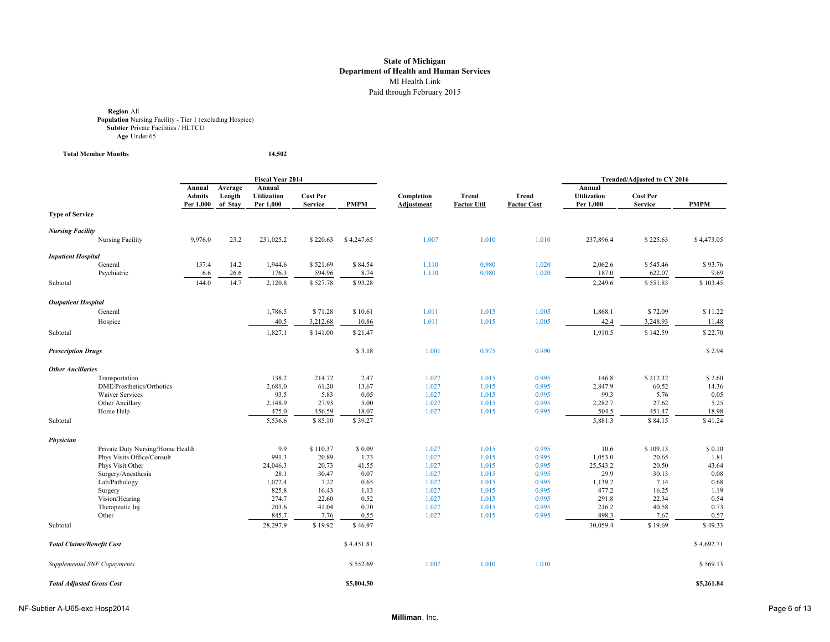**Region All<br><b>Population** Nursing Facility - Tier 1 (excluding Hospice)<br>**Subtier** Private Facilities / HLTCU **Age** Under 65

**Total Member Months 14,502**

|                                  |                                  |               |         | Fiscal Year 2014   |                 |             |                   |                    |                    |                    | Trended/Adjusted to CY 2016 |             |
|----------------------------------|----------------------------------|---------------|---------|--------------------|-----------------|-------------|-------------------|--------------------|--------------------|--------------------|-----------------------------|-------------|
|                                  |                                  | Annual        | Average | Annual             |                 |             |                   |                    |                    | Annual             |                             |             |
|                                  |                                  | <b>Admits</b> | Length  | <b>Utilization</b> | <b>Cost Per</b> |             | Completion        | Trend              | <b>Trend</b>       | <b>Utilization</b> | <b>Cost Per</b>             |             |
|                                  |                                  | Per 1,000     | of Stay | Per 1,000          | <b>Service</b>  | <b>PMPM</b> | <b>Adjustment</b> | <b>Factor Util</b> | <b>Factor Cost</b> | Per 1,000          | <b>Service</b>              | <b>PMPM</b> |
| <b>Type of Service</b>           |                                  |               |         |                    |                 |             |                   |                    |                    |                    |                             |             |
| <b>Nursing Facility</b>          |                                  |               |         |                    |                 |             |                   |                    |                    |                    |                             |             |
|                                  | Nursing Facility                 | 9,976.0       | 23.2    | 231,025.2          | \$220.63        | \$4,247.65  | 1.007             | 1.010              | 1.010              | 237,896.4          | \$225.63                    | \$4,473.05  |
| <b>Inpatient Hospital</b>        |                                  |               |         |                    |                 |             |                   |                    |                    |                    |                             |             |
|                                  | General                          | 137.4         | 14.2    | 1,944.6            | \$521.69        | \$84.54     | 1.110             | 0.980              | 1.020              | 2,062.6            | \$545.46                    | \$93.76     |
|                                  | Psychiatric                      | 6.6           | 26.6    | 176.3              | 594.96          | 8.74        | 1.110             | 0.980              | 1.020              | 187.0              | 622.07                      | 9.69        |
| Subtotal                         |                                  | 144.0         | 14.7    | 2,120.8            | \$527.78        | \$93.28     |                   |                    |                    | 2,249.6            | \$551.83                    | \$103.45    |
| <b>Outpatient Hospital</b>       |                                  |               |         |                    |                 |             |                   |                    |                    |                    |                             |             |
|                                  | General                          |               |         | 1,786.5            | \$71.28         | \$10.61     | 1.011             | 1.015              | 1.005              | 1,868.1            | \$72.09                     | \$11.22     |
|                                  | Hospice                          |               |         | 40.5               | 3,212.68        | 10.86       | 1.011             | 1.015              | 1.005              | 42.4               | 3,248.93                    | 11.48       |
| Subtotal                         |                                  |               |         | 1,827.1            | \$141.00        | \$21.47     |                   |                    |                    | 1,910.5            | \$142.59                    | \$22.70     |
|                                  |                                  |               |         |                    |                 |             |                   |                    |                    |                    |                             |             |
| <b>Prescription Drugs</b>        |                                  |               |         |                    |                 | \$3.18      | 1.001             | 0.975              | 0.990              |                    |                             | \$2.94      |
| <b>Other Ancillaries</b>         |                                  |               |         |                    |                 |             |                   |                    |                    |                    |                             |             |
|                                  | Transportation                   |               |         | 138.2              | 214.72          | 2.47        | 1.027             | 1.015              | 0.995              | 146.8              | \$212.32                    | \$2.60      |
|                                  | DME/Prosthetics/Orthotics        |               |         | 2,681.0            | 61.20           | 13.67       | 1.027             | 1.015              | 0.995              | 2,847.9            | 60.52                       | 14.36       |
|                                  | <b>Waiver Services</b>           |               |         | 93.5               | 5.83            | 0.05        | 1.027             | 1.015              | 0.995              | 99.3               | 5.76                        | 0.05        |
|                                  | Other Ancillary                  |               |         | 2,148.9            | 27.93           | 5.00        | 1.027             | 1.015              | 0.995              | 2,282.7            | 27.62                       | 5.25        |
|                                  | Home Help                        |               |         | 475.0              | 456.59          | 18.07       | 1.027             | 1.015              | 0.995              | 504.5              | 451.47                      | 18.98       |
| Subtotal                         |                                  |               |         | 5,536.6            | \$85.10         | \$39.27     |                   |                    |                    | 5,881.3            | \$84.15                     | \$41.24     |
| Physician                        |                                  |               |         |                    |                 |             |                   |                    |                    |                    |                             |             |
|                                  | Private Duty Nursing/Home Health |               |         | 9.9                | \$110.37        | \$0.09      | 1.027             | 1.015              | 0.995              | 10.6               | \$109.13                    | \$0.10      |
|                                  | Phys Visits Office/Consult       |               |         | 991.3              | 20.89           | 1.73        | 1.027             | 1.015              | 0.995              | 1,053.0            | 20.65                       | 1.81        |
|                                  | Phys Visit Other                 |               |         | 24,046.3           | 20.73           | 41.55       | 1.027             | 1.015              | 0.995              | 25,543.2           | 20.50                       | 43.64       |
|                                  | Surgery/Anesthesia               |               |         | 28.1               | 30.47           | 0.07        | 1.027             | 1.015              | 0.995              | 29.9               | 30.13                       | 0.08        |
|                                  | Lab/Pathology                    |               |         | 1,072.4            | 7.22            | 0.65        | 1.027             | 1.015              | 0.995              | 1,139.2            | 7.14                        | 0.68        |
|                                  | Surgery                          |               |         | 825.8              | 16.43           | 1.13        | 1.027             | 1.015              | 0.995              | 877.2              | 16.25                       | 1.19        |
|                                  | Vision/Hearing                   |               |         | 274.7              | 22.60           | 0.52        | 1.027             | 1.015              | 0.995              | 291.8              | 22.34                       | 0.54        |
|                                  | Therapeutic Inj.                 |               |         | 203.6              | 41.04           | 0.70        | 1.027             | 1.015              | 0.995              | 216.2              | 40.58                       | 0.73        |
|                                  | Other                            |               |         | 845.7              | 7.76            | 0.55        | 1.027             | 1.015              | 0.995              | 898.3              | 7.67                        | 0.57        |
| Subtotal                         |                                  |               |         | 28,297.9           | \$19.92         | \$46.97     |                   |                    |                    | 30,059.4           | \$19.69                     | \$49.33     |
| <b>Total Claims/Benefit Cost</b> |                                  |               |         |                    |                 | \$4,451.81  |                   |                    |                    |                    |                             | \$4,692.71  |
|                                  | Supplemental SNF Copayments      |               |         |                    |                 | \$552.69    | 1.007             | 1.010              | 1.010              |                    |                             | \$569.13    |
| <b>Total Adjusted Gross Cost</b> |                                  |               |         |                    |                 | \$5,004.50  |                   |                    |                    |                    |                             | \$5,261.84  |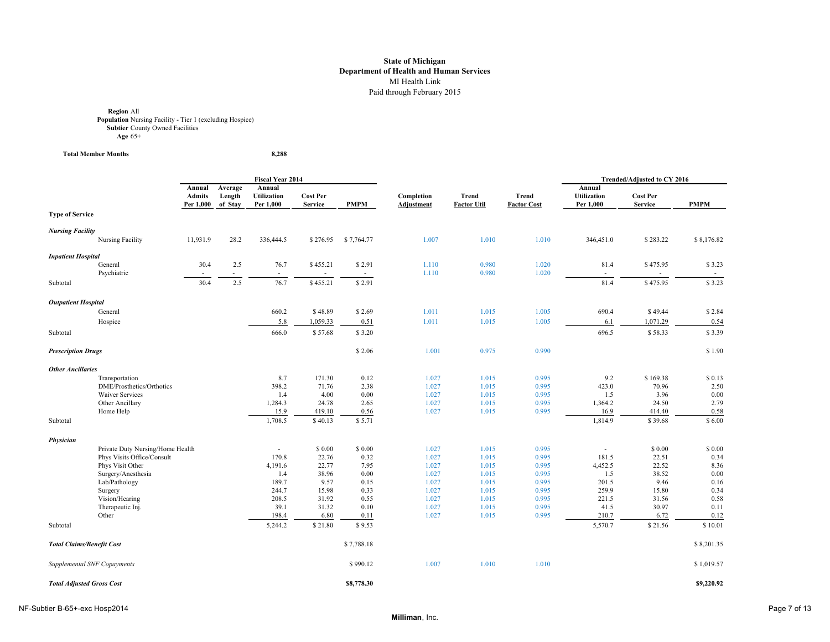**Region** All **Population** Nursing Facility - Tier 1 (excluding Hospice) **Subtier** County Owned Facilities **Age** 65+

**Total Member Months 8,288**

|                                  |                                                |                                      |                              | <b>Fiscal Year 2014</b>                   |                                   |              |                                 |                             |                                    |                                           | Trended/Adjusted to CY 2016       |              |
|----------------------------------|------------------------------------------------|--------------------------------------|------------------------------|-------------------------------------------|-----------------------------------|--------------|---------------------------------|-----------------------------|------------------------------------|-------------------------------------------|-----------------------------------|--------------|
|                                  |                                                | Annual<br><b>Admits</b><br>Per 1,000 | Average<br>Length<br>of Stay | Annual<br><b>Utilization</b><br>Per 1,000 | <b>Cost Per</b><br><b>Service</b> | <b>PMPM</b>  | Completion<br><b>Adjustment</b> | Trend<br><b>Factor Util</b> | <b>Trend</b><br><b>Factor Cost</b> | Annual<br><b>Utilization</b><br>Per 1,000 | <b>Cost Per</b><br><b>Service</b> | <b>PMPM</b>  |
| <b>Type of Service</b>           |                                                |                                      |                              |                                           |                                   |              |                                 |                             |                                    |                                           |                                   |              |
| <b>Nursing Facility</b>          |                                                |                                      |                              |                                           |                                   |              |                                 |                             |                                    |                                           |                                   |              |
|                                  | Nursing Facility                               | 11,931.9                             | 28.2                         | 336,444.5                                 | \$276.95                          | \$7,764.77   | 1.007                           | 1.010                       | 1.010                              | 346,451.0                                 | \$283.22                          | \$8,176.82   |
| <b>Inpatient Hospital</b>        |                                                |                                      |                              |                                           |                                   |              |                                 |                             |                                    |                                           |                                   |              |
|                                  | General<br>Psychiatric                         | 30.4                                 | 2.5                          | 76.7<br>$\overline{\phantom{a}}$          | \$455.21                          | \$2.91       | 1.110<br>1.110                  | 0.980<br>0.980              | 1.020<br>1.020                     | 81.4<br>٠                                 | \$475.95                          | \$3.23       |
| Subtotal                         |                                                | 30.4                                 | 2.5                          | 76.7                                      | \$455.21                          | \$2.91       |                                 |                             |                                    | 81.4                                      | \$475.95                          | \$3.23       |
| <b>Outpatient Hospital</b>       |                                                |                                      |                              |                                           |                                   |              |                                 |                             |                                    |                                           |                                   |              |
|                                  | General                                        |                                      |                              | 660.2                                     | \$48.89                           | \$2.69       | 1.011                           | 1.015                       | 1.005                              | 690.4                                     | \$49.44                           | \$2.84       |
|                                  | Hospice                                        |                                      |                              | 5.8                                       | 1,059.33                          | 0.51         | 1.011                           | 1.015                       | 1.005                              | 6.1                                       | 1,071.29                          | 0.54         |
| Subtotal                         |                                                |                                      |                              | 666.0                                     | \$57.68                           | \$3.20       |                                 |                             |                                    | 696.5                                     | \$58.33                           | \$3.39       |
| <b>Prescription Drugs</b>        |                                                |                                      |                              |                                           |                                   | \$2.06       | 1.001                           | 0.975                       | 0.990                              |                                           |                                   | \$1.90       |
| <b>Other Ancillaries</b>         |                                                |                                      |                              |                                           |                                   |              |                                 |                             |                                    |                                           |                                   |              |
|                                  | Transportation                                 |                                      |                              | 8.7                                       | 171.30                            | 0.12         | 1.027                           | 1.015                       | 0.995                              | 9.2                                       | \$169.38                          | \$0.13       |
|                                  | DME/Prosthetics/Orthotics                      |                                      |                              | 398.2                                     | 71.76                             | 2.38         | 1.027                           | 1.015                       | 0.995                              | 423.0                                     | 70.96                             | 2.50         |
|                                  | <b>Waiver Services</b>                         |                                      |                              | 1.4                                       | 4.00                              | 0.00         | 1.027                           | 1.015                       | 0.995                              | 1.5                                       | 3.96                              | $0.00\,$     |
|                                  | Other Ancillary                                |                                      |                              | 1,284.3                                   | 24.78                             | 2.65         | 1.027                           | 1.015                       | 0.995                              | 1,364.2                                   | 24.50                             | 2.79         |
|                                  | Home Help                                      |                                      |                              | 15.9                                      | 419.10                            | 0.56         | 1.027                           | 1.015                       | 0.995                              | 16.9                                      | 414.40                            | 0.58         |
| Subtotal                         |                                                |                                      |                              | 1,708.5                                   | \$40.13                           | \$5.71       |                                 |                             |                                    | 1,814.9                                   | \$39.68                           | \$6.00       |
| Physician                        |                                                |                                      |                              |                                           |                                   |              |                                 |                             |                                    |                                           |                                   |              |
|                                  | Private Duty Nursing/Home Health               |                                      |                              |                                           | \$ 0.00                           | \$0.00       | 1.027                           | 1.015                       | 0.995                              | $\overline{\phantom{a}}$                  | \$0.00                            | \$0.00       |
|                                  | Phys Visits Office/Consult<br>Phys Visit Other |                                      |                              | 170.8<br>4,191.6                          | 22.76<br>22.77                    | 0.32<br>7.95 | 1.027<br>1.027                  | 1.015                       | 0.995<br>0.995                     | 181.5<br>4,452.5                          | 22.51<br>22.52                    | 0.34<br>8.36 |
|                                  | Surgery/Anesthesia                             |                                      |                              | 1.4                                       | 38.96                             | 0.00         | 1.027                           | 1.015<br>1.015              | 0.995                              | 1.5                                       | 38.52                             | 0.00         |
|                                  | Lab/Pathology                                  |                                      |                              | 189.7                                     | 9.57                              | 0.15         | 1.027                           | 1.015                       | 0.995                              | 201.5                                     | 9.46                              | 0.16         |
|                                  | Surgery                                        |                                      |                              | 244.7                                     | 15.98                             | 0.33         | 1.027                           | 1.015                       | 0.995                              | 259.9                                     | 15.80                             | 0.34         |
|                                  | Vision/Hearing                                 |                                      |                              | 208.5                                     | 31.92                             | 0.55         | 1.027                           | 1.015                       | 0.995                              | 221.5                                     | 31.56                             | 0.58         |
|                                  | Therapeutic Inj.                               |                                      |                              | 39.1                                      | 31.32                             | 0.10         | 1.027                           | 1.015                       | 0.995                              | 41.5                                      | 30.97                             | 0.11         |
|                                  | Other                                          |                                      |                              | 198.4                                     | 6.80                              | 0.11         | 1.027                           | 1.015                       | 0.995                              | 210.7                                     | 6.72                              | 0.12         |
| Subtotal                         |                                                |                                      |                              | 5,244.2                                   | \$21.80                           | \$9.53       |                                 |                             |                                    | 5,570.7                                   | \$21.56                           | \$10.01      |
| <b>Total Claims/Benefit Cost</b> |                                                |                                      |                              |                                           |                                   | \$7,788.18   |                                 |                             |                                    |                                           |                                   | \$8,201.35   |
|                                  | Supplemental SNF Copayments                    |                                      |                              |                                           |                                   | \$990.12     | 1.007                           | 1.010                       | 1.010                              |                                           |                                   | \$1,019.57   |
| <b>Total Adjusted Gross Cost</b> |                                                |                                      |                              |                                           |                                   | \$8,778.30   |                                 |                             |                                    |                                           |                                   | \$9,220.92   |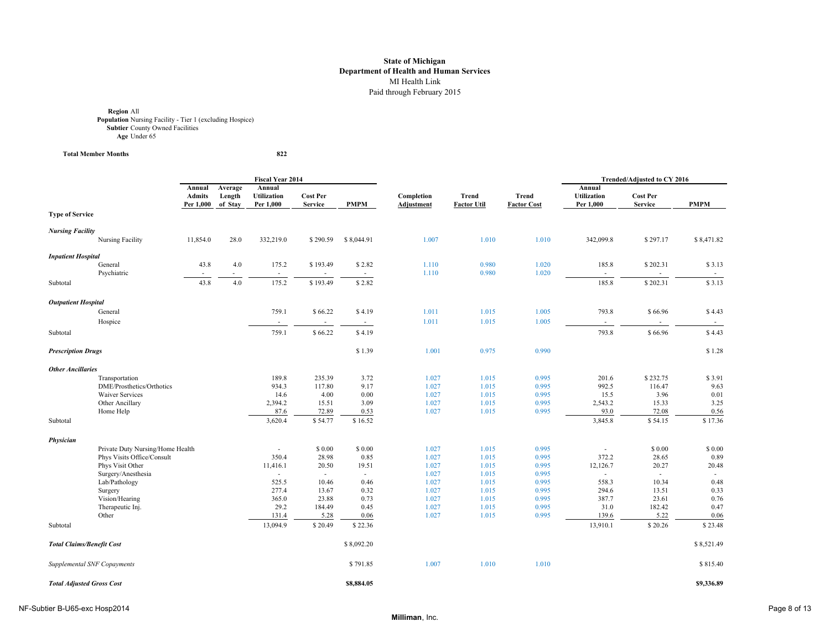**Region** All **Population** Nursing Facility - Tier 1 (excluding Hospice) **Subtier** County Owned Facilities **Age** Under 65

 $Total Member Monthly$ 

822

|                                  |                                                |                                      |                              | Fiscal Year 2014                          |                                   |               |                                 |                                    |                                    |                                           | Trended/Adjusted to CY 2016       |               |
|----------------------------------|------------------------------------------------|--------------------------------------|------------------------------|-------------------------------------------|-----------------------------------|---------------|---------------------------------|------------------------------------|------------------------------------|-------------------------------------------|-----------------------------------|---------------|
|                                  |                                                | Annual<br><b>Admits</b><br>Per 1,000 | Average<br>Length<br>of Stay | Annual<br><b>Utilization</b><br>Per 1,000 | <b>Cost Per</b><br><b>Service</b> | <b>PMPM</b>   | Completion<br><b>Adjustment</b> | <b>Trend</b><br><b>Factor Util</b> | <b>Trend</b><br><b>Factor Cost</b> | Annual<br><b>Utilization</b><br>Per 1,000 | <b>Cost Per</b><br><b>Service</b> | <b>PMPM</b>   |
| <b>Type of Service</b>           |                                                |                                      |                              |                                           |                                   |               |                                 |                                    |                                    |                                           |                                   |               |
| <b>Nursing Facility</b>          |                                                |                                      |                              |                                           |                                   |               |                                 |                                    |                                    |                                           |                                   |               |
|                                  | Nursing Facility                               | 11,854.0                             | 28.0                         | 332,219.0                                 | \$290.59                          | \$8,044.91    | 1.007                           | 1.010                              | 1.010                              | 342,099.8                                 | \$297.17                          | \$8,471.82    |
| <b>Inpatient Hospital</b>        |                                                |                                      |                              |                                           |                                   |               |                                 |                                    |                                    |                                           |                                   |               |
|                                  | General<br>Psychiatric                         | 43.8                                 | 4.0                          | 175.2                                     | \$193.49                          | \$2.82        | 1.110<br>1.110                  | 0.980<br>0.980                     | 1.020<br>1.020                     | 185.8<br>÷.                               | \$202.31                          | \$3.13        |
| Subtotal                         |                                                | 43.8                                 | 4.0                          | 175.2                                     | \$193.49                          | \$2.82        |                                 |                                    |                                    | 185.8                                     | \$202.31                          | \$3.13        |
| <b>Outpatient Hospital</b>       |                                                |                                      |                              |                                           |                                   |               |                                 |                                    |                                    |                                           |                                   |               |
|                                  | General                                        |                                      |                              | 759.1                                     | \$66.22                           | \$4.19        | 1.011                           | 1.015                              | 1.005                              | 793.8                                     | \$66.96                           | \$4.43        |
|                                  | Hospice                                        |                                      |                              | $\overline{\phantom{a}}$                  | $\blacksquare$                    | $\sim$        | 1.011                           | 1.015                              | 1.005                              | $\sim$                                    | $\sim$                            | $\sim$        |
| Subtotal                         |                                                |                                      |                              | 759.1                                     | \$66.22                           | \$4.19        |                                 |                                    |                                    | 793.8                                     | \$66.96                           | \$4.43        |
| <b>Prescription Drugs</b>        |                                                |                                      |                              |                                           |                                   | \$1.39        | 1.001                           | 0.975                              | 0.990                              |                                           |                                   | \$1.28        |
| <b>Other Ancillaries</b>         |                                                |                                      |                              |                                           |                                   |               |                                 |                                    |                                    |                                           |                                   |               |
|                                  | Transportation                                 |                                      |                              | 189.8                                     | 235.39                            | 3.72          | 1.027                           | 1.015                              | 0.995                              | 201.6                                     | \$232.75                          | \$3.91        |
|                                  | DME/Prosthetics/Orthotics                      |                                      |                              | 934.3                                     | 117.80                            | 9.17          | 1.027                           | 1.015                              | 0.995                              | 992.5                                     | 116.47                            | 9.63          |
|                                  | <b>Waiver Services</b>                         |                                      |                              | 14.6                                      | 4.00                              | 0.00          | 1.027                           | 1.015                              | 0.995                              | 15.5                                      | 3.96                              | 0.01          |
|                                  | Other Ancillary<br>Home Help                   |                                      |                              | 2,394.2<br>87.6                           | 15.51<br>72.89                    | 3.09<br>0.53  | 1.027<br>1.027                  | 1.015<br>1.015                     | 0.995<br>0.995                     | 2,543.2<br>93.0                           | 15.33<br>72.08                    | 3.25<br>0.56  |
| Subtotal                         |                                                |                                      |                              | 3,620.4                                   | \$54.77                           | \$16.52       |                                 |                                    |                                    | 3,845.8                                   | \$54.15                           | \$17.36       |
|                                  |                                                |                                      |                              |                                           |                                   |               |                                 |                                    |                                    |                                           |                                   |               |
| Physician                        |                                                |                                      |                              |                                           |                                   |               |                                 |                                    |                                    |                                           |                                   |               |
|                                  | Private Duty Nursing/Home Health               |                                      |                              |                                           | \$0.00                            | \$ 0.00       | 1.027                           | 1.015                              | 0.995                              | $\sim$                                    | \$0.00                            | \$ 0.00       |
|                                  | Phys Visits Office/Consult<br>Phys Visit Other |                                      |                              | 350.4<br>11,416.1                         | 28.98<br>20.50                    | 0.85<br>19.51 | 1.027<br>1.027                  | 1.015<br>1.015                     | 0.995<br>0.995                     | 372.2<br>12,126.7                         | 28.65<br>20.27                    | 0.89<br>20.48 |
|                                  | Surgery/Anesthesia                             |                                      |                              |                                           | $\sim$                            | $\sim$        | 1.027                           | 1.015                              | 0.995                              | ÷                                         | $\sim$                            |               |
|                                  | Lab/Pathology                                  |                                      |                              | 525.5                                     | 10.46                             | 0.46          | 1.027                           | 1.015                              | 0.995                              | 558.3                                     | 10.34                             | 0.48          |
|                                  | Surgery                                        |                                      |                              | 277.4                                     | 13.67                             | 0.32          | 1.027                           | 1.015                              | 0.995                              | 294.6                                     | 13.51                             | 0.33          |
|                                  | Vision/Hearing                                 |                                      |                              | 365.0                                     | 23.88                             | 0.73          | 1.027                           | 1.015                              | 0.995                              | 387.7                                     | 23.61                             | 0.76          |
|                                  | Therapeutic Inj.                               |                                      |                              | 29.2                                      | 184.49                            | 0.45          | 1.027                           | 1.015                              | 0.995                              | 31.0                                      | 182.42                            | 0.47          |
|                                  | Other                                          |                                      |                              | 131.4                                     | 5.28                              | 0.06          | 1.027                           | 1.015                              | 0.995                              | 139.6                                     | 5.22                              | 0.06          |
| Subtotal                         |                                                |                                      |                              | 13,094.9                                  | \$20.49                           | \$22.36       |                                 |                                    |                                    | 13,910.1                                  | \$20.26                           | \$23.48       |
| <b>Total Claims/Benefit Cost</b> |                                                |                                      |                              |                                           |                                   | \$8,092.20    |                                 |                                    |                                    |                                           |                                   | \$8,521.49    |
|                                  | Supplemental SNF Copayments                    |                                      |                              |                                           |                                   | \$791.85      | 1.007                           | 1.010                              | 1.010                              |                                           |                                   | \$815.40      |
| <b>Total Adjusted Gross Cost</b> |                                                |                                      |                              |                                           |                                   | \$8,884.05    |                                 |                                    |                                    |                                           |                                   | \$9,336.89    |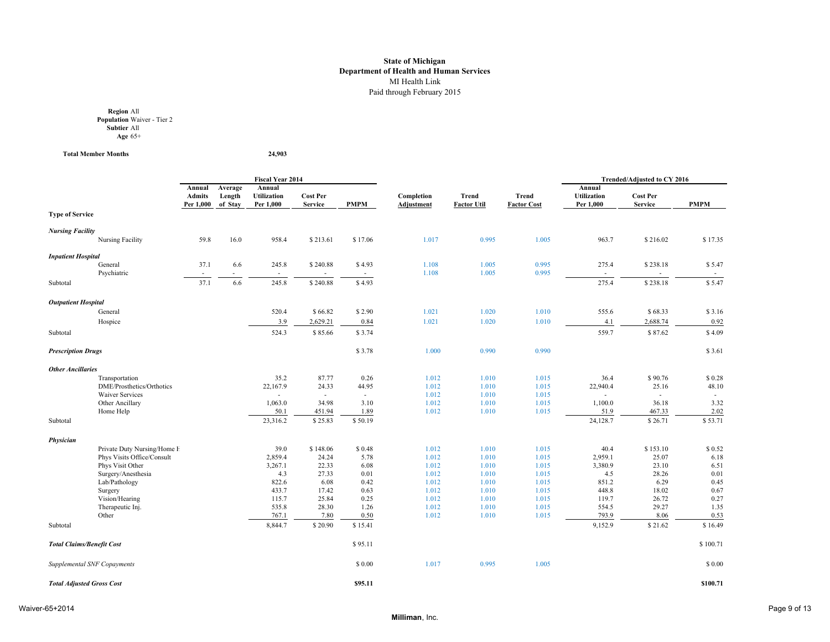**Region** All **Population** Waiver - Tier 2 **Subtier** All **Age** 65+

**Total Member Months 24,903**

|                                  |                                    |                                      |                              | <b>Fiscal Year 2014</b>                   |                                   |              |                          |                                    |                                    |                                           | Trended/Adjusted to CY 2016       |              |
|----------------------------------|------------------------------------|--------------------------------------|------------------------------|-------------------------------------------|-----------------------------------|--------------|--------------------------|------------------------------------|------------------------------------|-------------------------------------------|-----------------------------------|--------------|
|                                  |                                    | Annual<br><b>Admits</b><br>Per 1,000 | Average<br>Length<br>of Stav | Annual<br><b>Utilization</b><br>Per 1,000 | <b>Cost Per</b><br><b>Service</b> | <b>PMPM</b>  | Completion<br>Adjustment | <b>Trend</b><br><b>Factor Util</b> | <b>Trend</b><br><b>Factor Cost</b> | Annual<br><b>Utilization</b><br>Per 1,000 | <b>Cost Per</b><br><b>Service</b> | <b>PMPM</b>  |
| <b>Type of Service</b>           |                                    |                                      |                              |                                           |                                   |              |                          |                                    |                                    |                                           |                                   |              |
| <b>Nursing Facility</b>          |                                    |                                      |                              |                                           |                                   |              |                          |                                    |                                    |                                           |                                   |              |
|                                  | Nursing Facility                   | 59.8                                 | 16.0                         | 958.4                                     | \$213.61                          | \$17.06      | 1.017                    | 0.995                              | 1.005                              | 963.7                                     | \$216.02                          | \$17.35      |
| <b>Inpatient Hospital</b>        |                                    |                                      |                              |                                           |                                   |              |                          |                                    |                                    |                                           |                                   |              |
|                                  | General                            | 37.1                                 | 6.6                          | 245.8                                     | \$240.88                          | \$4.93       | 1.108                    | 1.005                              | 0.995                              | 275.4                                     | \$238.18                          | \$5.47       |
|                                  | Psychiatric                        |                                      |                              | ٠                                         |                                   | н.           | 1.108                    | 1.005                              | 0.995                              | $\sim$                                    |                                   |              |
| Subtotal                         |                                    | 37.1                                 | 6.6                          | 245.8                                     | \$240.88                          | \$4.93       |                          |                                    |                                    | 275.4                                     | \$238.18                          | \$5.47       |
| <b>Outpatient Hospital</b>       |                                    |                                      |                              |                                           |                                   |              |                          |                                    |                                    |                                           |                                   |              |
|                                  | General                            |                                      |                              | 520.4                                     | \$66.82                           | \$2.90       | 1.021                    | 1.020                              | 1.010                              | 555.6                                     | \$68.33                           | \$3.16       |
|                                  | Hospice                            |                                      |                              | 3.9                                       | 2,629.21                          | 0.84         | 1.021                    | 1.020                              | 1.010                              | 4.1                                       | 2,688.74                          | 0.92         |
| Subtotal                         |                                    |                                      |                              | 524.3                                     | \$85.66                           | \$3.74       |                          |                                    |                                    | 559.7                                     | \$87.62                           | \$4.09       |
| <b>Prescription Drugs</b>        |                                    |                                      |                              |                                           |                                   | \$3.78       | 1.000                    | 0.990                              | 0.990                              |                                           |                                   | \$3.61       |
| <b>Other Ancillaries</b>         |                                    |                                      |                              |                                           |                                   |              |                          |                                    |                                    |                                           |                                   |              |
|                                  | Transportation                     |                                      |                              | 35.2                                      | 87.77                             | 0.26         | 1.012                    | 1.010                              | 1.015                              | 36.4                                      | \$90.76                           | \$0.28       |
|                                  | DME/Prosthetics/Orthotics          |                                      |                              | 22,167.9                                  | 24.33                             | 44.95        | 1.012                    | 1.010                              | 1.015                              | 22,940.4                                  | 25.16                             | 48.10        |
|                                  | <b>Waiver Services</b>             |                                      |                              |                                           | $\overline{\phantom{a}}$          | $\sim$       | 1.012                    | 1.010                              | 1.015                              |                                           | ÷                                 |              |
|                                  | Other Ancillary                    |                                      |                              | 1,063.0                                   | 34.98                             | 3.10         | 1.012                    | 1.010                              | 1.015                              | 1,100.0                                   | 36.18                             | 3.32         |
|                                  | Home Help                          |                                      |                              | 50.1                                      | 451.94                            | 1.89         | 1.012                    | 1.010                              | 1.015                              | 51.9                                      | 467.33                            | 2.02         |
| Subtotal                         |                                    |                                      |                              | 23,316.2                                  | \$25.83                           | \$50.19      |                          |                                    |                                    | 24,128.7                                  | \$26.71                           | \$53.71      |
| Physician                        |                                    |                                      |                              |                                           |                                   |              |                          |                                    |                                    |                                           |                                   |              |
|                                  | Private Duty Nursing/Home H        |                                      |                              | 39.0                                      | \$148.06                          | \$0.48       | 1.012                    | 1.010                              | 1.015                              | 40.4                                      | \$153.10                          | \$0.52       |
|                                  | Phys Visits Office/Consult         |                                      |                              | 2,859.4                                   | 24.24                             | 5.78         | 1.012                    | 1.010                              | 1.015                              | 2,959.1                                   | 25.07                             | 6.18         |
|                                  | Phys Visit Other                   |                                      |                              | 3,267.1                                   | 22.33                             | 6.08         | 1.012                    | 1.010                              | 1.015                              | 3,380.9                                   | 23.10                             | 6.51         |
|                                  | Surgery/Anesthesia                 |                                      |                              | 4.3                                       | 27.33                             | 0.01         | 1.012                    | 1.010                              | 1.015                              | 4.5                                       | 28.26                             | 0.01         |
|                                  | Lab/Pathology                      |                                      |                              | 822.6                                     | 6.08                              | 0.42         | 1.012                    | 1.010                              | 1.015                              | 851.2                                     | 6.29                              | 0.45         |
|                                  | Surgery                            |                                      |                              | 433.7                                     | 17.42                             | 0.63         | 1.012                    | 1.010                              | 1.015                              | 448.8                                     | 18.02                             | 0.67         |
|                                  | Vision/Hearing<br>Therapeutic Inj. |                                      |                              | 115.7<br>535.8                            | 25.84<br>28.30                    | 0.25<br>1.26 | 1.012<br>1.012           | 1.010<br>1.010                     | 1.015<br>1.015                     | 119.7<br>554.5                            | 26.72<br>29.27                    | 0.27<br>1.35 |
|                                  | Other                              |                                      |                              | 767.1                                     | 7.80                              | 0.50         | 1.012                    | 1.010                              | 1.015                              | 793.9                                     | 8.06                              | 0.53         |
| Subtotal                         |                                    |                                      |                              | 8,844.7                                   | \$20.90                           | \$15.41      |                          |                                    |                                    | 9,152.9                                   | \$21.62                           | \$16.49      |
| <b>Total Claims/Benefit Cost</b> |                                    |                                      |                              |                                           |                                   | \$95.11      |                          |                                    |                                    |                                           |                                   | \$100.71     |
|                                  |                                    |                                      |                              |                                           |                                   |              |                          |                                    |                                    |                                           |                                   |              |
|                                  | Supplemental SNF Copayments        |                                      |                              |                                           |                                   | \$ 0.00      | 1.017                    | 0.995                              | 1.005                              |                                           |                                   | \$ 0.00      |
| <b>Total Adjusted Gross Cost</b> |                                    |                                      |                              |                                           |                                   | \$95.11      |                          |                                    |                                    |                                           |                                   | \$100.71     |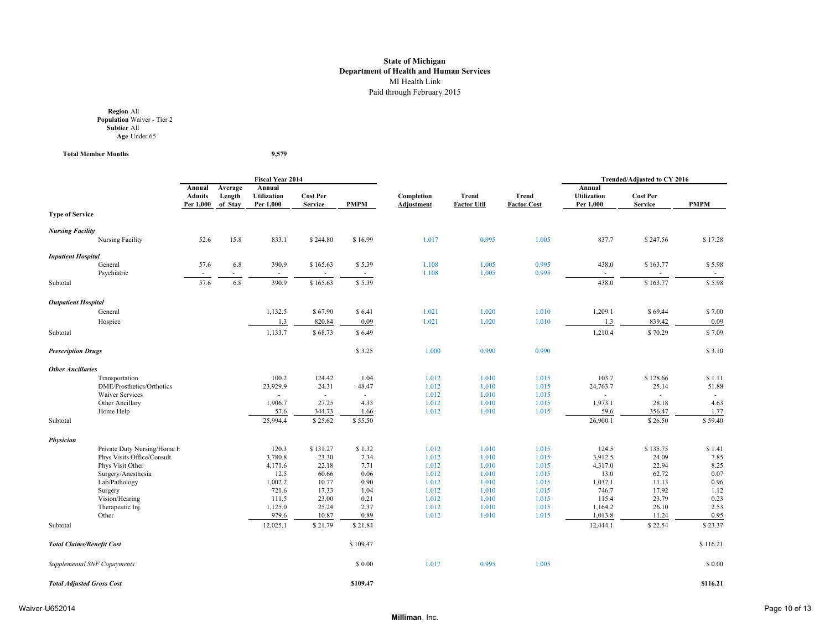**Region** All **Population** Waiver - Tier 2 **Subtier** All **Age** Under 65

**Total Member Months 9,579**

|                                  |                             |                                      |                              | <b>Fiscal Year 2014</b>                   |                                   |              |                          |                                    |                                    |                                           | <b>Trended/Adjusted to CY 2016</b> |                          |
|----------------------------------|-----------------------------|--------------------------------------|------------------------------|-------------------------------------------|-----------------------------------|--------------|--------------------------|------------------------------------|------------------------------------|-------------------------------------------|------------------------------------|--------------------------|
|                                  |                             | Annual<br><b>Admits</b><br>Per 1,000 | Average<br>Length<br>of Stav | Annual<br><b>Utilization</b><br>Per 1,000 | <b>Cost Per</b><br><b>Service</b> | <b>PMPM</b>  | Completion<br>Adjustment | <b>Trend</b><br><b>Factor Util</b> | <b>Trend</b><br><b>Factor Cost</b> | Annual<br><b>Utilization</b><br>Per 1,000 | <b>Cost Per</b><br><b>Service</b>  | <b>PMPM</b>              |
| <b>Type of Service</b>           |                             |                                      |                              |                                           |                                   |              |                          |                                    |                                    |                                           |                                    |                          |
| <b>Nursing Facility</b>          |                             |                                      |                              |                                           |                                   |              |                          |                                    |                                    |                                           |                                    |                          |
|                                  | Nursing Facility            | 52.6                                 | 15.8                         | 833.1                                     | \$244.80                          | \$16.99      | 1.017                    | 0.995                              | 1.005                              | 837.7                                     | \$247.56                           | \$17.28                  |
| <b>Inpatient Hospital</b>        |                             |                                      |                              |                                           |                                   |              |                          |                                    |                                    |                                           |                                    |                          |
|                                  | General                     | 57.6                                 | 6.8                          | 390.9                                     | \$165.63                          | \$5.39       | 1.108                    | 1.005                              | 0.995                              | 438.0                                     | \$163.77                           | \$5.98                   |
|                                  | Psychiatric                 |                                      |                              | $\overline{\phantom{a}}$                  |                                   | $\sim$       | 1.108                    | 1.005                              | 0.995                              | $\sim$                                    | ÷                                  | $\overline{\phantom{a}}$ |
| Subtotal                         |                             | 57.6                                 | 6.8                          | 390.9                                     | \$165.63                          | \$5.39       |                          |                                    |                                    | 438.0                                     | \$163.77                           | \$5.98                   |
| <b>Outpatient Hospital</b>       |                             |                                      |                              |                                           |                                   |              |                          |                                    |                                    |                                           |                                    |                          |
|                                  | General                     |                                      |                              | 1,132.5                                   | \$67.90                           | \$6.41       | 1.021                    | 1.020                              | 1.010                              | 1,209.1                                   | \$69.44                            | \$7.00                   |
|                                  | Hospice                     |                                      |                              | 1.3                                       | 820.84                            | 0.09         | 1.021                    | 1.020                              | 1.010                              | 1.3                                       | 839.42                             | 0.09                     |
| Subtotal                         |                             |                                      |                              | 1,133.7                                   | \$68.73                           | \$6.49       |                          |                                    |                                    | 1,210.4                                   | \$70.29                            | \$7.09                   |
| <b>Prescription Drugs</b>        |                             |                                      |                              |                                           |                                   | \$3.25       | 1.000                    | 0.990                              | 0.990                              |                                           |                                    | \$3.10                   |
| <b>Other Ancillaries</b>         |                             |                                      |                              |                                           |                                   |              |                          |                                    |                                    |                                           |                                    |                          |
|                                  | Transportation              |                                      |                              | 100.2                                     | 124.42                            | 1.04         | 1.012                    | 1.010                              | 1.015                              | 103.7                                     | \$128.66                           | \$1.11                   |
|                                  | DME/Prosthetics/Orthotics   |                                      |                              | 23,929.9                                  | 24.31                             | 48.47        | 1.012                    | 1.010                              | 1.015                              | 24,763.7                                  | 25.14                              | 51.88                    |
|                                  | <b>Waiver Services</b>      |                                      |                              |                                           | $\sim$                            | $\sim$       | 1.012                    | 1.010                              | 1.015                              | ÷                                         | $\sim$                             | $\sim$                   |
|                                  | Other Ancillary             |                                      |                              | 1,906.7                                   | 27.25                             | 4.33         | 1.012                    | 1.010                              | 1.015                              | 1,973.1                                   | 28.18                              | 4.63                     |
|                                  | Home Help                   |                                      |                              | 57.6                                      | 344.73                            | 1.66         | 1.012                    | 1.010                              | 1.015                              | 59.6                                      | 356.47                             | 1.77                     |
| Subtotal                         |                             |                                      |                              | 25,994.4                                  | \$25.62                           | \$55.50      |                          |                                    |                                    | 26,900.1                                  | \$26.50                            | \$59.40                  |
| Physician                        |                             |                                      |                              |                                           |                                   |              |                          |                                    |                                    |                                           |                                    |                          |
|                                  | Private Duty Nursing/Home H |                                      |                              | 120.3                                     | \$131.27                          | \$1.32       | 1.012                    | 1.010                              | 1.015                              | 124.5                                     | \$135.75                           | \$1.41                   |
|                                  | Phys Visits Office/Consult  |                                      |                              | 3,780.8                                   | 23.30                             | 7.34         | 1.012                    | 1.010                              | 1.015                              | 3,912.5                                   | 24.09                              | 7.85                     |
|                                  | Phys Visit Other            |                                      |                              | 4,171.6                                   | 22.18                             | 7.71         | 1.012                    | 1.010                              | 1.015                              | 4,317.0                                   | 22.94                              | 8.25                     |
|                                  | Surgery/Anesthesia          |                                      |                              | 12.5                                      | 60.66                             | 0.06         | 1.012                    | 1.010                              | 1.015                              | 13.0                                      | 62.72                              | 0.07                     |
|                                  | Lab/Pathology               |                                      |                              | 1,002.2                                   | 10.77                             | 0.90         | 1.012                    | 1.010                              | 1.015                              | 1,037.1                                   | 11.13                              | 0.96                     |
|                                  | Surgery<br>Vision/Hearing   |                                      |                              | 721.6<br>111.5                            | 17.33<br>23.00                    | 1.04<br>0.21 | 1.012<br>1.012           | 1.010<br>1.010                     | 1.015<br>1.015                     | 746.7<br>115.4                            | 17.92<br>23.79                     | 1.12<br>0.23             |
|                                  | Therapeutic Inj.            |                                      |                              | 1,125.0                                   | 25.24                             | 2.37         | 1.012                    | 1.010                              | 1.015                              | 1,164.2                                   | 26.10                              | 2.53                     |
|                                  | Other                       |                                      |                              | 979.6                                     | 10.87                             | 0.89         | 1.012                    | 1.010                              | 1.015                              | 1,013.8                                   | 11.24                              | 0.95                     |
| Subtotal                         |                             |                                      |                              | 12,025.1                                  | \$21.79                           | \$21.84      |                          |                                    |                                    | 12,444.1                                  | \$22.54                            | \$23.37                  |
|                                  |                             |                                      |                              |                                           |                                   |              |                          |                                    |                                    |                                           |                                    |                          |
| <b>Total Claims/Benefit Cost</b> |                             |                                      |                              |                                           |                                   | \$109.47     |                          |                                    |                                    |                                           |                                    | \$116.21                 |
|                                  | Supplemental SNF Copayments |                                      |                              |                                           |                                   | \$ 0.00      | 1.017                    | 0.995                              | 1.005                              |                                           |                                    | \$ 0.00                  |
| <b>Total Adjusted Gross Cost</b> |                             |                                      |                              |                                           |                                   | \$109.47     |                          |                                    |                                    |                                           |                                    | \$116.21                 |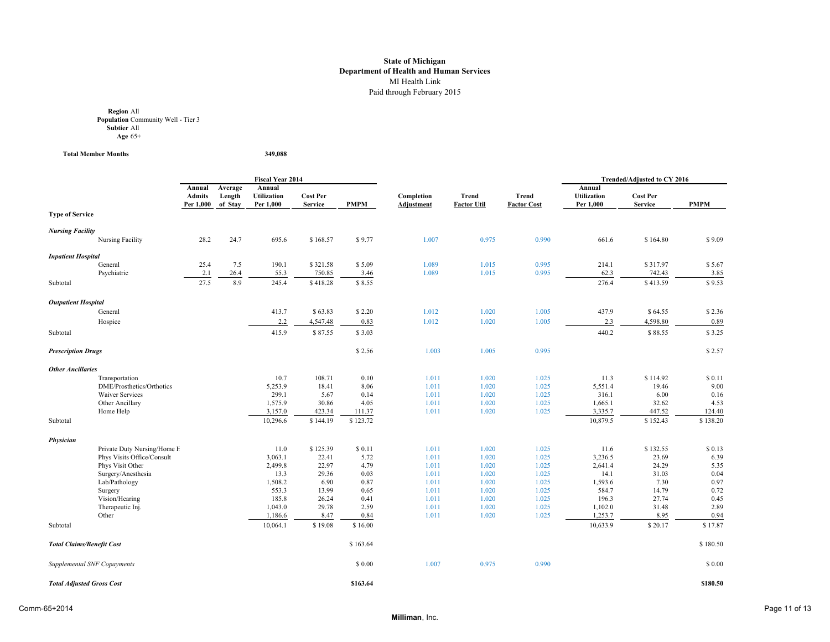**Region** All **Population** Community Well - Tier 3 **Subtier** All **Age** 65+

**Total Member Months 349,088**

|                                  |                                                |                                      |                              | <b>Fiscal Year 2014</b>                   |                                   |                |                                 |                             |                             |                                           | Trended/Adjusted to CY 2016       |              |
|----------------------------------|------------------------------------------------|--------------------------------------|------------------------------|-------------------------------------------|-----------------------------------|----------------|---------------------------------|-----------------------------|-----------------------------|-------------------------------------------|-----------------------------------|--------------|
|                                  |                                                | Annual<br><b>Admits</b><br>Per 1,000 | Average<br>Length<br>of Stay | Annual<br><b>Utilization</b><br>Per 1,000 | <b>Cost Per</b><br><b>Service</b> | <b>PMPM</b>    | Completion<br><b>Adjustment</b> | Trend<br><b>Factor Util</b> | Trend<br><b>Factor Cost</b> | Annual<br><b>Utilization</b><br>Per 1,000 | <b>Cost Per</b><br><b>Service</b> | <b>PMPM</b>  |
| <b>Type of Service</b>           |                                                |                                      |                              |                                           |                                   |                |                                 |                             |                             |                                           |                                   |              |
| <b>Nursing Facility</b>          |                                                |                                      |                              |                                           |                                   |                |                                 |                             |                             |                                           |                                   |              |
|                                  | Nursing Facility                               | 28.2                                 | 24.7                         | 695.6                                     | \$168.57                          | \$9.77         | 1.007                           | 0.975                       | 0.990                       | 661.6                                     | \$164.80                          | \$9.09       |
| <b>Inpatient Hospital</b>        |                                                |                                      |                              |                                           |                                   |                |                                 |                             |                             |                                           |                                   |              |
|                                  | General                                        | 25.4                                 | 7.5                          | 190.1                                     | \$321.58                          | \$5.09         | 1.089                           | 1.015                       | 0.995                       | 214.1                                     | \$317.97                          | \$5.67       |
|                                  | Psychiatric                                    | 2.1                                  | 26.4                         | 55.3                                      | 750.85                            | 3.46           | 1.089                           | 1.015                       | 0.995                       | 62.3                                      | 742.43                            | 3.85         |
| Subtotal                         |                                                | 27.5                                 | 8.9                          | 245.4                                     | \$418.28                          | \$8.55         |                                 |                             |                             | 276.4                                     | \$413.59                          | \$9.53       |
| <b>Outpatient Hospital</b>       |                                                |                                      |                              |                                           |                                   |                |                                 |                             |                             |                                           |                                   |              |
|                                  | General                                        |                                      |                              | 413.7                                     | \$63.83                           | \$2.20         | 1.012                           | 1.020                       | 1.005                       | 437.9                                     | \$64.55                           | \$2.36       |
|                                  | Hospice                                        |                                      |                              | 2.2                                       | 4,547.48                          | 0.83           | 1.012                           | 1.020                       | 1.005                       | 2.3                                       | 4,598.80                          | 0.89         |
| Subtotal                         |                                                |                                      |                              | 415.9                                     | \$87.55                           | \$3.03         |                                 |                             |                             | 440.2                                     | \$88.55                           | \$3.25       |
| <b>Prescription Drugs</b>        |                                                |                                      |                              |                                           |                                   | \$2.56         | 1.003                           | 1.005                       | 0.995                       |                                           |                                   | \$2.57       |
|                                  |                                                |                                      |                              |                                           |                                   |                |                                 |                             |                             |                                           |                                   |              |
| <b>Other Ancillaries</b>         |                                                |                                      |                              |                                           |                                   |                |                                 |                             |                             |                                           |                                   |              |
|                                  | Transportation                                 |                                      |                              | 10.7                                      | 108.71                            | 0.10           | 1.011                           | 1.020                       | 1.025                       | 11.3                                      | \$114.92                          | \$0.11       |
|                                  | DME/Prosthetics/Orthotics                      |                                      |                              | 5,253.9                                   | 18.41                             | 8.06           | 1.011                           | 1.020                       | 1.025                       | 5,551.4                                   | 19.46                             | 9.00         |
|                                  | <b>Waiver Services</b>                         |                                      |                              | 299.1<br>1,575.9                          | 5.67<br>30.86                     | 0.14           | 1.011<br>1.011                  | 1.020<br>1.020              | 1.025                       | 316.1                                     | 6.00<br>32.62                     | 0.16<br>4.53 |
|                                  | Other Ancillary<br>Home Help                   |                                      |                              | 3,157.0                                   | 423.34                            | 4.05<br>111.37 | 1.011                           | 1.020                       | 1.025<br>1.025              | 1,665.1<br>3,335.7                        | 447.52                            | 124.40       |
| Subtotal                         |                                                |                                      |                              | 10,296.6                                  | \$144.19                          | \$123.72       |                                 |                             |                             | 10,879.5                                  | \$152.43                          | \$138.20     |
|                                  |                                                |                                      |                              |                                           |                                   |                |                                 |                             |                             |                                           |                                   |              |
| Physician                        |                                                |                                      |                              |                                           |                                   |                |                                 |                             |                             |                                           |                                   |              |
|                                  | Private Duty Nursing/Home H                    |                                      |                              | 11.0                                      | \$125.39                          | \$0.11         | 1.011                           | 1.020                       | 1.025                       | 11.6                                      | \$132.55                          | \$0.13       |
|                                  | Phys Visits Office/Consult<br>Phys Visit Other |                                      |                              | 3,063.1<br>2,499.8                        | 22.41<br>22.97                    | 5.72<br>4.79   | 1.011                           | 1.020                       | 1.025                       | 3,236.5<br>2,641.4                        | 23.69<br>24.29                    | 6.39<br>5.35 |
|                                  | Surgery/Anesthesia                             |                                      |                              | 13.3                                      | 29.36                             | 0.03           | 1.011<br>1.011                  | 1.020<br>1.020              | 1.025<br>1.025              | 14.1                                      | 31.03                             | 0.04         |
|                                  | Lab/Pathology                                  |                                      |                              | 1,508.2                                   | 6.90                              | 0.87           | 1.011                           | 1.020                       | 1.025                       | 1,593.6                                   | 7.30                              | 0.97         |
|                                  | Surgery                                        |                                      |                              | 553.3                                     | 13.99                             | 0.65           | 1.011                           | 1.020                       | 1.025                       | 584.7                                     | 14.79                             | 0.72         |
|                                  | Vision/Hearing                                 |                                      |                              | 185.8                                     | 26.24                             | 0.41           | 1.011                           | 1.020                       | 1.025                       | 196.3                                     | 27.74                             | 0.45         |
|                                  | Therapeutic Inj.                               |                                      |                              | 1,043.0                                   | 29.78                             | 2.59           | 1.011                           | 1.020                       | 1.025                       | 1,102.0                                   | 31.48                             | 2.89         |
|                                  | Other                                          |                                      |                              | 1,186.6                                   | 8.47                              | 0.84           | 1.011                           | 1.020                       | 1.025                       | 1,253.7                                   | 8.95                              | 0.94         |
| Subtotal                         |                                                |                                      |                              | 10,064.1                                  | \$19.08                           | \$16.00        |                                 |                             |                             | 10,633.9                                  | \$20.17                           | \$17.87      |
| <b>Total Claims/Benefit Cost</b> |                                                |                                      |                              |                                           |                                   | \$163.64       |                                 |                             |                             |                                           |                                   | \$180.50     |
|                                  | Supplemental SNF Copayments                    |                                      |                              |                                           |                                   | \$ 0.00        | 1.007                           | 0.975                       | 0.990                       |                                           |                                   | \$0.00       |
| <b>Total Adjusted Gross Cost</b> |                                                |                                      |                              |                                           |                                   | \$163.64       |                                 |                             |                             |                                           |                                   | \$180.50     |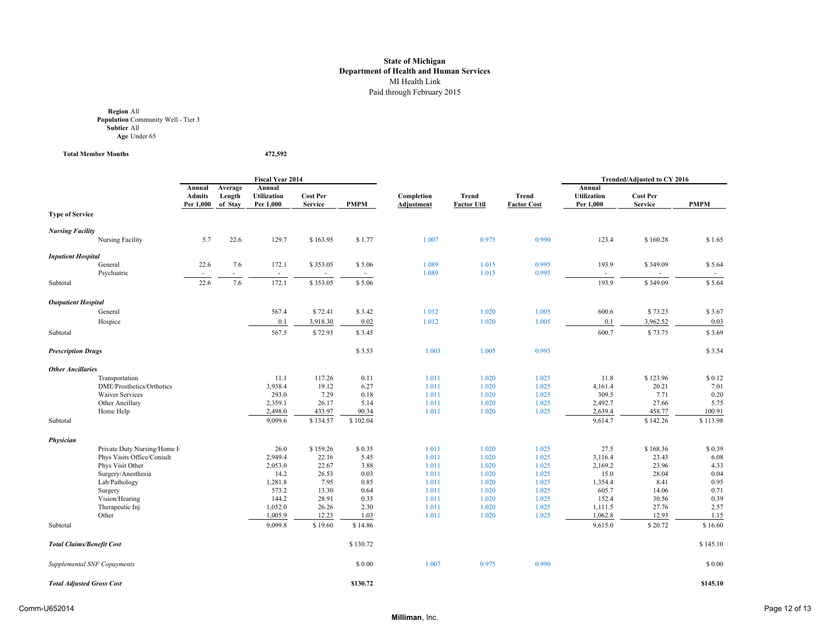**Region** All **Population** Community Well - Tier 3 **Subtier** All **Age** Under 65

**Total Member Months 472,592**

|                                  |                                                           |                                      |                              | <b>Fiscal Year 2014</b>                   |                                   |                  |                                 |                             |                             |                                           | Trended/Adjusted to CY 2016       |                |
|----------------------------------|-----------------------------------------------------------|--------------------------------------|------------------------------|-------------------------------------------|-----------------------------------|------------------|---------------------------------|-----------------------------|-----------------------------|-------------------------------------------|-----------------------------------|----------------|
|                                  |                                                           | Annual<br><b>Admits</b><br>Per 1,000 | Average<br>Length<br>of Stay | Annual<br><b>Utilization</b><br>Per 1,000 | <b>Cost Per</b><br><b>Service</b> | <b>PMPM</b>      | Completion<br><b>Adjustment</b> | Trend<br><b>Factor Util</b> | Trend<br><b>Factor Cost</b> | Annual<br><b>Utilization</b><br>Per 1,000 | <b>Cost Per</b><br><b>Service</b> | <b>PMPM</b>    |
| <b>Type of Service</b>           |                                                           |                                      |                              |                                           |                                   |                  |                                 |                             |                             |                                           |                                   |                |
| <b>Nursing Facility</b>          |                                                           |                                      |                              |                                           |                                   |                  |                                 |                             |                             |                                           |                                   |                |
|                                  | Nursing Facility                                          | 5.7                                  | 22.6                         | 129.7                                     | \$163.95                          | \$1.77           | 1.007                           | 0.975                       | 0.990                       | 123.4                                     | \$160.28                          | \$1.65         |
| <b>Inpatient Hospital</b>        |                                                           |                                      |                              |                                           |                                   |                  |                                 |                             |                             |                                           |                                   |                |
|                                  | General<br>Psychiatric                                    | 22.6                                 | 7.6                          | 172.1                                     | \$353.05                          | \$5.06<br>$\sim$ | 1.089<br>1.089                  | 1.015<br>1.015              | 0.995<br>0.995              | 193.9<br>$\overline{\phantom{a}}$         | \$349.09                          | \$5.64         |
| Subtotal                         |                                                           | 22.6                                 | 7.6                          | 172.1                                     | \$353.05                          | \$5.06           |                                 |                             |                             | 193.9                                     | \$349.09                          | \$5.64         |
| <b>Outpatient Hospital</b>       |                                                           |                                      |                              |                                           |                                   |                  |                                 |                             |                             |                                           |                                   |                |
|                                  | General                                                   |                                      |                              | 567.4                                     | \$72.41                           | \$3.42           | 1.012                           | 1.020                       | 1.005                       | 600.6                                     | \$73.23                           | \$3.67         |
|                                  | Hospice                                                   |                                      |                              | 0.1                                       | 3,918.30                          | 0.02             | 1.012                           | 1.020                       | 1.005                       | 0.1                                       | 3,962.52                          | 0.03           |
| Subtotal                         |                                                           |                                      |                              | 567.5                                     | \$72.93                           | \$3.45           |                                 |                             |                             | 600.7                                     | \$73.75                           | \$3.69         |
| <b>Prescription Drugs</b>        |                                                           |                                      |                              |                                           |                                   | \$3.53           | 1.003                           | 1.005                       | 0.995                       |                                           |                                   | \$3.54         |
| <b>Other Ancillaries</b>         |                                                           |                                      |                              |                                           |                                   |                  |                                 |                             |                             |                                           |                                   |                |
|                                  | Transportation                                            |                                      |                              | 11.1                                      | 117.26                            | 0.11             | 1.011                           | 1.020                       | 1.025                       | 11.8                                      | \$123.96                          | \$0.12         |
|                                  | DME/Prosthetics/Orthotics                                 |                                      |                              | 3,938.4                                   | 19.12                             | 6.27             | 1.011                           | 1.020                       | 1.025                       | 4,161.4                                   | 20.21                             | 7.01           |
|                                  | <b>Waiver Services</b>                                    |                                      |                              | 293.0                                     | 7.29                              | 0.18             | 1.011                           | 1.020                       | 1.025                       | 309.5                                     | 7.71                              | 0.20           |
|                                  | Other Ancillary                                           |                                      |                              | 2,359.1                                   | 26.17                             | 5.14             | 1.011                           | 1.020                       | 1.025                       | 2,492.7                                   | 27.66                             | 5.75           |
|                                  | Home Help                                                 |                                      |                              | 2,498.0                                   | 433.97                            | 90.34            | 1.011                           | 1.020                       | 1.025                       | 2,639.4                                   | 458.77                            | 100.91         |
| Subtotal                         |                                                           |                                      |                              | 9,099.6                                   | \$134.57                          | \$102.04         |                                 |                             |                             | 9,614.7                                   | \$142.26                          | \$113.98       |
| Physician                        |                                                           |                                      |                              |                                           |                                   |                  |                                 |                             |                             |                                           |                                   |                |
|                                  | Private Duty Nursing/Home H<br>Phys Visits Office/Consult |                                      |                              | 26.0<br>2,949.4                           | \$159.26<br>22.16                 | \$0.35<br>5.45   | 1.011<br>1.011                  | 1.020                       | 1.025<br>1.025              | 27.5                                      | \$168.36                          | \$0.39<br>6.08 |
|                                  | Phys Visit Other                                          |                                      |                              | 2,053.0                                   | 22.67                             | 3.88             | 1.011                           | 1.020<br>1.020              | 1.025                       | 3,116.4<br>2,169.2                        | 23.43<br>23.96                    | 4.33           |
|                                  | Surgery/Anesthesia                                        |                                      |                              | 14.2                                      | 26.53                             | 0.03             | 1.011                           | 1.020                       | 1.025                       | 15.0                                      | 28.04                             | 0.04           |
|                                  | Lab/Pathology                                             |                                      |                              | 1,281.8                                   | 7.95                              | 0.85             | 1.011                           | 1.020                       | 1.025                       | 1,354.4                                   | 8.41                              | 0.95           |
|                                  | Surgery                                                   |                                      |                              | 573.2                                     | 13.30                             | 0.64             | 1.011                           | 1.020                       | 1.025                       | 605.7                                     | 14.06                             | 0.71           |
|                                  | Vision/Hearing                                            |                                      |                              | 144.2                                     | 28.91                             | 0.35             | 1.011                           | 1.020                       | 1.025                       | 152.4                                     | 30.56                             | 0.39           |
|                                  | Therapeutic Inj.                                          |                                      |                              | 1,052.0                                   | 26.26                             | 2.30             | 1.011                           | 1.020                       | 1.025                       | 1,111.5                                   | 27.76                             | 2.57           |
|                                  | Other                                                     |                                      |                              | 1,005.9                                   | 12.23                             | 1.03             | 1.011                           | 1.020                       | 1.025                       | 1,062.8                                   | 12.93                             | 1.15           |
| Subtotal                         |                                                           |                                      |                              | 9,099.8                                   | \$19.60                           | \$14.86          |                                 |                             |                             | 9,615.0                                   | \$20.72                           | \$16.60        |
| <b>Total Claims/Benefit Cost</b> |                                                           |                                      |                              |                                           |                                   | \$130.72         |                                 |                             |                             |                                           |                                   | \$145.10       |
|                                  | Supplemental SNF Copayments                               |                                      |                              |                                           |                                   | \$0.00           | 1.007                           | 0.975                       | 0.990                       |                                           |                                   | \$0.00         |
| <b>Total Adjusted Gross Cost</b> |                                                           |                                      |                              |                                           |                                   | \$130.72         |                                 |                             |                             |                                           |                                   | \$145.10       |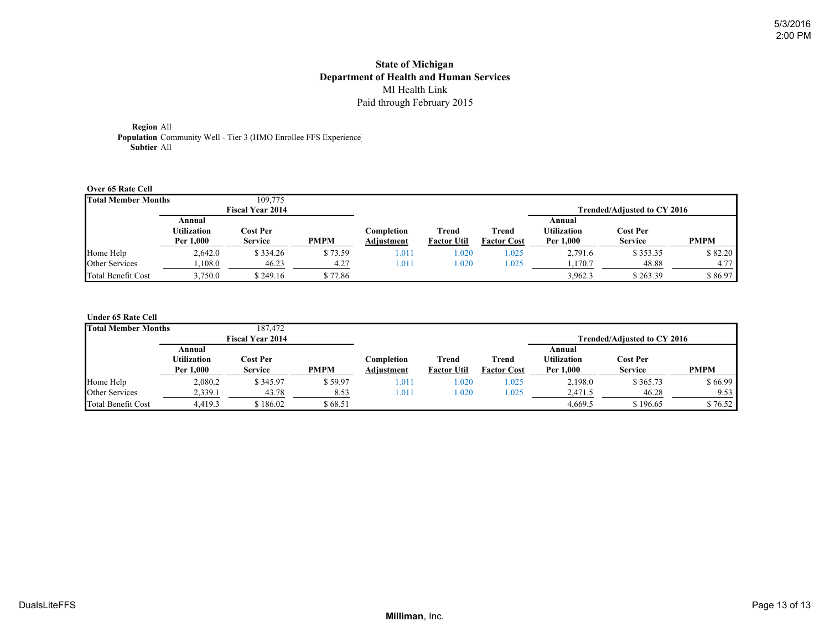**Region** All **Population** Community Well - Tier 3 (HMO Enrollee FFS Experience) **Subtier** All

#### **Over 65 Rate Cell**

| <b>Total Member Months</b> |                                           | 109,775                    |             |                          |                             |                             |                                           |                                   |             |
|----------------------------|-------------------------------------------|----------------------------|-------------|--------------------------|-----------------------------|-----------------------------|-------------------------------------------|-----------------------------------|-------------|
|                            |                                           | <b>Fiscal Year 2014</b>    |             |                          |                             |                             |                                           | Trended/Adiusted to CY 2016       |             |
|                            | Annual<br><b>Utilization</b><br>Per 1,000 | Cost Per<br><b>Service</b> | <b>PMPM</b> | Completion<br>Adjustment | Trend<br><b>Factor Util</b> | Trend<br><b>Factor Cost</b> | Annual<br><b>Utilization</b><br>Per 1.000 | <b>Cost Per</b><br><b>Service</b> | <b>PMPM</b> |
| Home Help                  | 2,642.0                                   | \$334.26                   | \$73.59     | .011                     | 1.020                       | .025                        | 2,791.6                                   | \$353.35                          | \$82.20     |
| Other Services             | ,108.0                                    | 46.23                      | 4.27        | .011                     | 1.020                       | .025                        | 1,170.7                                   | 48.88                             | 4.77        |
| <b>Total Benefit Cost</b>  | 3,750.0                                   | \$249.16                   | \$77.86     |                          |                             |                             | 3.962.3                                   | \$263.39                          | \$86.97     |

#### **Under 65 Rate Cell**

| <b>Total Member Months</b> |                                    | 187.472                    |             |                          |                             |                             |                                           |                                   |             |
|----------------------------|------------------------------------|----------------------------|-------------|--------------------------|-----------------------------|-----------------------------|-------------------------------------------|-----------------------------------|-------------|
|                            |                                    | <b>Fiscal Year 2014</b>    |             |                          |                             |                             |                                           | Trended/Adiusted to CY 2016       |             |
|                            | Annual<br>Utilization<br>Per 1,000 | Cost Per<br><b>Service</b> | <b>PMPM</b> | Completion<br>Adjustment | Trend<br><b>Factor Util</b> | Trend<br><b>Factor Cost</b> | Annual<br><b>Utilization</b><br>Per 1,000 | <b>Cost Per</b><br><b>Service</b> | <b>PMPM</b> |
| Home Help                  | 2,080.2                            | \$345.97                   | \$59.97     | $\mathbf{\overline{01}}$ | .020                        | 1.025                       | 2,198.0                                   | \$365.73                          | \$66.99     |
| Other Services             | 2,339.1                            | 43.78                      | 8.53        | $1.01^{\circ}$           | .020                        | 1.025                       | 2,471.5                                   | 46.28                             | 9.53        |
| <b>Total Benefit Cost</b>  | 4.419.3                            | \$186.02                   | \$68.51     |                          |                             |                             | 4.669.5                                   | \$196.65                          | \$76.52     |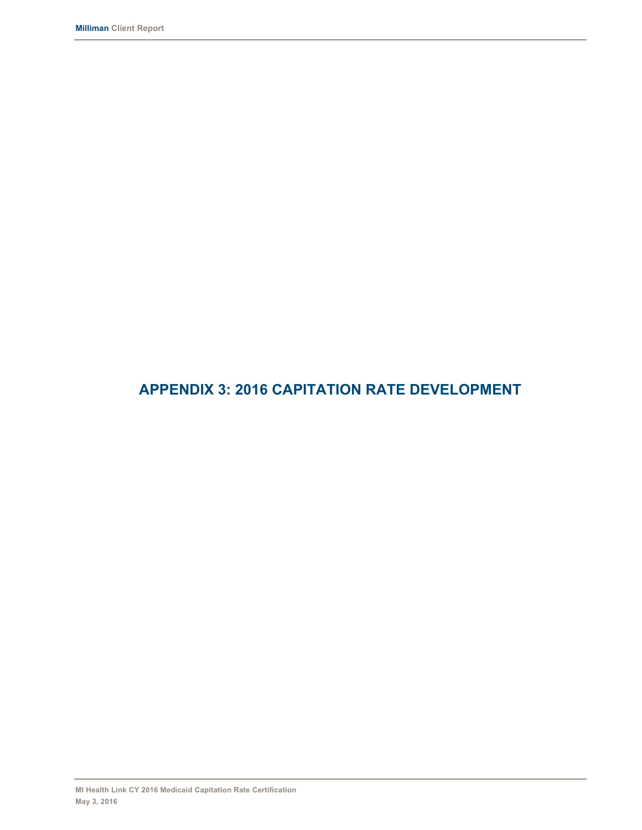# **APPENDIX 3: 2016 CAPITATION RATE DEVELOPMENT**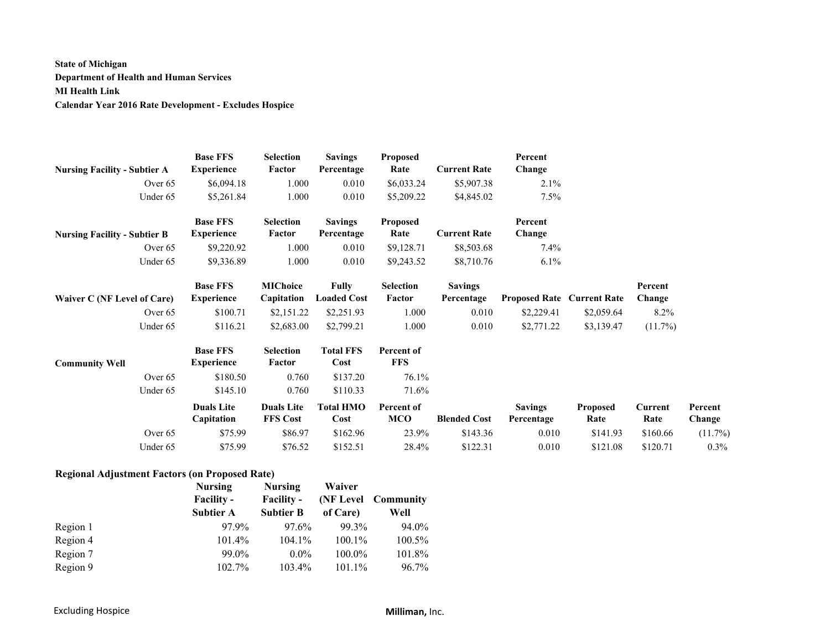## **State of Michigan Department of Health and Human Services MI Health Link Calendar Year 2016 Rate Development - Excludes Hospice**

|                                     | <b>Base FFS</b>   | Selection         | <b>Savings</b>     | Proposed   |                     | Percent                           |                 |          |         |
|-------------------------------------|-------------------|-------------------|--------------------|------------|---------------------|-----------------------------------|-----------------|----------|---------|
| <b>Nursing Facility - Subtier A</b> | <b>Experience</b> | Factor            | Percentage         | Rate       | <b>Current Rate</b> | Change                            |                 |          |         |
| Over 65                             | \$6,094.18        | 1.000             | 0.010              | \$6,033.24 | \$5,907.38          | 2.1%                              |                 |          |         |
| Under 65                            | \$5,261.84        | 1.000             | 0.010              | \$5,209.22 | \$4,845.02          | 7.5%                              |                 |          |         |
|                                     | <b>Base FFS</b>   | Selection         | <b>Savings</b>     | Proposed   |                     | Percent                           |                 |          |         |
| <b>Nursing Facility - Subtier B</b> | <b>Experience</b> | Factor            | Percentage         | Rate       | <b>Current Rate</b> | Change                            |                 |          |         |
| Over $65$                           | \$9,220.92        | 1.000             | 0.010              | \$9,128.71 | \$8,503.68          | $7.4\%$                           |                 |          |         |
| Under 65                            | \$9,336.89        | 1.000             | 0.010              | \$9,243.52 | \$8,710.76          | $6.1\%$                           |                 |          |         |
|                                     | <b>Base FFS</b>   | <b>MIChoice</b>   | <b>Fully</b>       | Selection  | <b>Savings</b>      |                                   |                 | Percent  |         |
| Waiver C (NF Level of Care)         | <b>Experience</b> | Capitation        | <b>Loaded Cost</b> | Factor     | Percentage          | <b>Proposed Rate Current Rate</b> |                 | Change   |         |
| Over $65$                           | \$100.71          | \$2,151.22        | \$2,251.93         | 1.000      | 0.010               | \$2,229.41                        | \$2,059.64      | 8.2%     |         |
| Under 65                            | \$116.21          | \$2,683.00        | \$2,799.21         | 1.000      | 0.010               | \$2,771.22                        | \$3,139.47      | (11.7%)  |         |
|                                     | <b>Base FFS</b>   | <b>Selection</b>  | <b>Total FFS</b>   | Percent of |                     |                                   |                 |          |         |
| <b>Community Well</b>               | <b>Experience</b> | Factor            | Cost               | <b>FFS</b> |                     |                                   |                 |          |         |
| Over $65$                           | \$180.50          | 0.760             | \$137.20           | 76.1%      |                     |                                   |                 |          |         |
| Under 65                            | \$145.10          | 0.760             | \$110.33           | 71.6%      |                     |                                   |                 |          |         |
|                                     | <b>Duals Lite</b> | <b>Duals Lite</b> | <b>Total HMO</b>   | Percent of |                     | <b>Savings</b>                    | <b>Proposed</b> | Current  | Percent |
|                                     | Capitation        | <b>FFS Cost</b>   | Cost               | MCO        | <b>Blended Cost</b> | Percentage                        | Rate            | Rate     | Change  |
| Over 65                             | \$75.99           | \$86.97           | \$162.96           | 23.9%      | \$143.36            | 0.010                             | \$141.93        | \$160.66 | (11.7%) |
| Under 65                            | \$75.99           | \$76.52           | \$152.51           | 28.4%      | \$122.31            | 0.010                             | \$121.08        | \$120.71 | 0.3%    |

#### **Regional Adjustment Factors (on Proposed Rate)**

|          | <b>Nursing</b>    | <b>Nursing</b>    | Waiver    |                      |
|----------|-------------------|-------------------|-----------|----------------------|
|          | <b>Facility -</b> | <b>Facility -</b> |           | (NF Level Community) |
|          | <b>Subtier A</b>  | <b>Subtier B</b>  | of Care)  | Well                 |
| Region 1 | 97.9%             | 97.6%             | 99.3%     | 94.0%                |
| Region 4 | 101.4%            | 104.1%            | $100.1\%$ | 100.5%               |
| Region 7 | 99.0%             | $0.0\%$           | $100.0\%$ | 101.8%               |
| Region 9 | 102.7%            | 103.4%            | 101.1%    | $96.7\%$             |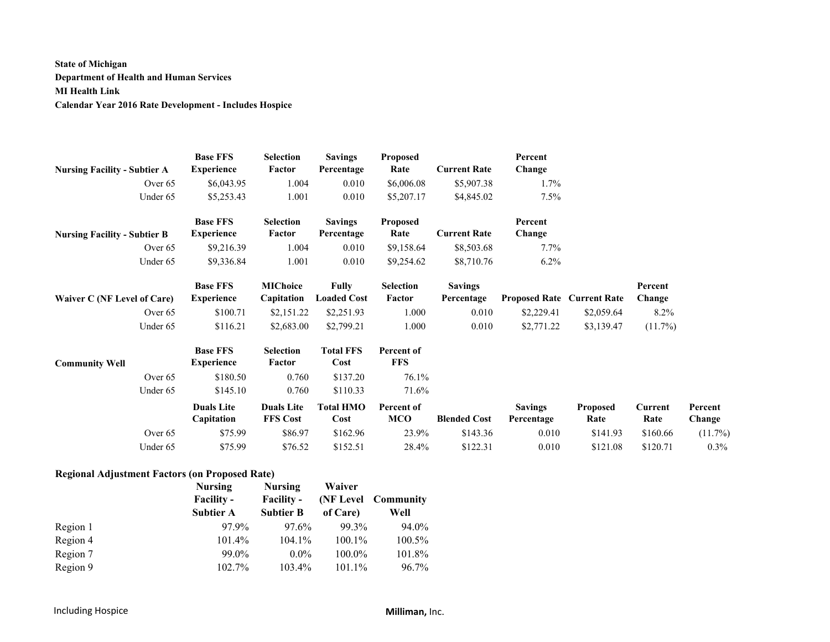## **State of Michigan Department of Health and Human Services MI Health Link Calendar Year 2016 Rate Development - Includes Hospice**

| <b>Nursing Facility - Subtier A</b> | <b>Base FFS</b><br><b>Experience</b> | <b>Selection</b><br>Factor           | <b>Savings</b><br>Percentage | <b>Proposed</b><br>Rate  | <b>Current Rate</b> | Percent<br>Change                 |                  |                 |                   |
|-------------------------------------|--------------------------------------|--------------------------------------|------------------------------|--------------------------|---------------------|-----------------------------------|------------------|-----------------|-------------------|
| Over $65$                           | \$6,043.95                           | 1.004                                | 0.010                        | \$6,006.08               | \$5,907.38          | 1.7%                              |                  |                 |                   |
| Under 65                            | \$5,253.43                           | 1.001                                | 0.010                        | \$5,207.17               | \$4,845.02          | 7.5%                              |                  |                 |                   |
|                                     | <b>Base FFS</b>                      | Selection                            | <b>Savings</b>               | <b>Proposed</b>          |                     | Percent                           |                  |                 |                   |
| <b>Nursing Facility - Subtier B</b> | <b>Experience</b>                    | Factor                               | Percentage                   | Rate                     | <b>Current Rate</b> | Change                            |                  |                 |                   |
| Over $65$                           | \$9,216.39                           | 1.004                                | 0.010                        | \$9,158.64               | \$8,503.68          | $7.7\%$                           |                  |                 |                   |
| Under 65                            | \$9,336.84                           | 1.001                                | 0.010                        | \$9,254.62               | \$8,710.76          | $6.2\%$                           |                  |                 |                   |
|                                     | <b>Base FFS</b>                      | <b>MIChoice</b>                      | <b>Fully</b>                 | Selection                | <b>Savings</b>      |                                   |                  | Percent         |                   |
| Waiver C (NF Level of Care)         | <b>Experience</b>                    | Capitation                           | <b>Loaded Cost</b>           | Factor                   | Percentage          | <b>Proposed Rate Current Rate</b> |                  | Change          |                   |
| Over 65                             | \$100.71                             | \$2,151.22                           | \$2,251.93                   | 1.000                    | 0.010               | \$2,229.41                        | \$2,059.64       | $8.2\%$         |                   |
| Under 65                            | \$116.21                             | \$2,683.00                           | \$2,799.21                   | 1.000                    | 0.010               | \$2,771.22                        | \$3,139.47       | $(11.7\%)$      |                   |
| <b>Community Well</b>               | <b>Base FFS</b><br><b>Experience</b> | <b>Selection</b><br>Factor           | <b>Total FFS</b><br>Cost     | Percent of<br><b>FFS</b> |                     |                                   |                  |                 |                   |
| Over 65                             | \$180.50                             | 0.760                                | \$137.20                     | 76.1%                    |                     |                                   |                  |                 |                   |
| Under 65                            | \$145.10                             | 0.760                                | \$110.33                     | 71.6%                    |                     |                                   |                  |                 |                   |
|                                     | <b>Duals Lite</b><br>Capitation      | <b>Duals Lite</b><br><b>FFS Cost</b> | <b>Total HMO</b><br>Cost     | Percent of<br>MCO        | <b>Blended Cost</b> | <b>Savings</b><br>Percentage      | Proposed<br>Rate | Current<br>Rate | Percent<br>Change |
| Over 65                             | \$75.99                              | \$86.97                              | \$162.96                     | 23.9%                    | \$143.36            | 0.010                             | \$141.93         | \$160.66        | (11.7%)           |
| Under 65                            | \$75.99                              | \$76.52                              | \$152.51                     | 28.4%                    | \$122.31            | 0.010                             | \$121.08         | \$120.71        | 0.3%              |

#### **Regional Adjustment Factors (on Proposed Rate)**

|          | <b>Nursing</b>    | <b>Nursing</b>    | Waiver    |                      |
|----------|-------------------|-------------------|-----------|----------------------|
|          | <b>Facility -</b> | <b>Facility -</b> |           | (NF Level Community) |
|          | <b>Subtier A</b>  | <b>Subtier B</b>  | of Care)  | Well                 |
| Region 1 | 97.9%             | 97.6%             | 99.3%     | 94.0%                |
| Region 4 | 101.4%            | 104.1%            | 100.1%    | 100.5%               |
| Region 7 | 99.0%             | $0.0\%$           | $100.0\%$ | 101.8%               |
| Region 9 | 102.7%            | 103.4%            | 101.1%    | $96.7\%$             |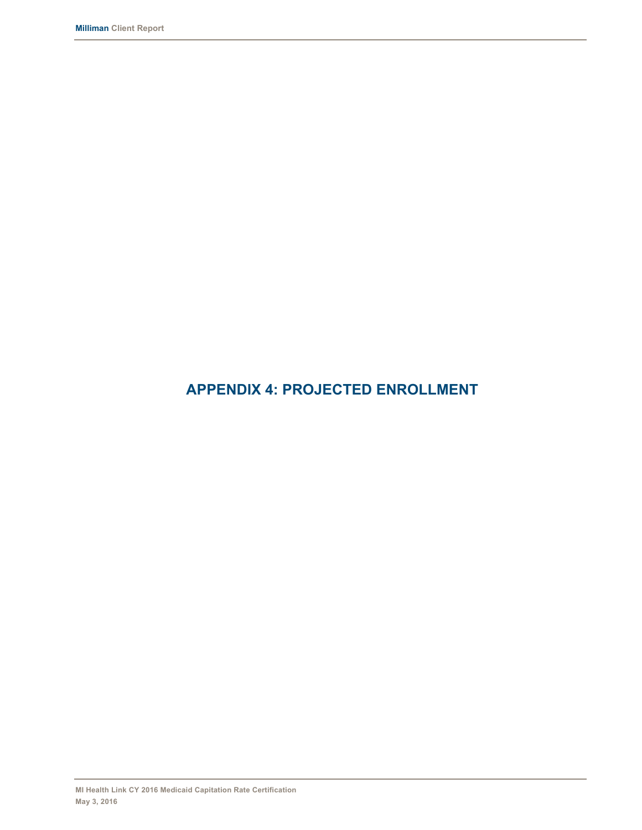# **APPENDIX 4: PROJECTED ENROLLMENT**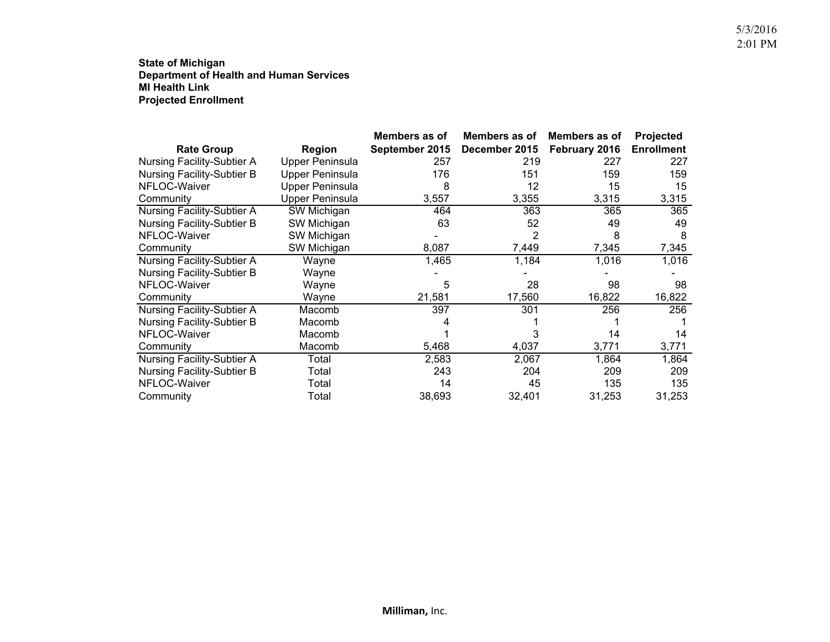**State of Michigan Department of Health and Human Services MI Health LinkProjected Enrollment**

|                                   |                        | Members as of  | Members as of | Members as of | Projected         |
|-----------------------------------|------------------------|----------------|---------------|---------------|-------------------|
| <b>Rate Group</b>                 | Region                 | September 2015 | December 2015 | February 2016 | <b>Enrollment</b> |
| <b>Nursing Facility-Subtier A</b> | <b>Upper Peninsula</b> | 257            | 219           | 227           | 227               |
| <b>Nursing Facility-Subtier B</b> | <b>Upper Peninsula</b> | 176            | 151           | 159           | 159               |
| NFLOC-Waiver                      | <b>Upper Peninsula</b> | 8              | 12            | 15            | 15                |
| Community                         | <b>Upper Peninsula</b> | 3,557          | 3,355         | 3,315         | 3,315             |
| <b>Nursing Facility-Subtier A</b> | SW Michigan            | 464            | 363           | 365           | 365               |
| <b>Nursing Facility-Subtier B</b> | SW Michigan            | 63             | 52            | 49            | 49                |
| NFLOC-Waiver                      | SW Michigan            |                |               | 8             | 8                 |
| Community                         | SW Michigan            | 8,087          | 7,449         | 7,345         | 7,345             |
| Nursing Facility-Subtier A        | Wayne                  | 1,465          | 1,184         | 1,016         | 1,016             |
| <b>Nursing Facility-Subtier B</b> | Wayne                  |                |               |               |                   |
| NFLOC-Waiver                      | Wayne                  | 5              | 28            | 98            | 98                |
| Community                         | Wayne                  | 21,581         | 17,560        | 16,822        | 16,822            |
| <b>Nursing Facility-Subtier A</b> | Macomb                 | 397            | 301           | 256           | 256               |
| Nursing Facility-Subtier B        | Macomb                 |                |               |               |                   |
| NFLOC-Waiver                      | Macomb                 |                |               | 14            | 14                |
| Community                         | Macomb                 | 5,468          | 4,037         | 3,771         | 3,771             |
| <b>Nursing Facility-Subtier A</b> | Total                  | 2,583          | 2,067         | 1,864         | 1,864             |
| <b>Nursing Facility-Subtier B</b> | Total                  | 243            | 204           | 209           | 209               |
| NFLOC-Waiver                      | Total                  | 14             | 45            | 135           | 135               |
| Community                         | Total                  | 38,693         | 32,401        | 31,253        | 31,253            |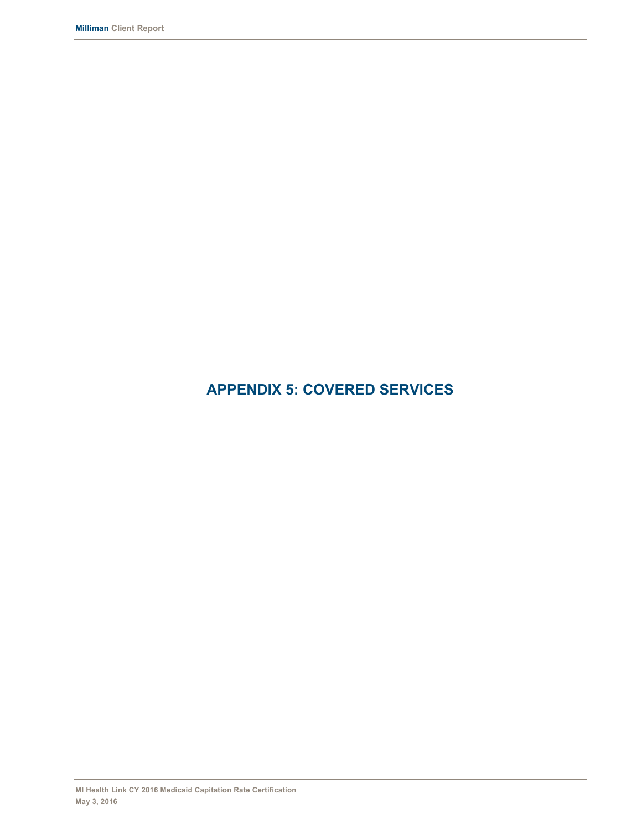# **APPENDIX 5: COVERED SERVICES**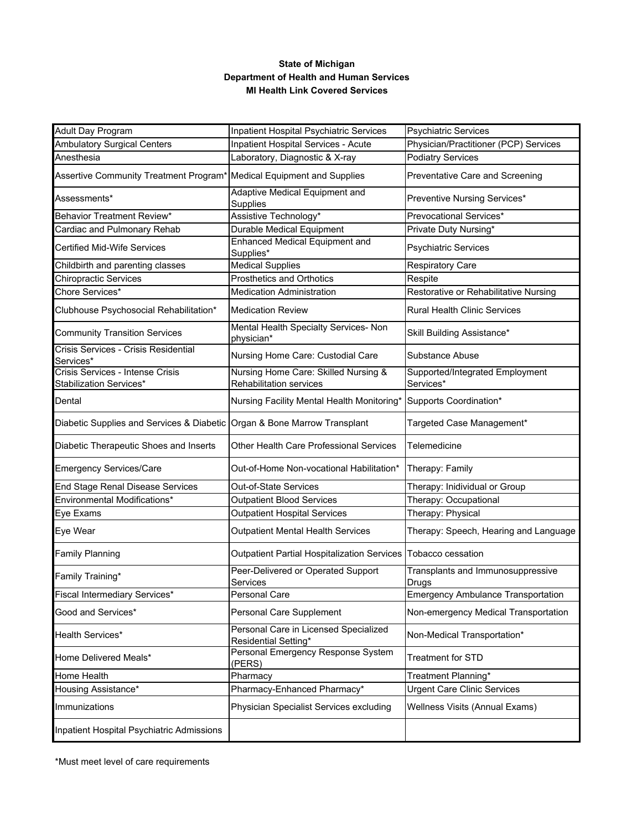### **State of Michigan Department of Health and Human Services MI Health Link Covered Services**

| <b>Adult Day Program</b>                                                 | Inpatient Hospital Psychiatric Services                         | <b>Psychiatric Services</b>                  |
|--------------------------------------------------------------------------|-----------------------------------------------------------------|----------------------------------------------|
| <b>Ambulatory Surgical Centers</b>                                       | <b>Inpatient Hospital Services - Acute</b>                      | Physician/Practitioner (PCP) Services        |
| Anesthesia                                                               | Laboratory, Diagnostic & X-ray                                  | <b>Podiatry Services</b>                     |
| Assertive Community Treatment Program* Medical Equipment and Supplies    |                                                                 | Preventative Care and Screening              |
| Assessments*                                                             | Adaptive Medical Equipment and<br>Supplies                      | Preventive Nursing Services*                 |
| Behavior Treatment Review*                                               | Assistive Technology*                                           | Prevocational Services*                      |
| Cardiac and Pulmonary Rehab                                              | Durable Medical Equipment                                       | Private Duty Nursing*                        |
| <b>Certified Mid-Wife Services</b>                                       | <b>Enhanced Medical Equipment and</b><br>Supplies*              | <b>Psychiatric Services</b>                  |
| Childbirth and parenting classes                                         | <b>Medical Supplies</b>                                         | <b>Respiratory Care</b>                      |
| <b>Chiropractic Services</b>                                             | Prosthetics and Orthotics                                       | Respite                                      |
| Chore Services*                                                          | <b>Medication Administration</b>                                | Restorative or Rehabilitative Nursing        |
| Clubhouse Psychosocial Rehabilitation*                                   | <b>Medication Review</b>                                        | <b>Rural Health Clinic Services</b>          |
| <b>Community Transition Services</b>                                     | Mental Health Specialty Services- Non<br>physician*             | Skill Building Assistance*                   |
| Crisis Services - Crisis Residential<br>Services*                        | Nursing Home Care: Custodial Care                               | Substance Abuse                              |
| Crisis Services - Intense Crisis<br>Stabilization Services*              | Nursing Home Care: Skilled Nursing &<br>Rehabilitation services | Supported/Integrated Employment<br>Services* |
| Dental                                                                   | Nursing Facility Mental Health Monitoring*                      | Supports Coordination*                       |
| Diabetic Supplies and Services & Diabetic Organ & Bone Marrow Transplant |                                                                 | Targeted Case Management*                    |
| Diabetic Therapeutic Shoes and Inserts                                   | Other Health Care Professional Services                         | <b>Telemedicine</b>                          |
| <b>Emergency Services/Care</b>                                           | Out-of-Home Non-vocational Habilitation*                        | Therapy: Family                              |
| End Stage Renal Disease Services                                         | Out-of-State Services                                           | Therapy: Inidividual or Group                |
| Environmental Modifications*                                             | <b>Outpatient Blood Services</b>                                | Therapy: Occupational                        |
| Eye Exams                                                                | <b>Outpatient Hospital Services</b>                             | Therapy: Physical                            |
| Eye Wear                                                                 | <b>Outpatient Mental Health Services</b>                        | Therapy: Speech, Hearing and Language        |
| <b>Family Planning</b>                                                   | <b>Outpatient Partial Hospitalization Services</b>              | Tobacco cessation                            |
| Family Training*                                                         | Peer-Delivered or Operated Support<br>Services                  | Transplants and Immunosuppressive<br>Drugs   |
| Fiscal Intermediary Services*                                            | Personal Care                                                   | <b>Emergency Ambulance Transportation</b>    |
| Good and Services*                                                       | Personal Care Supplement                                        | Non-emergency Medical Transportation         |
| Health Services*                                                         | Personal Care in Licensed Specialized<br>Residential Setting*   | Non-Medical Transportation*                  |
| Home Delivered Meals*                                                    | Personal Emergency Response System<br>(PERS)                    | Treatment for STD                            |
| <b>Home Health</b>                                                       | Pharmacy                                                        | Treatment Planning*                          |
| Housing Assistance*                                                      | Pharmacy-Enhanced Pharmacy*                                     | <b>Urgent Care Clinic Services</b>           |
| Immunizations                                                            | Physician Specialist Services excluding                         | Wellness Visits (Annual Exams)               |
| Inpatient Hospital Psychiatric Admissions                                |                                                                 |                                              |

\*Must meet level of care requirements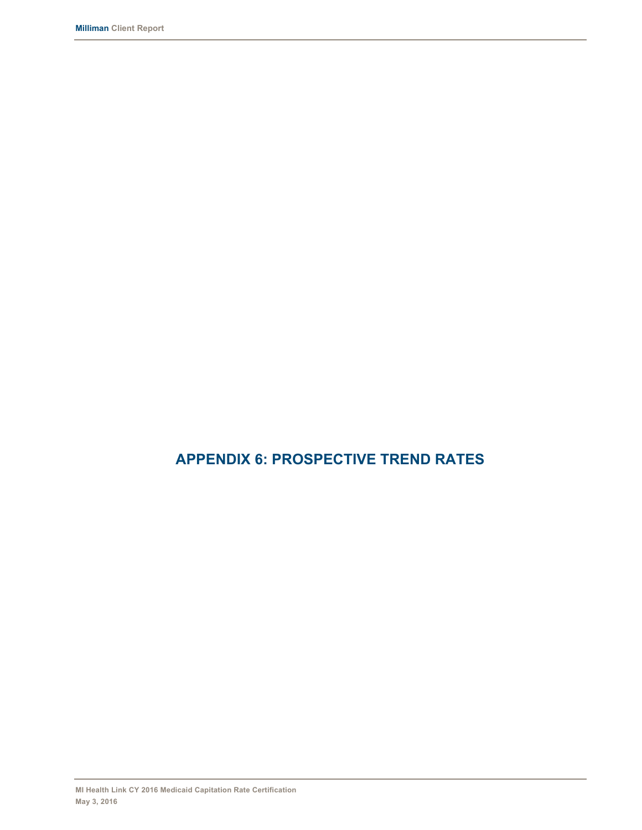# **APPENDIX 6: PROSPECTIVE TREND RATES**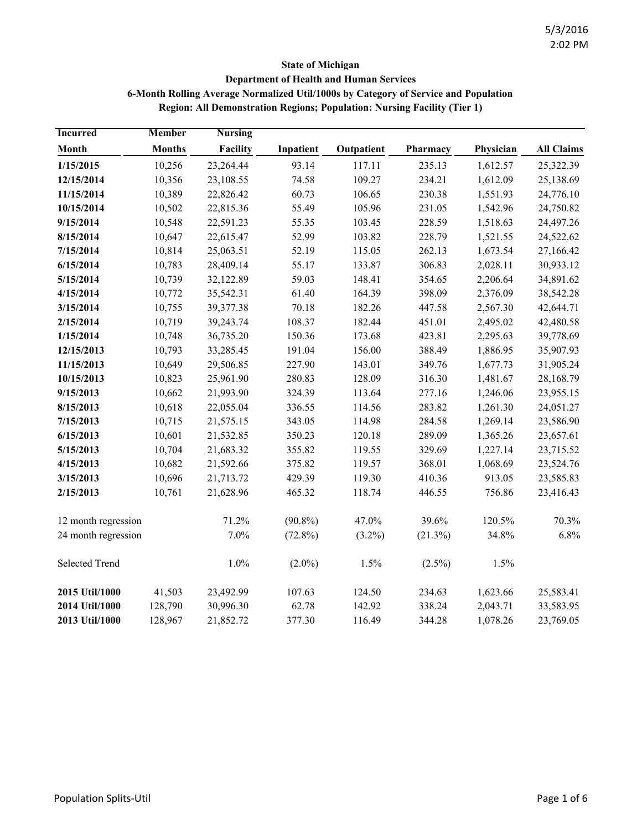## **State of Michigan Department of Health and Human Services 6-Month Rolling Average Normalized Util/1000s by Category of Service and Population Region: All Demonstration Regions; Population: Nursing Facility (Tier 1)**

| <b>Incurred</b>     | <b>Member</b> | <b>Nursing</b> |            |            |            |           |                   |
|---------------------|---------------|----------------|------------|------------|------------|-----------|-------------------|
| Month               | <b>Months</b> | Facility       | Inpatient  | Outpatient | Pharmacy   | Physician | <b>All Claims</b> |
| 1/15/2015           | 10,256        | 23,264.44      | 93.14      | 117.11     | 235.13     | 1,612.57  | 25,322.39         |
| 12/15/2014          | 10,356        | 23,108.55      | 74.58      | 109.27     | 234.21     | 1,612.09  | 25,138.69         |
| 11/15/2014          | 10,389        | 22,826.42      | 60.73      | 106.65     | 230.38     | 1,551.93  | 24,776.10         |
| 10/15/2014          | 10,502        | 22,815.36      | 55.49      | 105.96     | 231.05     | 1,542.96  | 24,750.82         |
| 9/15/2014           | 10,548        | 22,591.23      | 55.35      | 103.45     | 228.59     | 1,518.63  | 24,497.26         |
| 8/15/2014           | 10,647        | 22,615.47      | 52.99      | 103.82     | 228.79     | 1,521.55  | 24,522.62         |
| 7/15/2014           | 10,814        | 25,063.51      | 52.19      | 115.05     | 262.13     | 1,673.54  | 27,166.42         |
| 6/15/2014           | 10,783        | 28,409.14      | 55.17      | 133.87     | 306.83     | 2,028.11  | 30,933.12         |
| 5/15/2014           | 10,739        | 32,122.89      | 59.03      | 148.41     | 354.65     | 2,206.64  | 34,891.62         |
| 4/15/2014           | 10,772        | 35,542.31      | 61.40      | 164.39     | 398.09     | 2,376.09  | 38,542.28         |
| 3/15/2014           | 10,755        | 39,377.38      | 70.18      | 182.26     | 447.58     | 2,567.30  | 42,644.71         |
| 2/15/2014           | 10,719        | 39,243.74      | 108.37     | 182.44     | 451.01     | 2,495.02  | 42,480.58         |
| 1/15/2014           | 10,748        | 36,735.20      | 150.36     | 173.68     | 423.81     | 2,295.63  | 39,778.69         |
| 12/15/2013          | 10,793        | 33,285.45      | 191.04     | 156.00     | 388.49     | 1,886.95  | 35,907.93         |
| 11/15/2013          | 10,649        | 29,506.85      | 227.90     | 143.01     | 349.76     | 1,677.73  | 31,905.24         |
| 10/15/2013          | 10,823        | 25,961.90      | 280.83     | 128.09     | 316.30     | 1,481.67  | 28,168.79         |
| 9/15/2013           | 10,662        | 21,993.90      | 324.39     | 113.64     | 277.16     | 1,246.06  | 23,955.15         |
| 8/15/2013           | 10,618        | 22,055.04      | 336.55     | 114.56     | 283.82     | 1,261.30  | 24,051.27         |
| 7/15/2013           | 10,715        | 21,575.15      | 343.05     | 114.98     | 284.58     | 1,269.14  | 23,586.90         |
| 6/15/2013           | 10,601        | 21,532.85      | 350.23     | 120.18     | 289.09     | 1,365.26  | 23,657.61         |
| 5/15/2013           | 10,704        | 21,683.32      | 355.82     | 119.55     | 329.69     | 1,227.14  | 23,715.52         |
| 4/15/2013           | 10,682        | 21,592.66      | 375.82     | 119.57     | 368.01     | 1,068.69  | 23,524.76         |
| 3/15/2013           | 10,696        | 21,713.72      | 429.39     | 119.30     | 410.36     | 913.05    | 23,585.83         |
| 2/15/2013           | 10,761        | 21,628.96      | 465.32     | 118.74     | 446.55     | 756.86    | 23,416.43         |
| 12 month regression |               | 71.2%          | $(90.8\%)$ | 47.0%      | 39.6%      | 120.5%    | 70.3%             |
| 24 month regression |               | 7.0%           | $(72.8\%)$ | $(3.2\%)$  | $(21.3\%)$ | 34.8%     | 6.8%              |
| Selected Trend      |               | 1.0%           | $(2.0\%)$  | 1.5%       | $(2.5\%)$  | 1.5%      |                   |
| 2015 Util/1000      | 41,503        | 23,492.99      | 107.63     | 124.50     | 234.63     | 1,623.66  | 25,583.41         |
| 2014 Util/1000      | 128,790       | 30,996.30      | 62.78      | 142.92     | 338.24     | 2,043.71  | 33,583.95         |
| 2013 Util/1000      | 128,967       | 21,852.72      | 377.30     | 116.49     | 344.28     | 1,078.26  | 23,769.05         |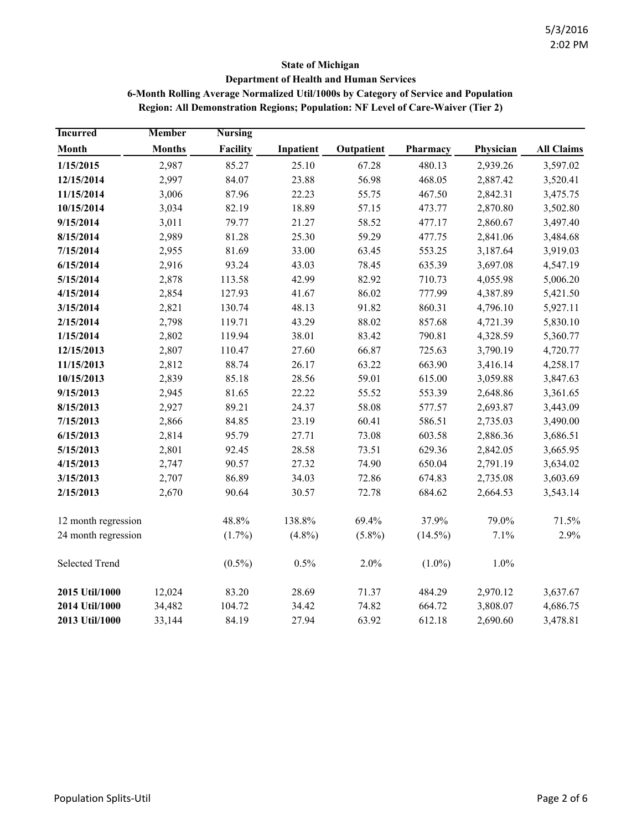# **State of Michigan Department of Health and Human Services 6-Month Rolling Average Normalized Util/1000s by Category of Service and Population**

| <b>Region: All Demonstration Regions; Population: NF Level of Care-Waiver (Tier 2)</b> |  |  |
|----------------------------------------------------------------------------------------|--|--|
|                                                                                        |  |  |

| <b>Incurred</b>       | <b>Member</b> | <b>Nursing</b> |           |            |            |           |                   |
|-----------------------|---------------|----------------|-----------|------------|------------|-----------|-------------------|
| Month                 | <b>Months</b> | Facility       | Inpatient | Outpatient | Pharmacy   | Physician | <b>All Claims</b> |
| 1/15/2015             | 2,987         | 85.27          | 25.10     | 67.28      | 480.13     | 2,939.26  | 3,597.02          |
| 12/15/2014            | 2,997         | 84.07          | 23.88     | 56.98      | 468.05     | 2,887.42  | 3,520.41          |
| 11/15/2014            | 3,006         | 87.96          | 22.23     | 55.75      | 467.50     | 2,842.31  | 3,475.75          |
| 10/15/2014            | 3,034         | 82.19          | 18.89     | 57.15      | 473.77     | 2,870.80  | 3,502.80          |
| 9/15/2014             | 3,011         | 79.77          | 21.27     | 58.52      | 477.17     | 2,860.67  | 3,497.40          |
| 8/15/2014             | 2,989         | 81.28          | 25.30     | 59.29      | 477.75     | 2,841.06  | 3,484.68          |
| 7/15/2014             | 2,955         | 81.69          | 33.00     | 63.45      | 553.25     | 3,187.64  | 3,919.03          |
| 6/15/2014             | 2,916         | 93.24          | 43.03     | 78.45      | 635.39     | 3,697.08  | 4,547.19          |
| 5/15/2014             | 2,878         | 113.58         | 42.99     | 82.92      | 710.73     | 4,055.98  | 5,006.20          |
| 4/15/2014             | 2,854         | 127.93         | 41.67     | 86.02      | 777.99     | 4,387.89  | 5,421.50          |
| 3/15/2014             | 2,821         | 130.74         | 48.13     | 91.82      | 860.31     | 4,796.10  | 5,927.11          |
| 2/15/2014             | 2,798         | 119.71         | 43.29     | 88.02      | 857.68     | 4,721.39  | 5,830.10          |
| 1/15/2014             | 2,802         | 119.94         | 38.01     | 83.42      | 790.81     | 4,328.59  | 5,360.77          |
| 12/15/2013            | 2,807         | 110.47         | 27.60     | 66.87      | 725.63     | 3,790.19  | 4,720.77          |
| 11/15/2013            | 2,812         | 88.74          | 26.17     | 63.22      | 663.90     | 3,416.14  | 4,258.17          |
| 10/15/2013            | 2,839         | 85.18          | 28.56     | 59.01      | 615.00     | 3,059.88  | 3,847.63          |
| 9/15/2013             | 2,945         | 81.65          | 22.22     | 55.52      | 553.39     | 2,648.86  | 3,361.65          |
| 8/15/2013             | 2,927         | 89.21          | 24.37     | 58.08      | 577.57     | 2,693.87  | 3,443.09          |
| 7/15/2013             | 2,866         | 84.85          | 23.19     | 60.41      | 586.51     | 2,735.03  | 3,490.00          |
| 6/15/2013             | 2,814         | 95.79          | 27.71     | 73.08      | 603.58     | 2,886.36  | 3,686.51          |
| 5/15/2013             | 2,801         | 92.45          | 28.58     | 73.51      | 629.36     | 2,842.05  | 3,665.95          |
| 4/15/2013             | 2,747         | 90.57          | 27.32     | 74.90      | 650.04     | 2,791.19  | 3,634.02          |
| 3/15/2013             | 2,707         | 86.89          | 34.03     | 72.86      | 674.83     | 2,735.08  | 3,603.69          |
| 2/15/2013             | 2,670         | 90.64          | 30.57     | 72.78      | 684.62     | 2,664.53  | 3,543.14          |
| 12 month regression   |               | 48.8%          | 138.8%    | 69.4%      | 37.9%      | 79.0%     | 71.5%             |
| 24 month regression   |               | $(1.7\%)$      | $(4.8\%)$ | $(5.8\%)$  | $(14.5\%)$ | 7.1%      | 2.9%              |
| <b>Selected Trend</b> |               | $(0.5\%)$      | 0.5%      | 2.0%       | $(1.0\%)$  | 1.0%      |                   |
| 2015 Util/1000        | 12,024        | 83.20          | 28.69     | 71.37      | 484.29     | 2,970.12  | 3,637.67          |
| 2014 Util/1000        | 34,482        | 104.72         | 34.42     | 74.82      | 664.72     | 3,808.07  | 4,686.75          |
| 2013 Util/1000        | 33,144        | 84.19          | 27.94     | 63.92      | 612.18     | 2,690.60  | 3,478.81          |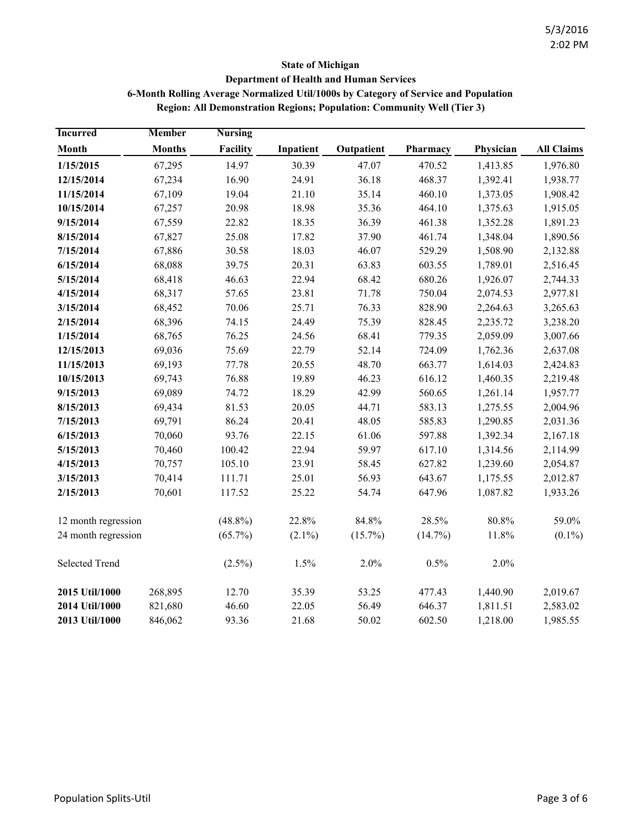## **State of Michigan Department of Health and Human Services 6-Month Rolling Average Normalized Util/1000s by Category of Service and Population**

**Region: All Demonstration Regions; Population: Community Well (Tier 3)**

| <b>Incurred</b>     | <b>Member</b> | <b>Nursing</b> |           |            |            |           |                   |
|---------------------|---------------|----------------|-----------|------------|------------|-----------|-------------------|
| Month               | <b>Months</b> | Facility       | Inpatient | Outpatient | Pharmacy   | Physician | <b>All Claims</b> |
| 1/15/2015           | 67,295        | 14.97          | 30.39     | 47.07      | 470.52     | 1,413.85  | 1,976.80          |
| 12/15/2014          | 67,234        | 16.90          | 24.91     | 36.18      | 468.37     | 1,392.41  | 1,938.77          |
| 11/15/2014          | 67,109        | 19.04          | 21.10     | 35.14      | 460.10     | 1,373.05  | 1,908.42          |
| 10/15/2014          | 67,257        | 20.98          | 18.98     | 35.36      | 464.10     | 1,375.63  | 1,915.05          |
| 9/15/2014           | 67,559        | 22.82          | 18.35     | 36.39      | 461.38     | 1,352.28  | 1,891.23          |
| 8/15/2014           | 67,827        | 25.08          | 17.82     | 37.90      | 461.74     | 1,348.04  | 1,890.56          |
| 7/15/2014           | 67,886        | 30.58          | 18.03     | 46.07      | 529.29     | 1,508.90  | 2,132.88          |
| 6/15/2014           | 68,088        | 39.75          | 20.31     | 63.83      | 603.55     | 1,789.01  | 2,516.45          |
| 5/15/2014           | 68,418        | 46.63          | 22.94     | 68.42      | 680.26     | 1,926.07  | 2,744.33          |
| 4/15/2014           | 68,317        | 57.65          | 23.81     | 71.78      | 750.04     | 2,074.53  | 2,977.81          |
| 3/15/2014           | 68,452        | 70.06          | 25.71     | 76.33      | 828.90     | 2,264.63  | 3,265.63          |
| 2/15/2014           | 68,396        | 74.15          | 24.49     | 75.39      | 828.45     | 2,235.72  | 3,238.20          |
| 1/15/2014           | 68,765        | 76.25          | 24.56     | 68.41      | 779.35     | 2,059.09  | 3,007.66          |
| 12/15/2013          | 69,036        | 75.69          | 22.79     | 52.14      | 724.09     | 1,762.36  | 2,637.08          |
| 11/15/2013          | 69,193        | 77.78          | 20.55     | 48.70      | 663.77     | 1,614.03  | 2,424.83          |
| 10/15/2013          | 69,743        | 76.88          | 19.89     | 46.23      | 616.12     | 1,460.35  | 2,219.48          |
| 9/15/2013           | 69,089        | 74.72          | 18.29     | 42.99      | 560.65     | 1,261.14  | 1,957.77          |
| 8/15/2013           | 69,434        | 81.53          | 20.05     | 44.71      | 583.13     | 1,275.55  | 2,004.96          |
| 7/15/2013           | 69,791        | 86.24          | 20.41     | 48.05      | 585.83     | 1,290.85  | 2,031.36          |
| 6/15/2013           | 70,060        | 93.76          | 22.15     | 61.06      | 597.88     | 1,392.34  | 2,167.18          |
| 5/15/2013           | 70,460        | 100.42         | 22.94     | 59.97      | 617.10     | 1,314.56  | 2,114.99          |
| 4/15/2013           | 70,757        | 105.10         | 23.91     | 58.45      | 627.82     | 1,239.60  | 2,054.87          |
| 3/15/2013           | 70,414        | 111.71         | 25.01     | 56.93      | 643.67     | 1,175.55  | 2,012.87          |
| 2/15/2013           | 70,601        | 117.52         | 25.22     | 54.74      | 647.96     | 1,087.82  | 1,933.26          |
| 12 month regression |               | $(48.8\%)$     | 22.8%     | 84.8%      | 28.5%      | 80.8%     | 59.0%             |
| 24 month regression |               | $(65.7\%)$     | $(2.1\%)$ | $(15.7\%)$ | $(14.7\%)$ | 11.8%     | $(0.1\%)$         |
| Selected Trend      |               | $(2.5\%)$      | 1.5%      | 2.0%       | 0.5%       | 2.0%      |                   |
| 2015 Util/1000      | 268,895       | 12.70          | 35.39     | 53.25      | 477.43     | 1,440.90  | 2,019.67          |
| 2014 Util/1000      | 821,680       | 46.60          | 22.05     | 56.49      | 646.37     | 1,811.51  | 2,583.02          |
| 2013 Util/1000      | 846,062       | 93.36          | 21.68     | 50.02      | 602.50     | 1,218.00  | 1,985.55          |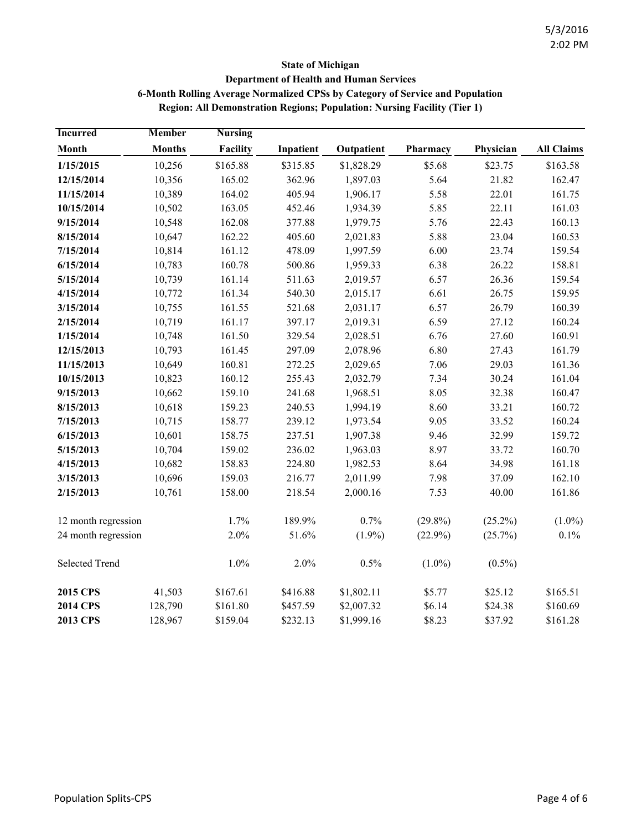## **State of Michigan Department of Health and Human Services 6-Month Rolling Average Normalized CPSs by Category of Service and Population Region: All Demonstration Regions; Population: Nursing Facility (Tier 1)**

| <b>Incurred</b>       | <b>Member</b> | <b>Nursing</b> |           |            |            |            |                   |
|-----------------------|---------------|----------------|-----------|------------|------------|------------|-------------------|
| Month                 | <b>Months</b> | Facility       | Inpatient | Outpatient | Pharmacy   | Physician  | <b>All Claims</b> |
| 1/15/2015             | 10,256        | \$165.88       | \$315.85  | \$1,828.29 | \$5.68     | \$23.75    | \$163.58          |
| 12/15/2014            | 10,356        | 165.02         | 362.96    | 1,897.03   | 5.64       | 21.82      | 162.47            |
| 11/15/2014            | 10,389        | 164.02         | 405.94    | 1,906.17   | 5.58       | 22.01      | 161.75            |
| 10/15/2014            | 10,502        | 163.05         | 452.46    | 1,934.39   | 5.85       | 22.11      | 161.03            |
| 9/15/2014             | 10,548        | 162.08         | 377.88    | 1,979.75   | 5.76       | 22.43      | 160.13            |
| 8/15/2014             | 10,647        | 162.22         | 405.60    | 2,021.83   | 5.88       | 23.04      | 160.53            |
| 7/15/2014             | 10,814        | 161.12         | 478.09    | 1,997.59   | 6.00       | 23.74      | 159.54            |
| 6/15/2014             | 10,783        | 160.78         | 500.86    | 1,959.33   | 6.38       | 26.22      | 158.81            |
| 5/15/2014             | 10,739        | 161.14         | 511.63    | 2,019.57   | 6.57       | 26.36      | 159.54            |
| 4/15/2014             | 10,772        | 161.34         | 540.30    | 2,015.17   | 6.61       | 26.75      | 159.95            |
| 3/15/2014             | 10,755        | 161.55         | 521.68    | 2,031.17   | 6.57       | 26.79      | 160.39            |
| 2/15/2014             | 10,719        | 161.17         | 397.17    | 2,019.31   | 6.59       | 27.12      | 160.24            |
| 1/15/2014             | 10,748        | 161.50         | 329.54    | 2,028.51   | 6.76       | 27.60      | 160.91            |
| 12/15/2013            | 10,793        | 161.45         | 297.09    | 2,078.96   | 6.80       | 27.43      | 161.79            |
| 11/15/2013            | 10,649        | 160.81         | 272.25    | 2,029.65   | 7.06       | 29.03      | 161.36            |
| 10/15/2013            | 10,823        | 160.12         | 255.43    | 2,032.79   | 7.34       | 30.24      | 161.04            |
| 9/15/2013             | 10,662        | 159.10         | 241.68    | 1,968.51   | 8.05       | 32.38      | 160.47            |
| 8/15/2013             | 10,618        | 159.23         | 240.53    | 1,994.19   | 8.60       | 33.21      | 160.72            |
| 7/15/2013             | 10,715        | 158.77         | 239.12    | 1,973.54   | 9.05       | 33.52      | 160.24            |
| 6/15/2013             | 10,601        | 158.75         | 237.51    | 1,907.38   | 9.46       | 32.99      | 159.72            |
| 5/15/2013             | 10,704        | 159.02         | 236.02    | 1,963.03   | 8.97       | 33.72      | 160.70            |
| 4/15/2013             | 10,682        | 158.83         | 224.80    | 1,982.53   | 8.64       | 34.98      | 161.18            |
| 3/15/2013             | 10,696        | 159.03         | 216.77    | 2,011.99   | 7.98       | 37.09      | 162.10            |
| 2/15/2013             | 10,761        | 158.00         | 218.54    | 2,000.16   | 7.53       | 40.00      | 161.86            |
| 12 month regression   |               | 1.7%           | 189.9%    | 0.7%       | $(29.8\%)$ | $(25.2\%)$ | $(1.0\%)$         |
| 24 month regression   |               | 2.0%           | 51.6%     | $(1.9\%)$  | $(22.9\%)$ | (25.7%)    | 0.1%              |
| <b>Selected Trend</b> |               | 1.0%           | 2.0%      | 0.5%       | $(1.0\%)$  | $(0.5\%)$  |                   |
| <b>2015 CPS</b>       | 41,503        | \$167.61       | \$416.88  | \$1,802.11 | \$5.77     | \$25.12    | \$165.51          |
| <b>2014 CPS</b>       | 128,790       | \$161.80       | \$457.59  | \$2,007.32 | \$6.14     | \$24.38    | \$160.69          |
| <b>2013 CPS</b>       | 128,967       | \$159.04       | \$232.13  | \$1,999.16 | \$8.23     | \$37.92    | \$161.28          |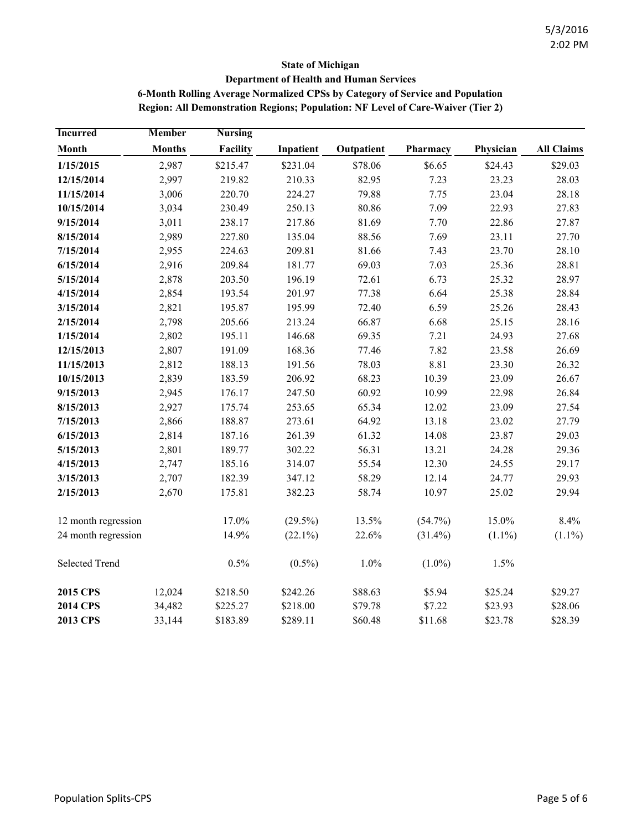## **State of Michigan Department of Health and Human Services 6-Month Rolling Average Normalized CPSs by Category of Service and Population Region: All Demonstration Regions; Population: NF Level of Care-Waiver (Tier 2)**

| <b>Incurred</b>       | <b>Member</b> | <b>Nursing</b>                    |            |               |            |           |                   |
|-----------------------|---------------|-----------------------------------|------------|---------------|------------|-----------|-------------------|
| Month                 | <b>Months</b> | Facility                          | Inpatient  | Outpatient    | Pharmacy   | Physician | <b>All Claims</b> |
| 1/15/2015             | 2,987         | \$215.47                          | \$231.04   | \$78.06       | \$6.65     | \$24.43   | \$29.03           |
| 12/15/2014            | 2,997         | 219.82                            | 210.33     | 82.95<br>7.23 |            | 23.23     | 28.03             |
| 11/15/2014            | 3,006         | 220.70                            | 224.27     | 79.88         | 7.75       | 23.04     | 28.18             |
| 10/15/2014            | 3,034         | 230.49                            | 250.13     | 80.86         | 7.09       | 22.93     | 27.83             |
| 9/15/2014             | 3,011         | 238.17                            | 217.86     | 81.69         | 7.70       | 22.86     | 27.87             |
| 8/15/2014             | 2,989         | 227.80                            | 135.04     | 88.56         | 7.69       | 23.11     | 27.70             |
| 7/15/2014             | 2,955         | 224.63                            | 209.81     | 81.66         | 7.43       | 23.70     | 28.10             |
| 6/15/2014             | 2,916         | 69.03<br>7.03<br>209.84<br>181.77 |            | 25.36         | 28.81      |           |                   |
| 5/15/2014             | 2,878         | 203.50                            | 196.19     | 72.61         | 6.73       | 25.32     | 28.97             |
| 4/15/2014             | 2,854         | 193.54                            | 201.97     | 77.38         | 6.64       | 25.38     | 28.84             |
| 3/15/2014             | 2,821         | 195.87                            | 195.99     | 72.40         | 6.59       | 25.26     | 28.43             |
| 2/15/2014             | 2,798         | 205.66                            | 213.24     | 66.87         | 6.68       | 25.15     | 28.16             |
| 1/15/2014             | 2,802         | 195.11                            | 146.68     | 69.35         | 7.21       | 24.93     | 27.68             |
| 12/15/2013            | 2,807         | 191.09                            | 168.36     | 77.46         | 7.82       | 23.58     | 26.69             |
| 11/15/2013            | 2,812         | 188.13                            | 191.56     | 78.03         | 8.81       | 23.30     | 26.32             |
| 10/15/2013            | 2,839         | 183.59                            | 206.92     | 68.23         | 10.39      | 23.09     | 26.67             |
| 9/15/2013             | 2,945         | 176.17                            | 247.50     | 60.92         | 10.99      | 22.98     | 26.84             |
| 8/15/2013             | 2,927         | 175.74                            | 253.65     | 65.34         | 12.02      | 23.09     | 27.54             |
| 7/15/2013             | 2,866         | 188.87                            | 273.61     | 64.92         | 13.18      | 23.02     | 27.79             |
| 6/15/2013             | 2,814         | 187.16                            | 261.39     | 61.32         | 14.08      | 23.87     | 29.03             |
| 5/15/2013             | 2,801         | 189.77                            | 302.22     | 56.31         | 13.21      | 24.28     | 29.36             |
| 4/15/2013             | 2,747         | 185.16                            | 314.07     | 55.54         | 12.30      | 24.55     | 29.17             |
| 3/15/2013             | 2,707         | 182.39                            | 347.12     | 58.29         | 12.14      | 24.77     | 29.93             |
| 2/15/2013             | 2,670         | 175.81                            | 382.23     | 58.74         | 10.97      | 25.02     | 29.94             |
| 12 month regression   |               | 17.0%                             | $(29.5\%)$ | 13.5%         | $(54.7\%)$ | 15.0%     | 8.4%              |
| 24 month regression   |               | 14.9%                             | $(22.1\%)$ | 22.6%         | $(31.4\%)$ | $(1.1\%)$ | $(1.1\%)$         |
| <b>Selected Trend</b> |               | 0.5%                              | $(0.5\%)$  | 1.0%          | $(1.0\%)$  | 1.5%      |                   |
| <b>2015 CPS</b>       | 12,024        | \$218.50                          | \$242.26   | \$88.63       | \$5.94     | \$25.24   | \$29.27           |
| <b>2014 CPS</b>       | 34,482        | \$225.27                          | \$218.00   | \$79.78       | \$7.22     | \$23.93   | \$28.06           |
| <b>2013 CPS</b>       | 33,144        | \$183.89                          | \$289.11   | \$60.48       | \$11.68    | \$23.78   | \$28.39           |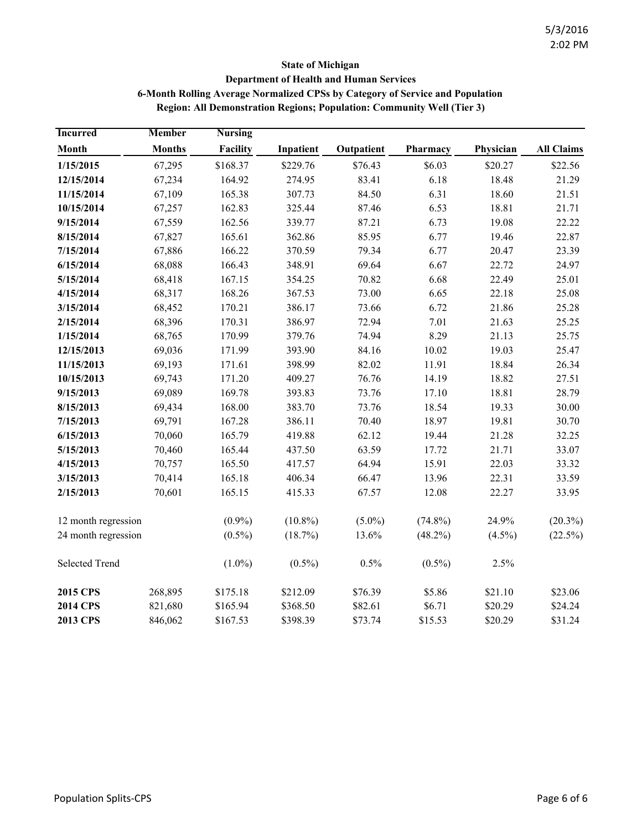## **State of Michigan Department of Health and Human Services 6-Month Rolling Average Normalized CPSs by Category of Service and Population Region: All Demonstration Regions; Population: Community Well (Tier 3)**

| <b>Incurred</b>     | <b>Member</b> | <b>Nursing</b>                    |            |            |            |           |                   |
|---------------------|---------------|-----------------------------------|------------|------------|------------|-----------|-------------------|
| Month               | <b>Months</b> | Facility                          | Inpatient  | Outpatient | Pharmacy   | Physician | <b>All Claims</b> |
| 1/15/2015           | 67,295        | \$168.37                          | \$229.76   | \$76.43    | \$6.03     | \$20.27   | \$22.56           |
| 12/15/2014          | 67,234        | 164.92                            | 274.95     | 83.41      | 6.18       | 18.48     | 21.29             |
| 11/15/2014          | 67,109        | 165.38                            | 307.73     | 84.50      | 6.31       | 18.60     | 21.51             |
| 10/15/2014          | 67,257        | 162.83                            | 325.44     | 87.46      | 6.53       | 18.81     | 21.71             |
| 9/15/2014           | 67,559        | 162.56                            | 339.77     | 87.21      | 6.73       | 19.08     | 22.22             |
| 8/15/2014           | 67,827        | 165.61                            | 362.86     | 85.95      | 6.77       | 19.46     | 22.87             |
| 7/15/2014           | 67,886        | 166.22                            | 370.59     | 79.34      | 6.77       | 20.47     | 23.39             |
| 6/15/2014           | 68,088        | 166.43<br>348.91<br>69.64<br>6.67 |            | 22.72      | 24.97      |           |                   |
| 5/15/2014           | 68,418        | 167.15                            | 354.25     | 70.82      | 6.68       | 22.49     | 25.01             |
| 4/15/2014           | 68,317        | 168.26                            | 367.53     | 73.00      | 6.65       | 22.18     | 25.08             |
| 3/15/2014           | 68,452        | 170.21                            | 386.17     | 73.66      | 6.72       | 21.86     | 25.28             |
| 2/15/2014           | 68,396        | 170.31                            | 386.97     | 72.94      | 7.01       | 21.63     | 25.25             |
| 1/15/2014           | 68,765        | 170.99                            | 379.76     | 74.94      | 8.29       | 21.13     | 25.75             |
| 12/15/2013          | 69,036        | 171.99                            | 393.90     | 84.16      | 10.02      | 19.03     | 25.47             |
| 11/15/2013          | 69,193        | 171.61                            | 398.99     | 82.02      | 11.91      | 18.84     | 26.34             |
| 10/15/2013          | 69,743        | 171.20                            | 409.27     | 76.76      | 14.19      | 18.82     | 27.51             |
| 9/15/2013           | 69,089        | 169.78                            | 393.83     | 73.76      | 17.10      | 18.81     | 28.79             |
| 8/15/2013           | 69,434        | 168.00                            | 383.70     | 73.76      | 18.54      | 19.33     | 30.00             |
| 7/15/2013           | 69,791        | 167.28                            | 386.11     | 70.40      | 18.97      | 19.81     | 30.70             |
| 6/15/2013           | 70,060        | 165.79                            | 419.88     | 62.12      | 19.44      | 21.28     | 32.25             |
| 5/15/2013           | 70,460        | 165.44                            | 437.50     | 63.59      | 17.72      | 21.71     | 33.07             |
| 4/15/2013           | 70,757        | 165.50                            | 417.57     | 64.94      | 15.91      | 22.03     | 33.32             |
| 3/15/2013           | 70,414        | 165.18                            | 406.34     | 66.47      | 13.96      | 22.31     | 33.59             |
| 2/15/2013           | 70,601        | 165.15                            | 415.33     | 67.57      | 12.08      | 22.27     | 33.95             |
| 12 month regression |               | $(0.9\%)$                         | $(10.8\%)$ | $(5.0\%)$  | $(74.8\%)$ | 24.9%     | $(20.3\%)$        |
| 24 month regression |               | $(0.5\%)$                         | (18.7%)    | 13.6%      | $(48.2\%)$ | $(4.5\%)$ | $(22.5\%)$        |
| Selected Trend      |               | $(1.0\%)$                         | $(0.5\%)$  | 0.5%       | $(0.5\%)$  | 2.5%      |                   |
| <b>2015 CPS</b>     | 268,895       | \$175.18                          | \$212.09   | \$76.39    | \$5.86     | \$21.10   | \$23.06           |
| <b>2014 CPS</b>     | 821,680       | \$165.94                          | \$368.50   | \$82.61    | \$6.71     | \$20.29   | \$24.24           |
| <b>2013 CPS</b>     | 846,062       | \$167.53                          | \$398.39   | \$73.74    | \$15.53    | \$20.29   | \$31.24           |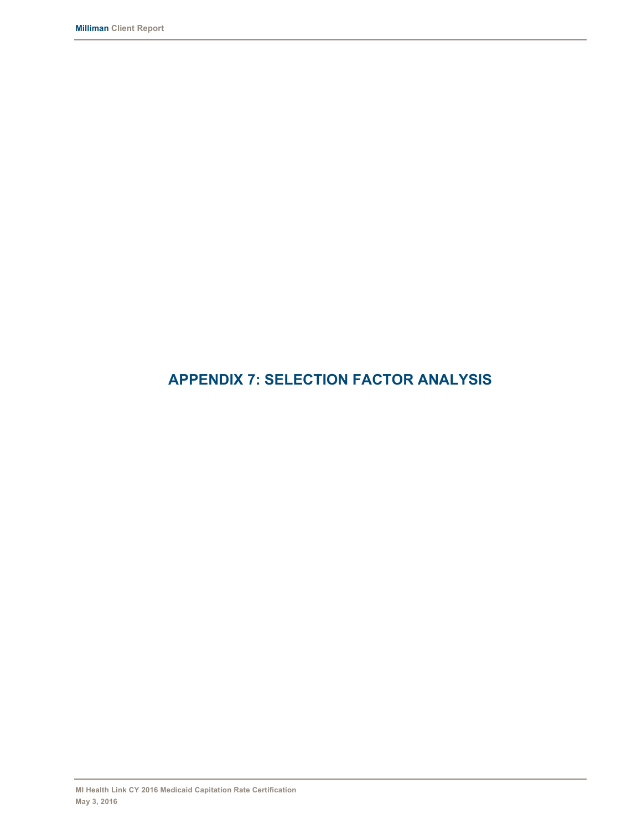# **APPENDIX 7: SELECTION FACTOR ANALYSIS**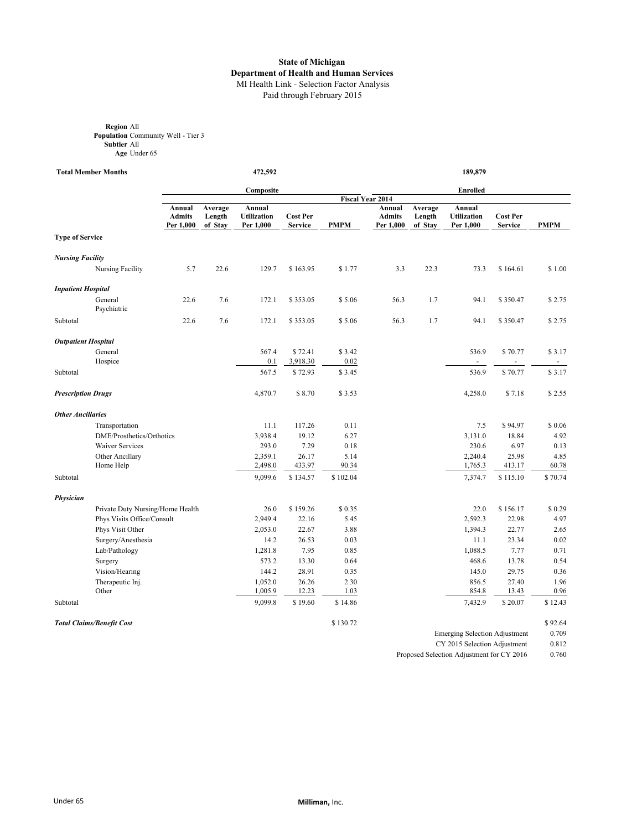#### **State of Michigan Department of Health and Human Services** MI Health Link - Selection Factor Analysis Paid through February 2015

**Region** All **Population** Community Well - Tier 3 **Subtier** All **Age** Under 65

**Total Member Months 472,592 189,879** 

|                            |                                  |                                      | Composite                    |                                           |                                   |             |                                      | <b>Enrolled</b>              |                                           |                                   |             |  |
|----------------------------|----------------------------------|--------------------------------------|------------------------------|-------------------------------------------|-----------------------------------|-------------|--------------------------------------|------------------------------|-------------------------------------------|-----------------------------------|-------------|--|
|                            |                                  |                                      |                              |                                           |                                   |             | <b>Fiscal Year 2014</b>              |                              |                                           |                                   |             |  |
|                            |                                  | Annual<br><b>Admits</b><br>Per 1,000 | Average<br>Length<br>of Stay | Annual<br><b>Utilization</b><br>Per 1,000 | <b>Cost Per</b><br><b>Service</b> | <b>PMPM</b> | Annual<br><b>Admits</b><br>Per 1,000 | Average<br>Length<br>of Stay | Annual<br><b>Utilization</b><br>Per 1,000 | <b>Cost Per</b><br><b>Service</b> | <b>PMPM</b> |  |
| <b>Type of Service</b>     |                                  |                                      |                              |                                           |                                   |             |                                      |                              |                                           |                                   |             |  |
| <b>Nursing Facility</b>    |                                  |                                      |                              |                                           |                                   |             |                                      |                              |                                           |                                   |             |  |
|                            | <b>Nursing Facility</b>          | 5.7                                  | 22.6                         | 129.7                                     | \$163.95                          | \$1.77      | 3.3                                  | 22.3                         | 73.3                                      | \$164.61                          | \$1.00      |  |
| <b>Inpatient Hospital</b>  |                                  |                                      |                              |                                           |                                   |             |                                      |                              |                                           |                                   |             |  |
|                            | General<br>Psychiatric           | 22.6                                 | 7.6                          | 172.1                                     | \$353.05                          | \$5.06      | 56.3                                 | 1.7                          | 94.1                                      | \$350.47                          | \$2.75      |  |
| Subtotal                   |                                  | 22.6                                 | 7.6                          | 172.1                                     | \$353.05                          | \$5.06      | 56.3                                 | 1.7                          | 94.1                                      | \$350.47                          | \$2.75      |  |
| <b>Outpatient Hospital</b> |                                  |                                      |                              |                                           |                                   |             |                                      |                              |                                           |                                   |             |  |
|                            | General                          |                                      |                              | 567.4                                     | \$72.41                           | \$3.42      |                                      |                              | 536.9                                     | \$70.77                           | \$3.17      |  |
|                            | Hospice                          |                                      |                              | 0.1                                       | 3,918.30                          | 0.02        |                                      |                              | $\overline{\phantom{a}}$                  | $\overline{\phantom{a}}$          | $\sim$      |  |
| Subtotal                   |                                  |                                      |                              | 567.5                                     | \$72.93                           | \$3.45      |                                      |                              | 536.9                                     | \$70.77                           | \$3.17      |  |
| <b>Prescription Drugs</b>  |                                  |                                      |                              | 4,870.7                                   | \$8.70                            | \$3.53      |                                      |                              | 4,258.0                                   | \$7.18                            | \$2.55      |  |
| <b>Other Ancillaries</b>   |                                  |                                      |                              |                                           |                                   |             |                                      |                              |                                           |                                   |             |  |
|                            | Transportation                   |                                      |                              | 11.1                                      | 117.26                            | 0.11        |                                      |                              | 7.5                                       | \$94.97                           | \$0.06      |  |
|                            | DME/Prosthetics/Orthotics        |                                      |                              | 3,938.4                                   | 19.12                             | 6.27        |                                      |                              | 3,131.0                                   | 18.84                             | 4.92        |  |
|                            | <b>Waiver Services</b>           |                                      |                              | 293.0                                     | 7.29                              | 0.18        |                                      |                              | 230.6                                     | 6.97                              | 0.13        |  |
|                            | Other Ancillary                  |                                      |                              | 2,359.1                                   | 26.17                             | 5.14        |                                      |                              | 2,240.4                                   | 25.98                             | 4.85        |  |
|                            | Home Help                        |                                      |                              | 2,498.0                                   | 433.97                            | 90.34       |                                      |                              | 1,765.3                                   | 413.17                            | 60.78       |  |
| Subtotal                   |                                  |                                      |                              | 9,099.6                                   | \$134.57                          | \$102.04    |                                      |                              | 7,374.7                                   | \$115.10                          | \$70.74     |  |
| Physician                  |                                  |                                      |                              |                                           |                                   |             |                                      |                              |                                           |                                   |             |  |
|                            | Private Duty Nursing/Home Health |                                      |                              | 26.0                                      | \$159.26                          | \$0.35      |                                      |                              | 22.0                                      | \$156.17                          | \$0.29      |  |
|                            | Phys Visits Office/Consult       |                                      |                              | 2,949.4                                   | 22.16                             | 5.45        |                                      |                              | 2,592.3                                   | 22.98                             | 4.97        |  |
|                            | Phys Visit Other                 |                                      |                              | 2,053.0                                   | 22.67                             | 3.88        |                                      |                              | 1,394.3                                   | 22.77                             | 2.65        |  |
|                            | Surgery/Anesthesia               |                                      |                              | 14.2                                      | 26.53                             | 0.03        |                                      |                              | 11.1                                      | 23.34                             | 0.02        |  |
|                            | Lab/Pathology                    |                                      |                              | 1,281.8                                   | 7.95                              | 0.85        |                                      |                              | 1,088.5                                   | 7.77                              | 0.71        |  |
|                            | Surgery                          |                                      |                              | 573.2                                     | 13.30                             | 0.64        |                                      |                              | 468.6                                     | 13.78                             | 0.54        |  |
|                            | Vision/Hearing                   |                                      |                              | 144.2                                     | 28.91                             | 0.35        |                                      |                              | 145.0                                     | 29.75                             | 0.36        |  |
|                            | Therapeutic Inj.                 |                                      |                              | 1,052.0                                   | 26.26                             | 2.30        |                                      |                              | 856.5                                     | 27.40                             | 1.96        |  |
|                            | Other                            |                                      |                              | 1,005.9                                   | 12.23                             | 1.03        |                                      |                              | 854.8                                     | 13.43                             | 0.96        |  |
| Subtotal                   |                                  |                                      |                              | 9,099.8                                   | \$19.60                           | \$14.86     |                                      |                              | 7,432.9                                   | \$20.07                           | \$12.43     |  |
|                            | <b>Total Claims/Benefit Cost</b> |                                      |                              |                                           |                                   | \$130.72    |                                      |                              |                                           |                                   | \$92.64     |  |

Emerging Selection Adjustment 0.709

CY 2015 Selection Adjustment 0.812<br>lection Adjustment for CY 2016 0.760

Proposed Selection Adjustment for CY 2016